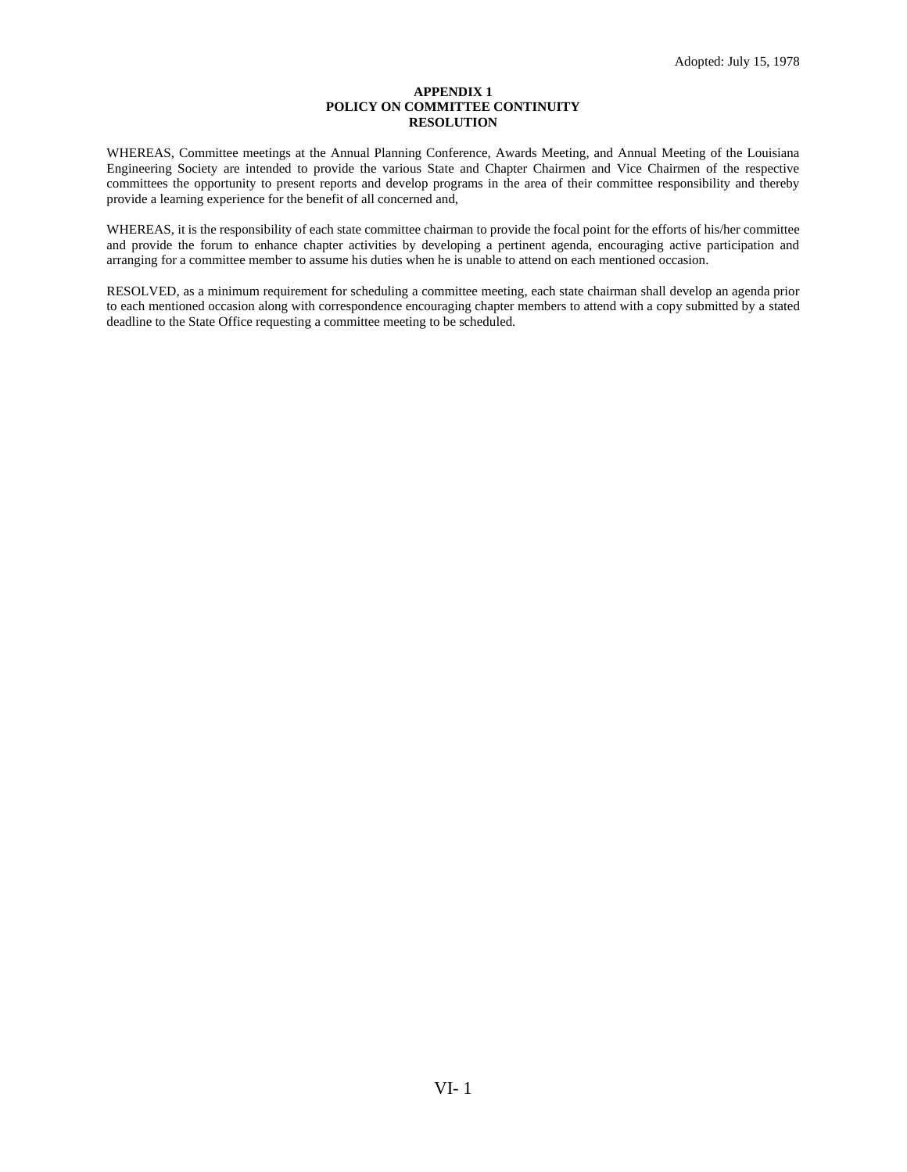#### **APPENDIX 1 POLICY ON COMMITTEE CONTINUITY RESOLUTION**

WHEREAS, Committee meetings at the Annual Planning Conference, Awards Meeting, and Annual Meeting of the Louisiana Engineering Society are intended to provide the various State and Chapter Chairmen and Vice Chairmen of the respective committees the opportunity to present reports and develop programs in the area of their committee responsibility and thereby provide a learning experience for the benefit of all concerned and,

WHEREAS, it is the responsibility of each state committee chairman to provide the focal point for the efforts of his/her committee and provide the forum to enhance chapter activities by developing a pertinent agenda, encouraging active participation and arranging for a committee member to assume his duties when he is unable to attend on each mentioned occasion.

RESOLVED, as a minimum requirement for scheduling a committee meeting, each state chairman shall develop an agenda prior to each mentioned occasion along with correspondence encouraging chapter members to attend with a copy submitted by a stated deadline to the State Office requesting a committee meeting to be scheduled.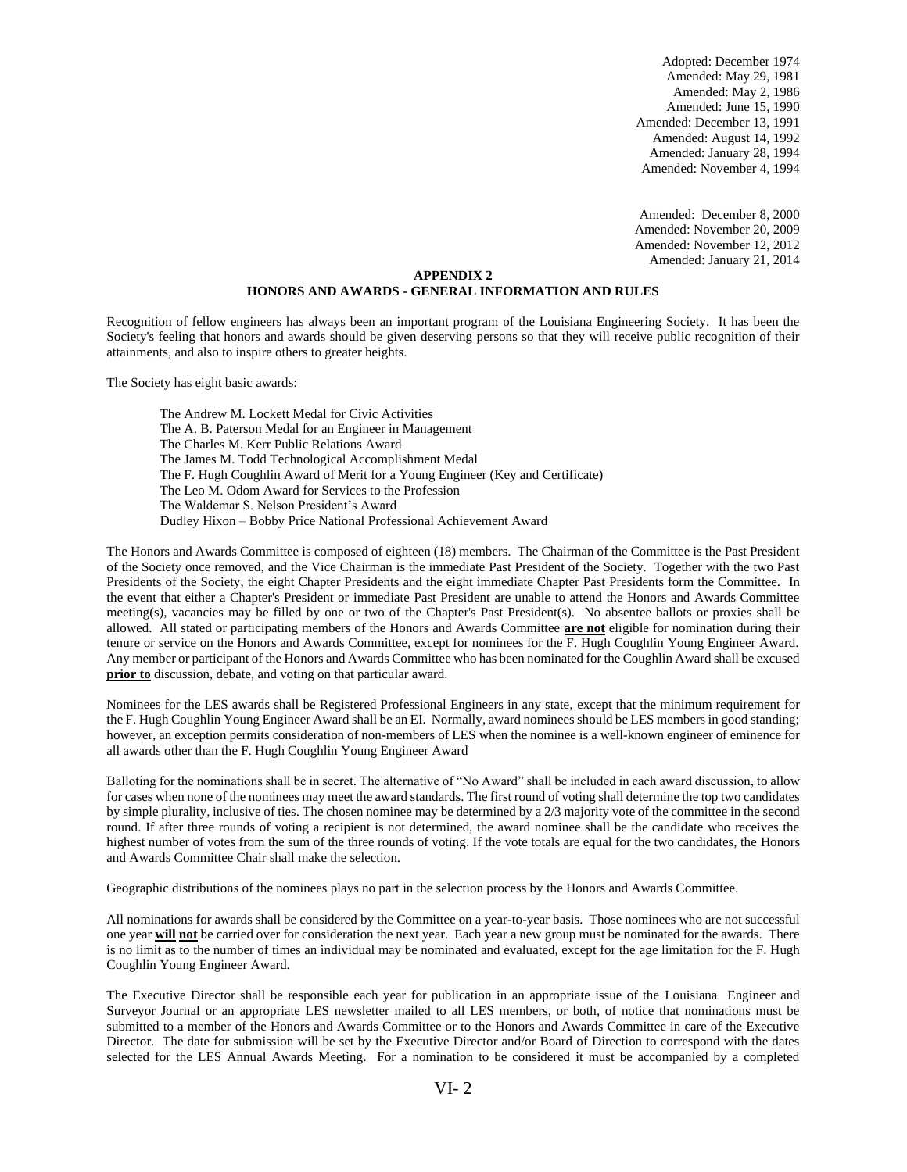Adopted: December 1974 Amended: May 29, 1981 Amended: May 2, 1986 Amended: June 15, 1990 Amended: December 13, 1991 Amended: August 14, 1992 Amended: January 28, 1994 Amended: November 4, 1994

Amended: December 8, 2000 Amended: November 20, 2009 Amended: November 12, 2012 Amended: January 21, 2014

## **APPENDIX 2 HONORS AND AWARDS - GENERAL INFORMATION AND RULES**

Recognition of fellow engineers has always been an important program of the Louisiana Engineering Society. It has been the Society's feeling that honors and awards should be given deserving persons so that they will receive public recognition of their attainments, and also to inspire others to greater heights.

The Society has eight basic awards:

The Andrew M. Lockett Medal for Civic Activities The A. B. Paterson Medal for an Engineer in Management The Charles M. Kerr Public Relations Award The James M. Todd Technological Accomplishment Medal The F. Hugh Coughlin Award of Merit for a Young Engineer (Key and Certificate) The Leo M. Odom Award for Services to the Profession The Waldemar S. Nelson President's Award Dudley Hixon – Bobby Price National Professional Achievement Award

The Honors and Awards Committee is composed of eighteen (18) members. The Chairman of the Committee is the Past President of the Society once removed, and the Vice Chairman is the immediate Past President of the Society. Together with the two Past Presidents of the Society, the eight Chapter Presidents and the eight immediate Chapter Past Presidents form the Committee. In the event that either a Chapter's President or immediate Past President are unable to attend the Honors and Awards Committee meeting(s), vacancies may be filled by one or two of the Chapter's Past President(s). No absentee ballots or proxies shall be allowed. All stated or participating members of the Honors and Awards Committee **are not** eligible for nomination during their tenure or service on the Honors and Awards Committee, except for nominees for the F. Hugh Coughlin Young Engineer Award. Any member or participant of the Honors and Awards Committee who has been nominated for the Coughlin Award shall be excused **prior to** discussion, debate, and voting on that particular award.

Nominees for the LES awards shall be Registered Professional Engineers in any state, except that the minimum requirement for the F. Hugh Coughlin Young Engineer Award shall be an EI. Normally, award nominees should be LES members in good standing; however, an exception permits consideration of non-members of LES when the nominee is a well-known engineer of eminence for all awards other than the F. Hugh Coughlin Young Engineer Award

Balloting for the nominations shall be in secret. The alternative of "No Award" shall be included in each award discussion, to allow for cases when none of the nominees may meet the award standards. The first round of voting shall determine the top two candidates by simple plurality, inclusive of ties. The chosen nominee may be determined by a 2/3 majority vote of the committee in the second round. If after three rounds of voting a recipient is not determined, the award nominee shall be the candidate who receives the highest number of votes from the sum of the three rounds of voting. If the vote totals are equal for the two candidates, the Honors and Awards Committee Chair shall make the selection.

Geographic distributions of the nominees plays no part in the selection process by the Honors and Awards Committee.

All nominations for awards shall be considered by the Committee on a year-to-year basis. Those nominees who are not successful one year **will not** be carried over for consideration the next year. Each year a new group must be nominated for the awards. There is no limit as to the number of times an individual may be nominated and evaluated, except for the age limitation for the F. Hugh Coughlin Young Engineer Award.

The Executive Director shall be responsible each year for publication in an appropriate issue of the Louisiana Engineer and Surveyor Journal or an appropriate LES newsletter mailed to all LES members, or both, of notice that nominations must be submitted to a member of the Honors and Awards Committee or to the Honors and Awards Committee in care of the Executive Director. The date for submission will be set by the Executive Director and/or Board of Direction to correspond with the dates selected for the LES Annual Awards Meeting. For a nomination to be considered it must be accompanied by a completed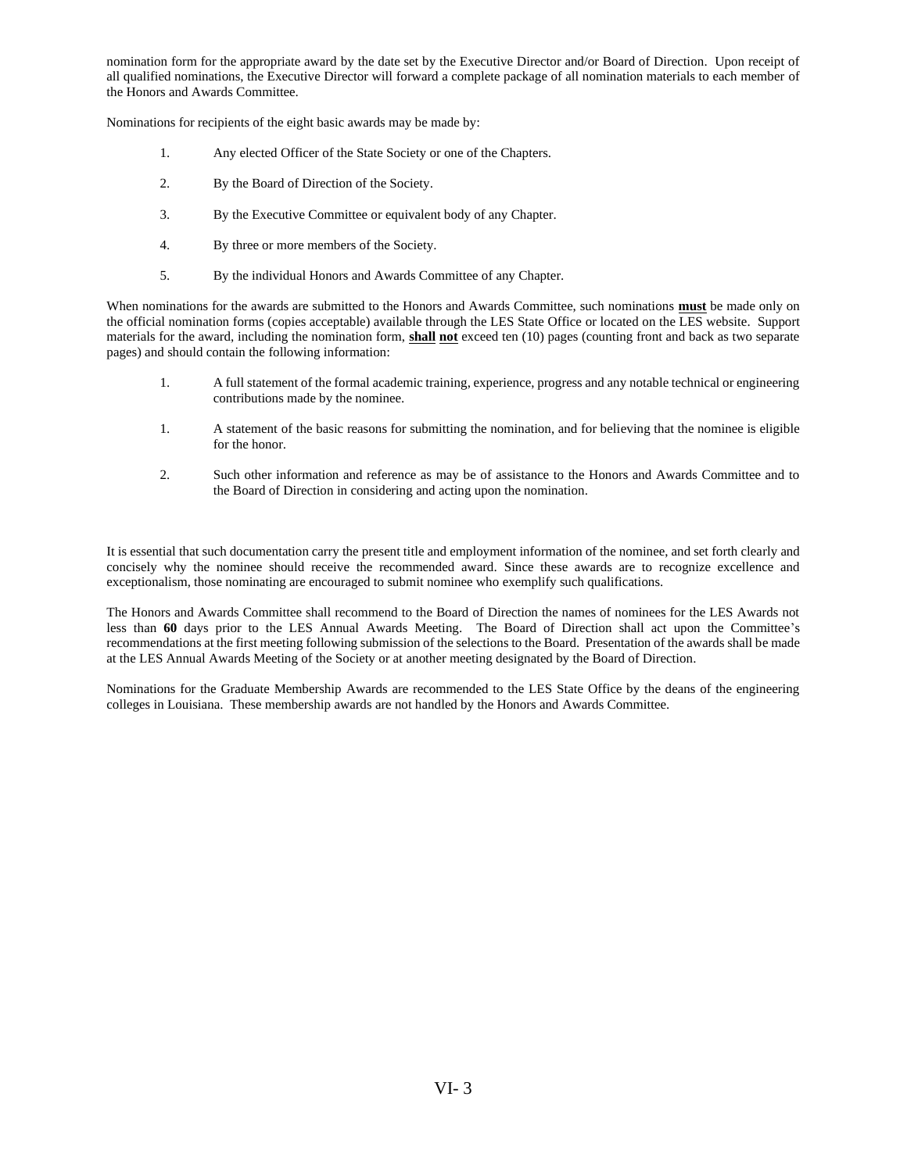nomination form for the appropriate award by the date set by the Executive Director and/or Board of Direction. Upon receipt of all qualified nominations, the Executive Director will forward a complete package of all nomination materials to each member of the Honors and Awards Committee.

Nominations for recipients of the eight basic awards may be made by:

- 1. Any elected Officer of the State Society or one of the Chapters.
- 2. By the Board of Direction of the Society.
- 3. By the Executive Committee or equivalent body of any Chapter.
- 4. By three or more members of the Society.
- 5. By the individual Honors and Awards Committee of any Chapter.

When nominations for the awards are submitted to the Honors and Awards Committee, such nominations **must** be made only on the official nomination forms (copies acceptable) available through the LES State Office or located on the LES website. Support materials for the award, including the nomination form, **shall not** exceed ten (10) pages (counting front and back as two separate pages) and should contain the following information:

- 1. A full statement of the formal academic training, experience, progress and any notable technical or engineering contributions made by the nominee.
- 1. A statement of the basic reasons for submitting the nomination, and for believing that the nominee is eligible for the honor.
- 2. Such other information and reference as may be of assistance to the Honors and Awards Committee and to the Board of Direction in considering and acting upon the nomination.

It is essential that such documentation carry the present title and employment information of the nominee, and set forth clearly and concisely why the nominee should receive the recommended award. Since these awards are to recognize excellence and exceptionalism, those nominating are encouraged to submit nominee who exemplify such qualifications.

The Honors and Awards Committee shall recommend to the Board of Direction the names of nominees for the LES Awards not less than **60** days prior to the LES Annual Awards Meeting. The Board of Direction shall act upon the Committee's recommendations at the first meeting following submission of the selections to the Board. Presentation of the awards shall be made at the LES Annual Awards Meeting of the Society or at another meeting designated by the Board of Direction.

Nominations for the Graduate Membership Awards are recommended to the LES State Office by the deans of the engineering colleges in Louisiana. These membership awards are not handled by the Honors and Awards Committee.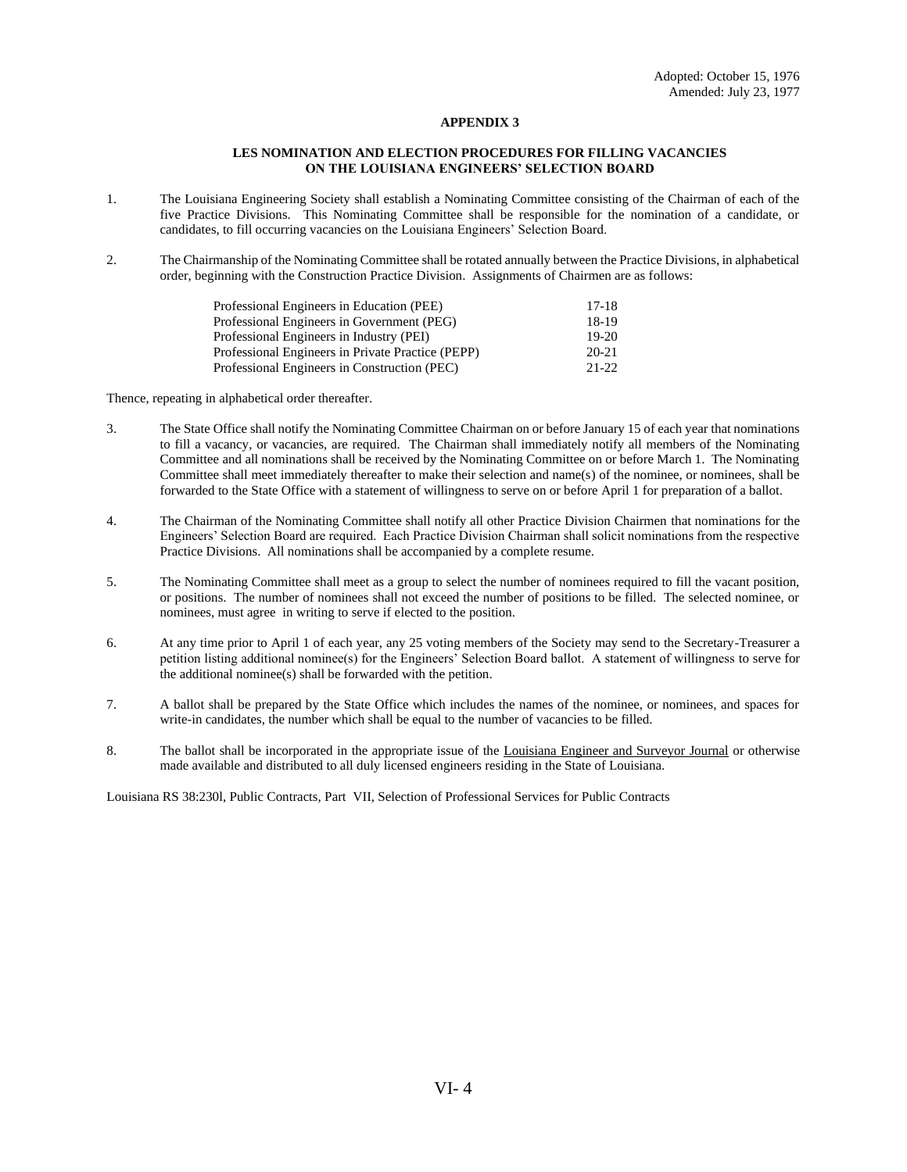## **LES NOMINATION AND ELECTION PROCEDURES FOR FILLING VACANCIES ON THE LOUISIANA ENGINEERS' SELECTION BOARD**

- 1. The Louisiana Engineering Society shall establish a Nominating Committee consisting of the Chairman of each of the five Practice Divisions. This Nominating Committee shall be responsible for the nomination of a candidate, or candidates, to fill occurring vacancies on the Louisiana Engineers' Selection Board.
- 2. The Chairmanship of the Nominating Committee shall be rotated annually between the Practice Divisions, in alphabetical order, beginning with the Construction Practice Division. Assignments of Chairmen are as follows:

| Professional Engineers in Education (PEE)         | $17-18$   |
|---------------------------------------------------|-----------|
| Professional Engineers in Government (PEG)        | 18-19     |
| Professional Engineers in Industry (PEI)          | $19-20$   |
| Professional Engineers in Private Practice (PEPP) | $20 - 21$ |
| Professional Engineers in Construction (PEC)      | 21-22     |

Thence, repeating in alphabetical order thereafter.

- 3. The State Office shall notify the Nominating Committee Chairman on or before January 15 of each year that nominations to fill a vacancy, or vacancies, are required. The Chairman shall immediately notify all members of the Nominating Committee and all nominations shall be received by the Nominating Committee on or before March 1. The Nominating Committee shall meet immediately thereafter to make their selection and name(s) of the nominee, or nominees, shall be forwarded to the State Office with a statement of willingness to serve on or before April 1 for preparation of a ballot.
- 4. The Chairman of the Nominating Committee shall notify all other Practice Division Chairmen that nominations for the Engineers' Selection Board are required. Each Practice Division Chairman shall solicit nominations from the respective Practice Divisions. All nominations shall be accompanied by a complete resume.
- 5. The Nominating Committee shall meet as a group to select the number of nominees required to fill the vacant position, or positions. The number of nominees shall not exceed the number of positions to be filled. The selected nominee, or nominees, must agree in writing to serve if elected to the position.
- 6. At any time prior to April 1 of each year, any 25 voting members of the Society may send to the Secretary-Treasurer a petition listing additional nominee(s) for the Engineers' Selection Board ballot. A statement of willingness to serve for the additional nominee(s) shall be forwarded with the petition.
- 7. A ballot shall be prepared by the State Office which includes the names of the nominee, or nominees, and spaces for write-in candidates, the number which shall be equal to the number of vacancies to be filled.
- 8. The ballot shall be incorporated in the appropriate issue of the Louisiana Engineer and Surveyor Journal or otherwise made available and distributed to all duly licensed engineers residing in the State of Louisiana.

Louisiana RS 38:230l, Public Contracts, Part VII, Selection of Professional Services for Public Contracts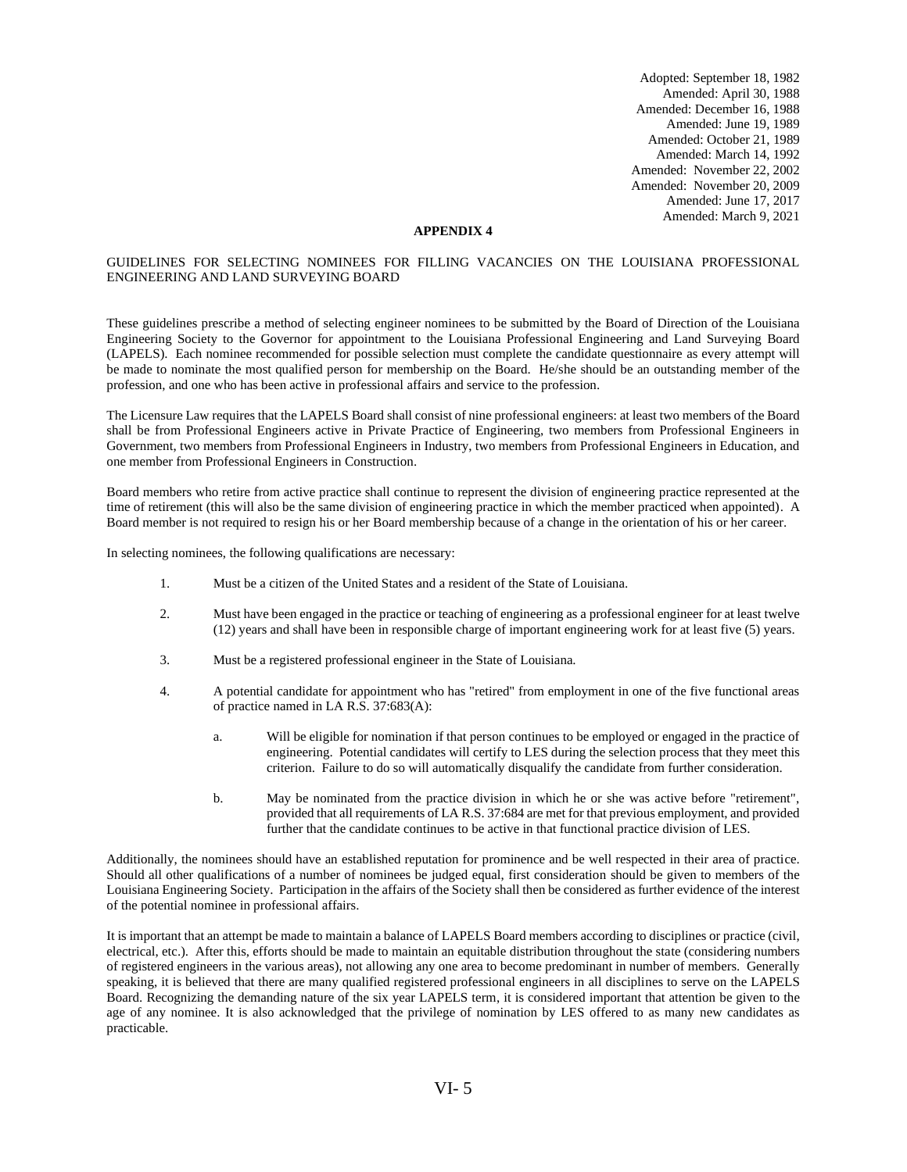Adopted: September 18, 1982 Amended: April 30, 1988 Amended: December 16, 1988 Amended: June 19, 1989 Amended: October 21, 1989 Amended: March 14, 1992 Amended: November 22, 2002 Amended: November 20, 2009 Amended: June 17, 2017 Amended: March 9, 2021

## **APPENDIX 4**

## GUIDELINES FOR SELECTING NOMINEES FOR FILLING VACANCIES ON THE LOUISIANA PROFESSIONAL ENGINEERING AND LAND SURVEYING BOARD

These guidelines prescribe a method of selecting engineer nominees to be submitted by the Board of Direction of the Louisiana Engineering Society to the Governor for appointment to the Louisiana Professional Engineering and Land Surveying Board (LAPELS). Each nominee recommended for possible selection must complete the candidate questionnaire as every attempt will be made to nominate the most qualified person for membership on the Board. He/she should be an outstanding member of the profession, and one who has been active in professional affairs and service to the profession.

The Licensure Law requires that the LAPELS Board shall consist of nine professional engineers: at least two members of the Board shall be from Professional Engineers active in Private Practice of Engineering, two members from Professional Engineers in Government, two members from Professional Engineers in Industry, two members from Professional Engineers in Education, and one member from Professional Engineers in Construction.

Board members who retire from active practice shall continue to represent the division of engineering practice represented at the time of retirement (this will also be the same division of engineering practice in which the member practiced when appointed). A Board member is not required to resign his or her Board membership because of a change in the orientation of his or her career.

In selecting nominees, the following qualifications are necessary:

- 1. Must be a citizen of the United States and a resident of the State of Louisiana.
- 2. Must have been engaged in the practice or teaching of engineering as a professional engineer for at least twelve (12) years and shall have been in responsible charge of important engineering work for at least five (5) years.
- 3. Must be a registered professional engineer in the State of Louisiana.
- 4. A potential candidate for appointment who has "retired" from employment in one of the five functional areas of practice named in LA R.S. 37:683(A):
	- a. Will be eligible for nomination if that person continues to be employed or engaged in the practice of engineering. Potential candidates will certify to LES during the selection process that they meet this criterion. Failure to do so will automatically disqualify the candidate from further consideration.
	- b. May be nominated from the practice division in which he or she was active before "retirement", provided that all requirements of LA R.S. 37:684 are met for that previous employment, and provided further that the candidate continues to be active in that functional practice division of LES.

Additionally, the nominees should have an established reputation for prominence and be well respected in their area of practice. Should all other qualifications of a number of nominees be judged equal, first consideration should be given to members of the Louisiana Engineering Society. Participation in the affairs of the Society shall then be considered as further evidence of the interest of the potential nominee in professional affairs.

It is important that an attempt be made to maintain a balance of LAPELS Board members according to disciplines or practice (civil, electrical, etc.). After this, efforts should be made to maintain an equitable distribution throughout the state (considering numbers of registered engineers in the various areas), not allowing any one area to become predominant in number of members. Generally speaking, it is believed that there are many qualified registered professional engineers in all disciplines to serve on the LAPELS Board. Recognizing the demanding nature of the six year LAPELS term, it is considered important that attention be given to the age of any nominee. It is also acknowledged that the privilege of nomination by LES offered to as many new candidates as practicable.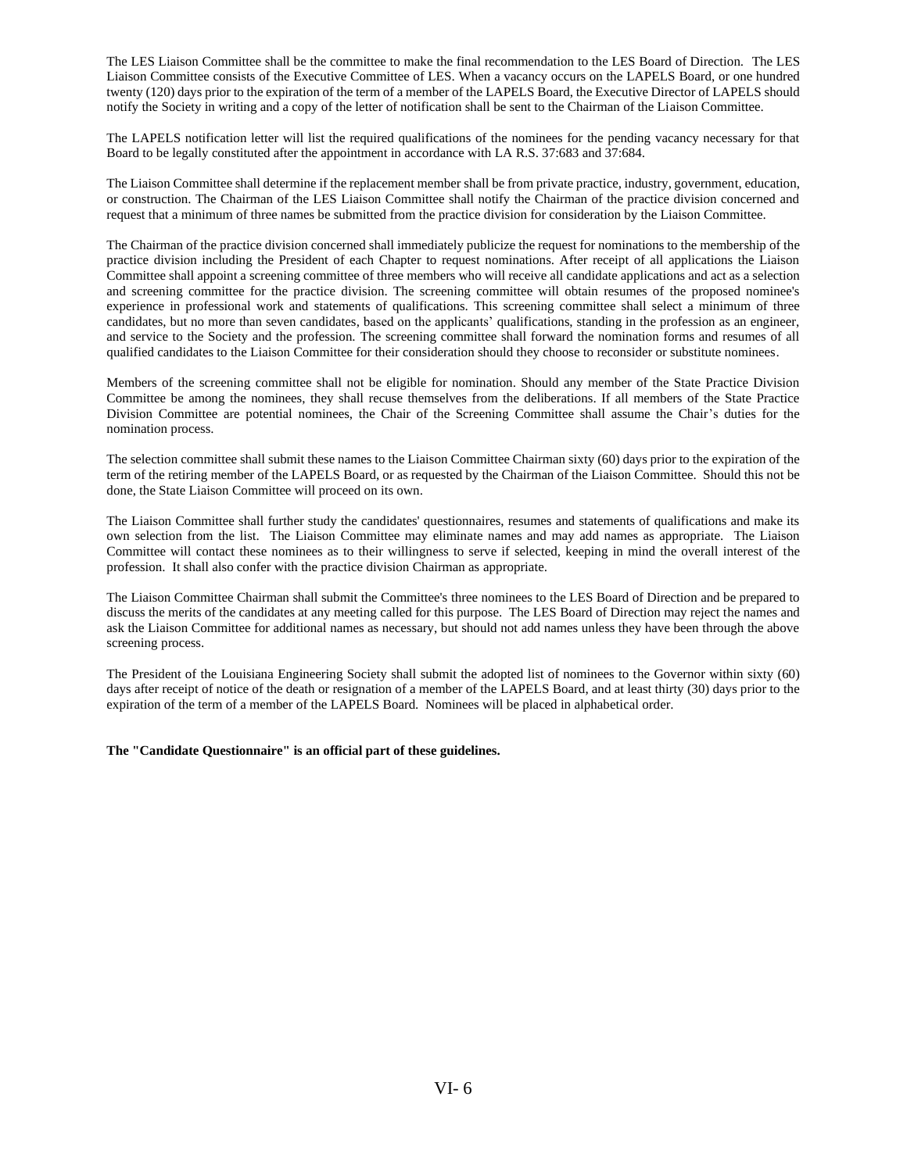The LES Liaison Committee shall be the committee to make the final recommendation to the LES Board of Direction. The LES Liaison Committee consists of the Executive Committee of LES. When a vacancy occurs on the LAPELS Board, or one hundred twenty (120) days prior to the expiration of the term of a member of the LAPELS Board, the Executive Director of LAPELS should notify the Society in writing and a copy of the letter of notification shall be sent to the Chairman of the Liaison Committee.

The LAPELS notification letter will list the required qualifications of the nominees for the pending vacancy necessary for that Board to be legally constituted after the appointment in accordance with LA R.S. 37:683 and 37:684.

The Liaison Committee shall determine if the replacement member shall be from private practice, industry, government, education, or construction. The Chairman of the LES Liaison Committee shall notify the Chairman of the practice division concerned and request that a minimum of three names be submitted from the practice division for consideration by the Liaison Committee.

The Chairman of the practice division concerned shall immediately publicize the request for nominations to the membership of the practice division including the President of each Chapter to request nominations. After receipt of all applications the Liaison Committee shall appoint a screening committee of three members who will receive all candidate applications and act as a selection and screening committee for the practice division. The screening committee will obtain resumes of the proposed nominee's experience in professional work and statements of qualifications. This screening committee shall select a minimum of three candidates, but no more than seven candidates, based on the applicants' qualifications, standing in the profession as an engineer, and service to the Society and the profession. The screening committee shall forward the nomination forms and resumes of all qualified candidates to the Liaison Committee for their consideration should they choose to reconsider or substitute nominees.

Members of the screening committee shall not be eligible for nomination. Should any member of the State Practice Division Committee be among the nominees, they shall recuse themselves from the deliberations. If all members of the State Practice Division Committee are potential nominees, the Chair of the Screening Committee shall assume the Chair's duties for the nomination process.

The selection committee shall submit these names to the Liaison Committee Chairman sixty (60) days prior to the expiration of the term of the retiring member of the LAPELS Board, or as requested by the Chairman of the Liaison Committee. Should this not be done, the State Liaison Committee will proceed on its own.

The Liaison Committee shall further study the candidates' questionnaires, resumes and statements of qualifications and make its own selection from the list. The Liaison Committee may eliminate names and may add names as appropriate. The Liaison Committee will contact these nominees as to their willingness to serve if selected, keeping in mind the overall interest of the profession. It shall also confer with the practice division Chairman as appropriate.

The Liaison Committee Chairman shall submit the Committee's three nominees to the LES Board of Direction and be prepared to discuss the merits of the candidates at any meeting called for this purpose. The LES Board of Direction may reject the names and ask the Liaison Committee for additional names as necessary, but should not add names unless they have been through the above screening process.

The President of the Louisiana Engineering Society shall submit the adopted list of nominees to the Governor within sixty (60) days after receipt of notice of the death or resignation of a member of the LAPELS Board, and at least thirty (30) days prior to the expiration of the term of a member of the LAPELS Board. Nominees will be placed in alphabetical order.

**The "Candidate Questionnaire" is an official part of these guidelines.**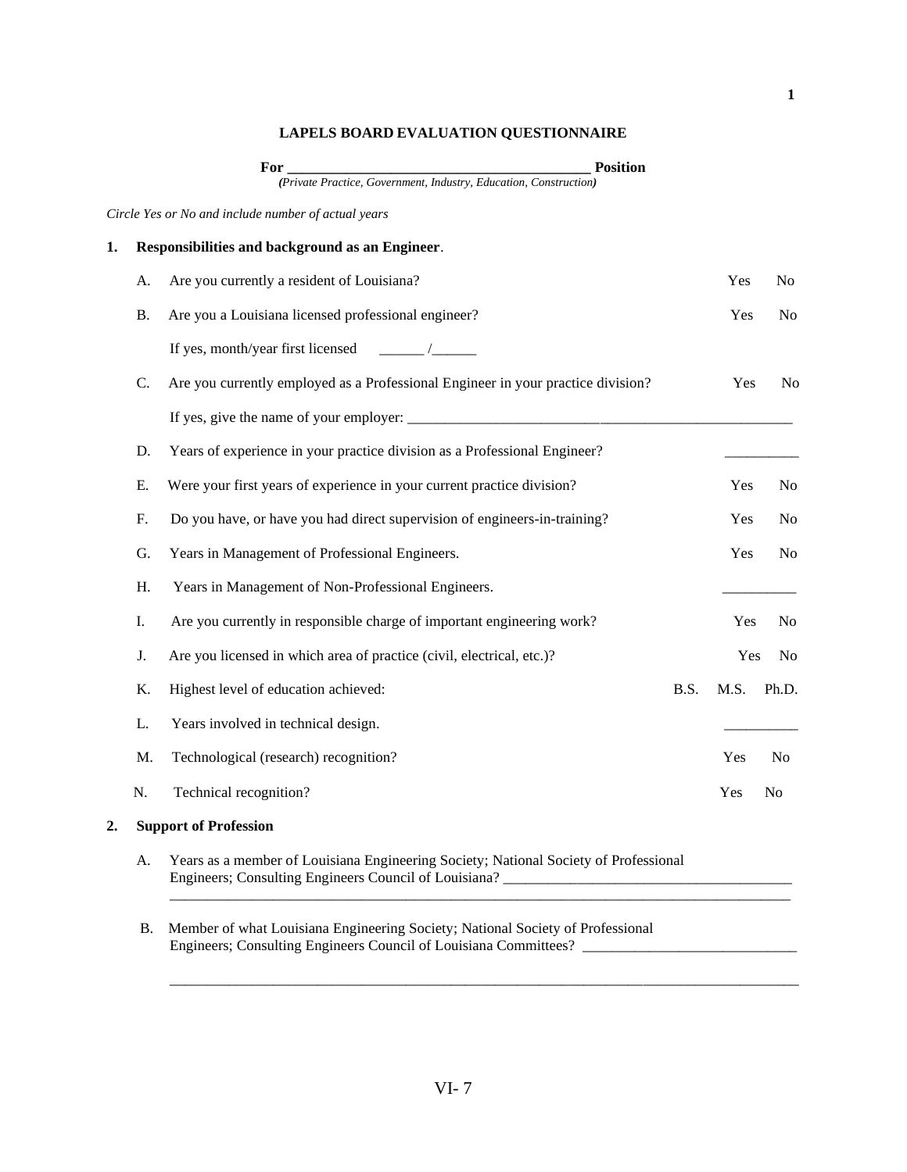|    |                                                 | <b>Position</b><br>For<br>(Private Practice, Government, Industry, Education, Construction)                                                                                                                                                                                                                                                                                                                                                                          |      |                |
|----|-------------------------------------------------|----------------------------------------------------------------------------------------------------------------------------------------------------------------------------------------------------------------------------------------------------------------------------------------------------------------------------------------------------------------------------------------------------------------------------------------------------------------------|------|----------------|
|    |                                                 | Circle Yes or No and include number of actual years                                                                                                                                                                                                                                                                                                                                                                                                                  |      |                |
| 1. | Responsibilities and background as an Engineer. |                                                                                                                                                                                                                                                                                                                                                                                                                                                                      |      |                |
|    | А.                                              | Are you currently a resident of Louisiana?                                                                                                                                                                                                                                                                                                                                                                                                                           | Yes  | No             |
|    | <b>B.</b>                                       | Are you a Louisiana licensed professional engineer?                                                                                                                                                                                                                                                                                                                                                                                                                  | Yes  | N <sub>0</sub> |
|    |                                                 | If yes, month/year first licensed<br>$\frac{1}{\sqrt{1-\frac{1}{2}}}\frac{1}{\sqrt{1-\frac{1}{2}}}\frac{1}{\sqrt{1-\frac{1}{2}}}\frac{1}{\sqrt{1-\frac{1}{2}}}\frac{1}{\sqrt{1-\frac{1}{2}}}\frac{1}{\sqrt{1-\frac{1}{2}}}\frac{1}{\sqrt{1-\frac{1}{2}}}\frac{1}{\sqrt{1-\frac{1}{2}}}\frac{1}{\sqrt{1-\frac{1}{2}}}\frac{1}{\sqrt{1-\frac{1}{2}}}\frac{1}{\sqrt{1-\frac{1}{2}}}\frac{1}{\sqrt{1-\frac{1}{2}}}\frac{1}{\sqrt{1-\frac{1}{2}}}\frac{1}{\sqrt{1-\frac{$ |      |                |
|    | C.                                              | Are you currently employed as a Professional Engineer in your practice division?                                                                                                                                                                                                                                                                                                                                                                                     | Yes  | N <sub>0</sub> |
|    |                                                 |                                                                                                                                                                                                                                                                                                                                                                                                                                                                      |      |                |
|    | D.                                              | Years of experience in your practice division as a Professional Engineer?                                                                                                                                                                                                                                                                                                                                                                                            |      |                |
|    | Е.                                              | Were your first years of experience in your current practice division?                                                                                                                                                                                                                                                                                                                                                                                               | Yes  | No             |
|    | F.                                              | Do you have, or have you had direct supervision of engineers-in-training?                                                                                                                                                                                                                                                                                                                                                                                            | Yes  | No             |
|    | G.                                              | Years in Management of Professional Engineers.                                                                                                                                                                                                                                                                                                                                                                                                                       | Yes  | No             |
|    | H.                                              | Years in Management of Non-Professional Engineers.                                                                                                                                                                                                                                                                                                                                                                                                                   |      |                |
|    | I.                                              | Are you currently in responsible charge of important engineering work?                                                                                                                                                                                                                                                                                                                                                                                               | Yes  | N <sub>0</sub> |
|    | J.                                              | Are you licensed in which area of practice (civil, electrical, etc.)?                                                                                                                                                                                                                                                                                                                                                                                                | Yes  | N <sub>0</sub> |
|    | K.                                              | Highest level of education achieved:<br>B.S.                                                                                                                                                                                                                                                                                                                                                                                                                         | M.S. | Ph.D.          |
|    | L.                                              | Years involved in technical design.                                                                                                                                                                                                                                                                                                                                                                                                                                  |      |                |
|    | M.                                              | Technological (research) recognition?                                                                                                                                                                                                                                                                                                                                                                                                                                | Yes  | N <sub>o</sub> |
|    | N.                                              | Technical recognition?                                                                                                                                                                                                                                                                                                                                                                                                                                               | Yes  | No             |
| 2. |                                                 | <b>Support of Profession</b>                                                                                                                                                                                                                                                                                                                                                                                                                                         |      |                |
|    | А.                                              | Years as a member of Louisiana Engineering Society; National Society of Professional<br>Engineers; Consulting Engineers Council of Louisiana? ___________________________                                                                                                                                                                                                                                                                                            |      |                |
|    | В.                                              | Member of what Louisiana Engineering Society; National Society of Professional<br>Engineers; Consulting Engineers Council of Louisiana Committees?                                                                                                                                                                                                                                                                                                                   |      |                |

# **LAPELS BOARD EVALUATION QUESTIONNAIRE**

 **1**

\_\_\_\_\_\_\_\_\_\_\_\_\_\_\_\_\_\_\_\_\_\_\_\_\_\_\_\_\_\_\_\_\_\_\_\_\_\_\_\_\_\_\_\_\_\_\_\_\_\_\_\_\_\_\_\_\_\_\_\_\_\_\_\_\_\_\_\_\_\_\_\_\_\_\_\_\_\_\_\_\_\_\_\_\_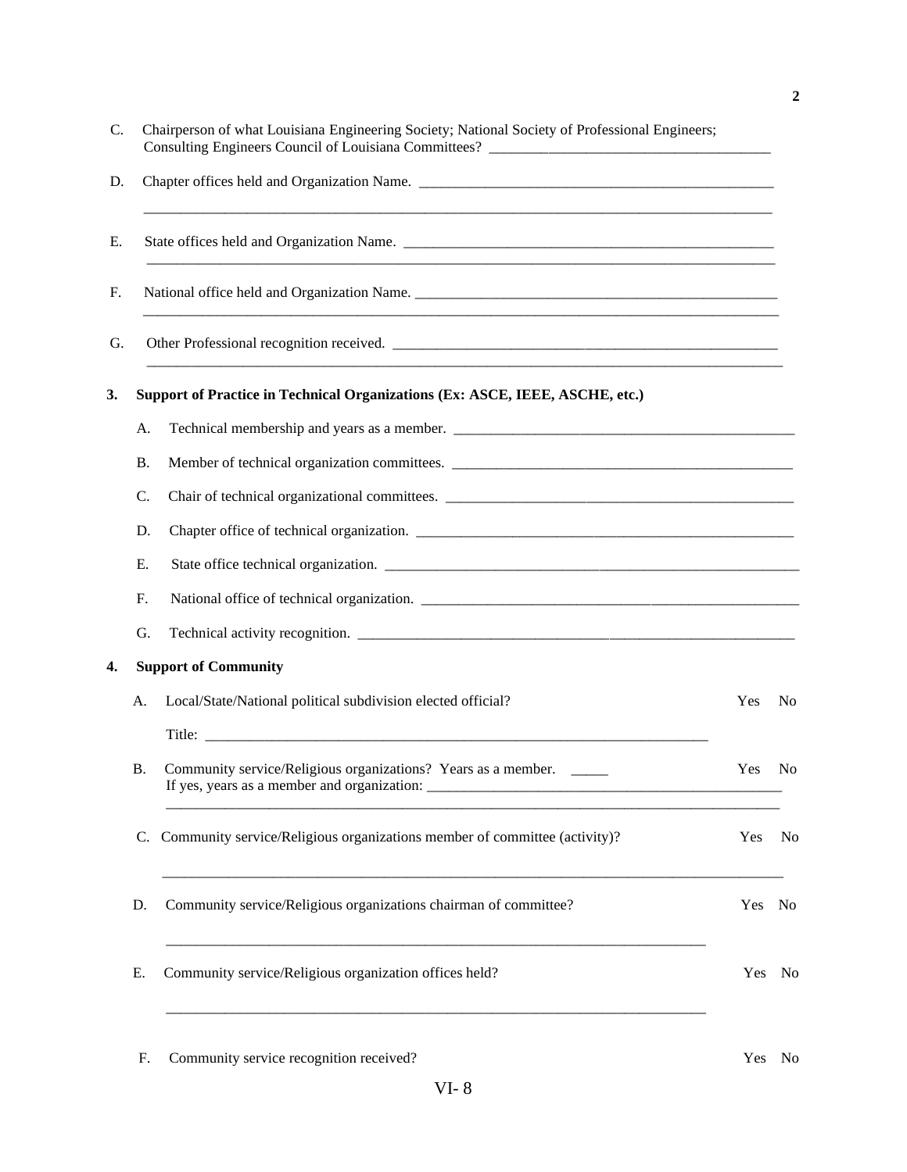| C. |           | Chairperson of what Louisiana Engineering Society; National Society of Professional Engineers;<br>Consulting Engineers Council of Louisiana Committees? ___________________________ |        |                |
|----|-----------|-------------------------------------------------------------------------------------------------------------------------------------------------------------------------------------|--------|----------------|
| D. |           |                                                                                                                                                                                     |        |                |
| Е. |           |                                                                                                                                                                                     |        |                |
| F. |           | National office held and Organization Name.                                                                                                                                         |        |                |
| G. |           |                                                                                                                                                                                     |        |                |
| 3. |           | Support of Practice in Technical Organizations (Ex: ASCE, IEEE, ASCHE, etc.)                                                                                                        |        |                |
|    | A.        | Technical membership and years as a member.                                                                                                                                         |        |                |
|    | <b>B.</b> |                                                                                                                                                                                     |        |                |
|    | C.        |                                                                                                                                                                                     |        |                |
|    | D.        | Chapter office of technical organization.                                                                                                                                           |        |                |
|    | Ε.        |                                                                                                                                                                                     |        |                |
|    | F.        |                                                                                                                                                                                     |        |                |
|    | G.        |                                                                                                                                                                                     |        |                |
| 4. |           | <b>Support of Community</b>                                                                                                                                                         |        |                |
|    | А.        | Local/State/National political subdivision elected official?                                                                                                                        | Yes    | N <sub>0</sub> |
|    |           |                                                                                                                                                                                     |        |                |
|    | В.        | Community service/Religious organizations? Years as a member.                                                                                                                       | Yes    | N <sub>0</sub> |
|    |           | C. Community service/Religious organizations member of committee (activity)?                                                                                                        | Yes    | No             |
|    | D.        | Community service/Religious organizations chairman of committee?                                                                                                                    | Yes    | No             |
|    | Ε.        | Community service/Religious organization offices held?                                                                                                                              | Yes No |                |
|    | F.        | Community service recognition received?                                                                                                                                             | Yes No |                |

**2**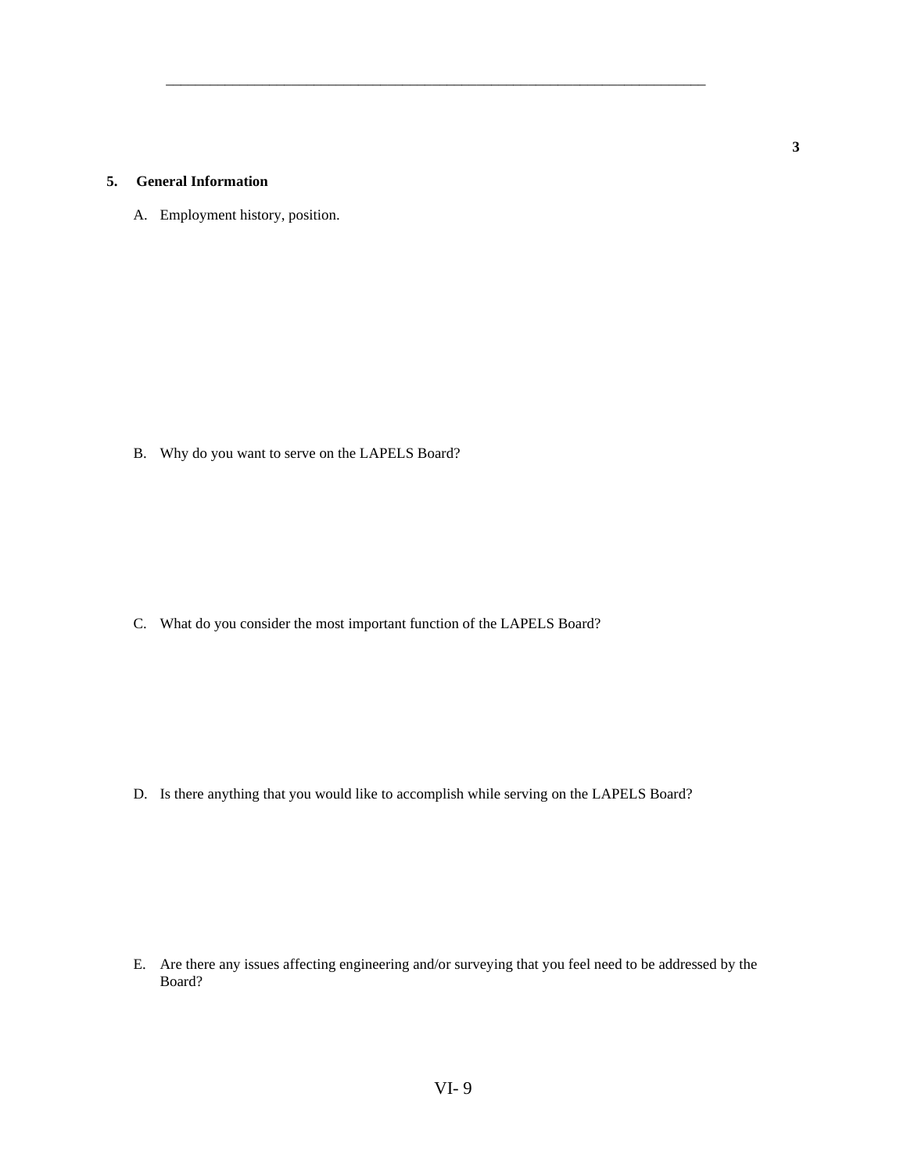# **5. General Information**

A. Employment history, position.

B. Why do you want to serve on the LAPELS Board?

C. What do you consider the most important function of the LAPELS Board?

 $\mathcal{L}_\text{max}$  , and the set of the set of the set of the set of the set of the set of the set of the set of the set of the set of the set of the set of the set of the set of the set of the set of the set of the set of the

D. Is there anything that you would like to accomplish while serving on the LAPELS Board?

E. Are there any issues affecting engineering and/or surveying that you feel need to be addressed by the Board?

**3**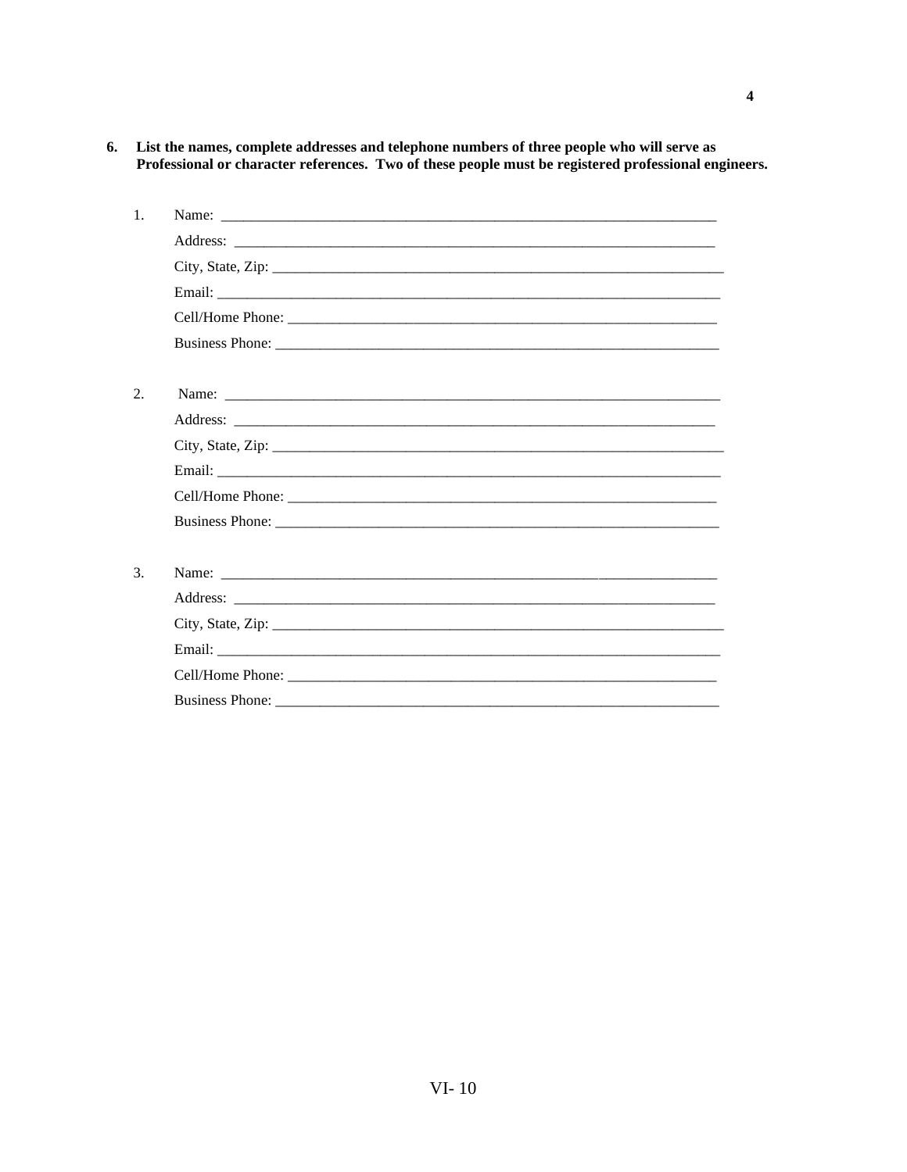6. List the names, complete addresses and telephone numbers of three people who will serve as Professional or character references. Two of these people must be registered professional engineers.

| 1.            |                                                                                                                |
|---------------|----------------------------------------------------------------------------------------------------------------|
|               |                                                                                                                |
|               |                                                                                                                |
|               |                                                                                                                |
|               |                                                                                                                |
|               |                                                                                                                |
|               |                                                                                                                |
| 2.            |                                                                                                                |
|               |                                                                                                                |
|               |                                                                                                                |
|               |                                                                                                                |
|               |                                                                                                                |
|               |                                                                                                                |
|               |                                                                                                                |
| $\mathcal{F}$ |                                                                                                                |
|               |                                                                                                                |
|               |                                                                                                                |
|               |                                                                                                                |
|               |                                                                                                                |
|               | Business Phone: 2008. 2009. 2010. 2010. 2010. 2010. 2010. 2010. 2010. 2010. 2010. 2010. 2010. 2010. 2010. 2010 |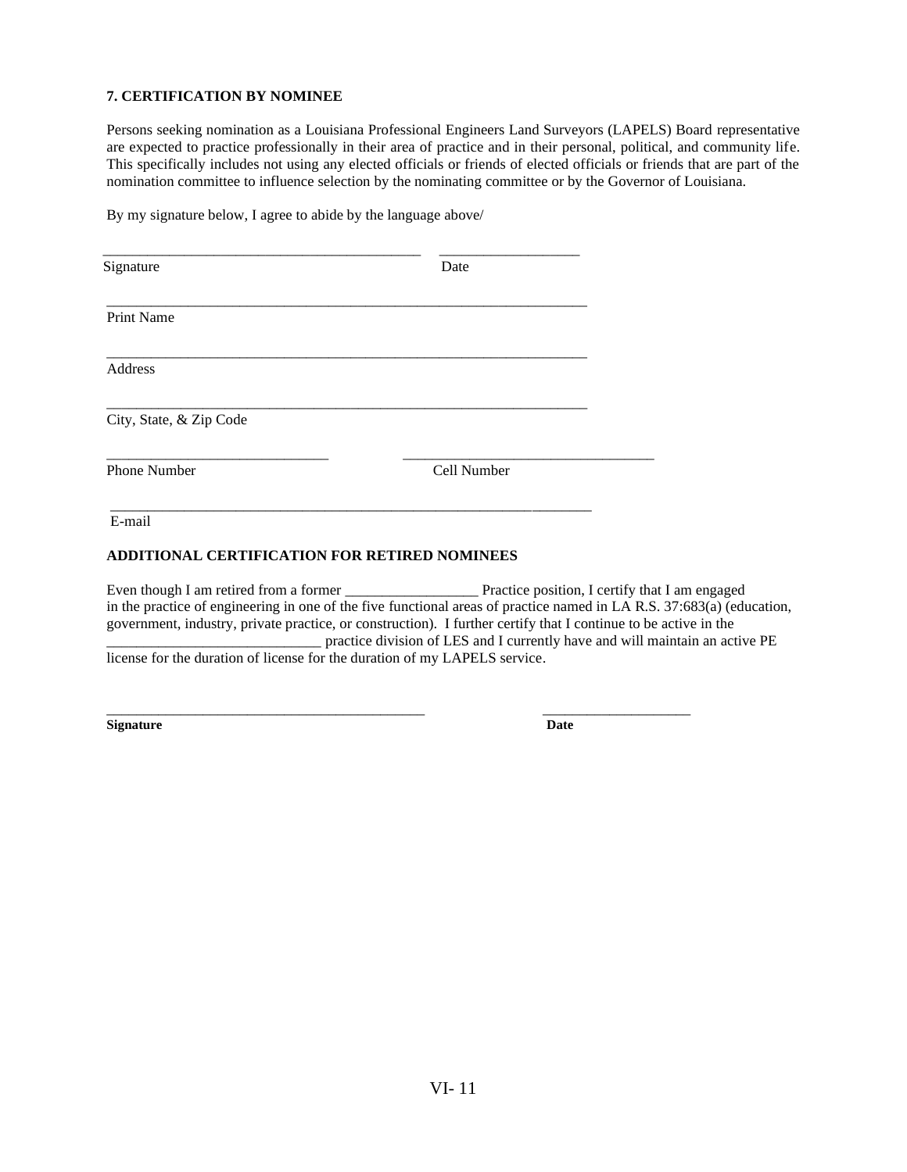# **7. CERTIFICATION BY NOMINEE**

Persons seeking nomination as a Louisiana Professional Engineers Land Surveyors (LAPELS) Board representative are expected to practice professionally in their area of practice and in their personal, political, and community life. This specifically includes not using any elected officials or friends of elected officials or friends that are part of the nomination committee to influence selection by the nominating committee or by the Governor of Louisiana.

By my signature below, I agree to abide by the language above/

| Signature               | Date        |
|-------------------------|-------------|
| Print Name              |             |
| Address                 |             |
| City, State, & Zip Code |             |
| Phone Number            | Cell Number |

E-mail

# **ADDITIONAL CERTIFICATION FOR RETIRED NOMINEES**

Even though I am retired from a former \_\_\_\_\_\_\_\_\_\_\_\_\_\_\_\_\_\_ Practice position, I certify that I am engaged in the practice of engineering in one of the five functional areas of practice named in LA R.S. 37:683(a) (education, government, industry, private practice, or construction). I further certify that I continue to be active in the \_\_\_\_\_\_\_\_\_\_\_\_\_\_\_\_\_\_\_\_\_\_\_\_\_\_\_\_\_ practice division of LES and I currently have and will maintain an active PE license for the duration of license for the duration of my LAPELS service.

\_\_\_\_\_\_\_\_\_\_\_\_\_\_\_\_\_\_\_\_\_\_\_\_\_\_\_\_\_\_\_\_\_\_\_\_\_\_\_\_\_\_\_ \_\_\_\_\_\_\_\_\_\_\_\_\_\_\_\_\_\_\_\_

**Signature Date**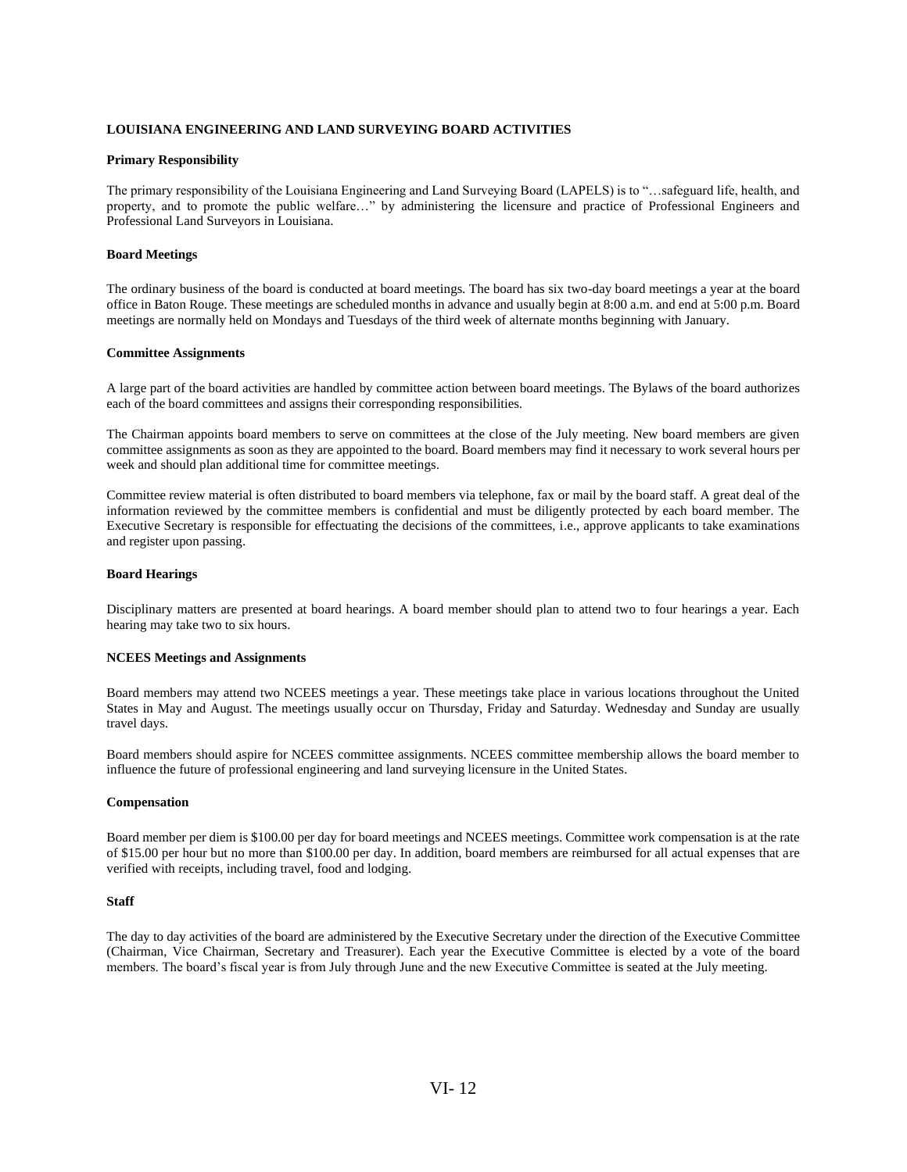## **LOUISIANA ENGINEERING AND LAND SURVEYING BOARD ACTIVITIES**

#### **Primary Responsibility**

The primary responsibility of the Louisiana Engineering and Land Surveying Board (LAPELS) is to "…safeguard life, health, and property, and to promote the public welfare…" by administering the licensure and practice of Professional Engineers and Professional Land Surveyors in Louisiana.

## **Board Meetings**

The ordinary business of the board is conducted at board meetings. The board has six two-day board meetings a year at the board office in Baton Rouge. These meetings are scheduled months in advance and usually begin at 8:00 a.m. and end at 5:00 p.m. Board meetings are normally held on Mondays and Tuesdays of the third week of alternate months beginning with January.

#### **Committee Assignments**

A large part of the board activities are handled by committee action between board meetings. The Bylaws of the board authorizes each of the board committees and assigns their corresponding responsibilities.

The Chairman appoints board members to serve on committees at the close of the July meeting. New board members are given committee assignments as soon as they are appointed to the board. Board members may find it necessary to work several hours per week and should plan additional time for committee meetings.

Committee review material is often distributed to board members via telephone, fax or mail by the board staff. A great deal of the information reviewed by the committee members is confidential and must be diligently protected by each board member. The Executive Secretary is responsible for effectuating the decisions of the committees, i.e., approve applicants to take examinations and register upon passing.

## **Board Hearings**

Disciplinary matters are presented at board hearings. A board member should plan to attend two to four hearings a year. Each hearing may take two to six hours.

#### **NCEES Meetings and Assignments**

Board members may attend two NCEES meetings a year. These meetings take place in various locations throughout the United States in May and August. The meetings usually occur on Thursday, Friday and Saturday. Wednesday and Sunday are usually travel days.

Board members should aspire for NCEES committee assignments. NCEES committee membership allows the board member to influence the future of professional engineering and land surveying licensure in the United States.

#### **Compensation**

Board member per diem is \$100.00 per day for board meetings and NCEES meetings. Committee work compensation is at the rate of \$15.00 per hour but no more than \$100.00 per day. In addition, board members are reimbursed for all actual expenses that are verified with receipts, including travel, food and lodging.

## **Staff**

The day to day activities of the board are administered by the Executive Secretary under the direction of the Executive Committee (Chairman, Vice Chairman, Secretary and Treasurer). Each year the Executive Committee is elected by a vote of the board members. The board's fiscal year is from July through June and the new Executive Committee is seated at the July meeting.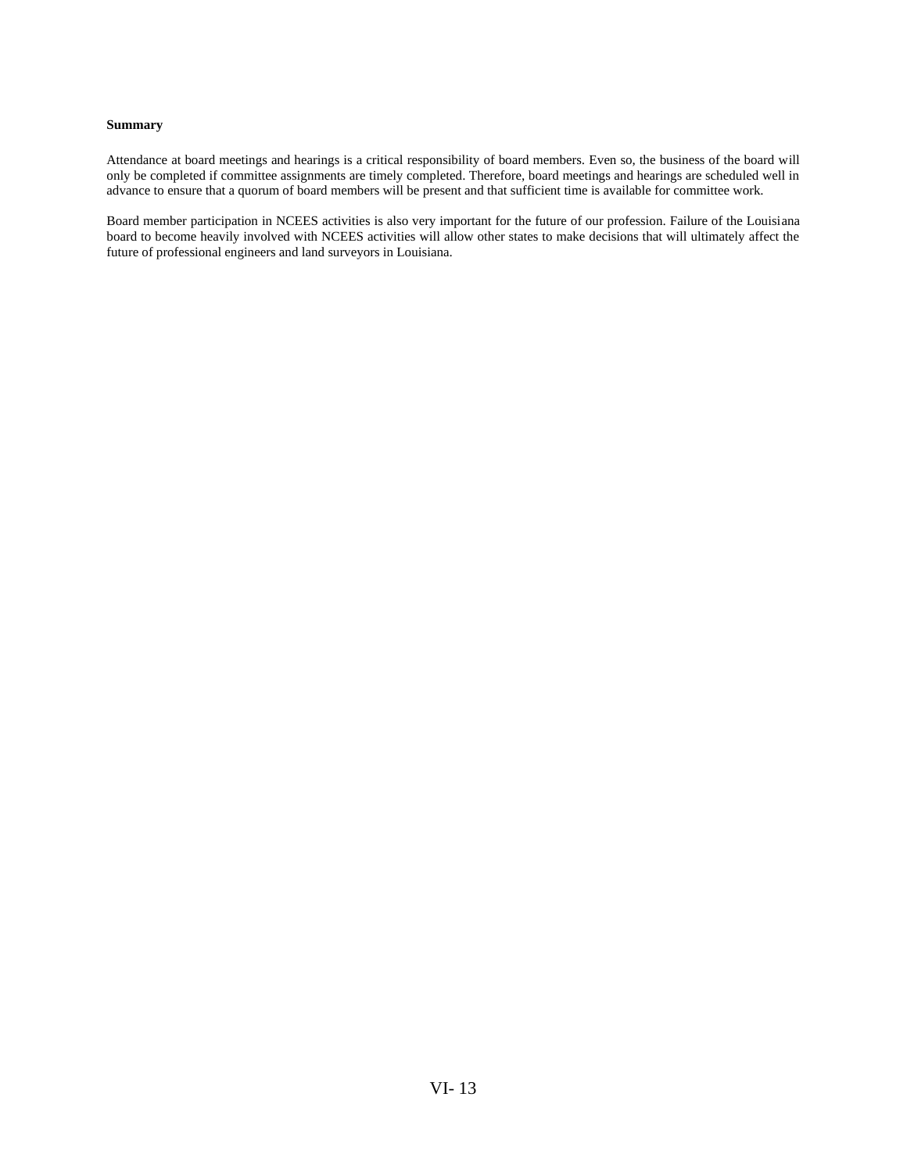#### **Summary**

Attendance at board meetings and hearings is a critical responsibility of board members. Even so, the business of the board will only be completed if committee assignments are timely completed. Therefore, board meetings and hearings are scheduled well in advance to ensure that a quorum of board members will be present and that sufficient time is available for committee work.

Board member participation in NCEES activities is also very important for the future of our profession. Failure of the Louisiana board to become heavily involved with NCEES activities will allow other states to make decisions that will ultimately affect the future of professional engineers and land surveyors in Louisiana.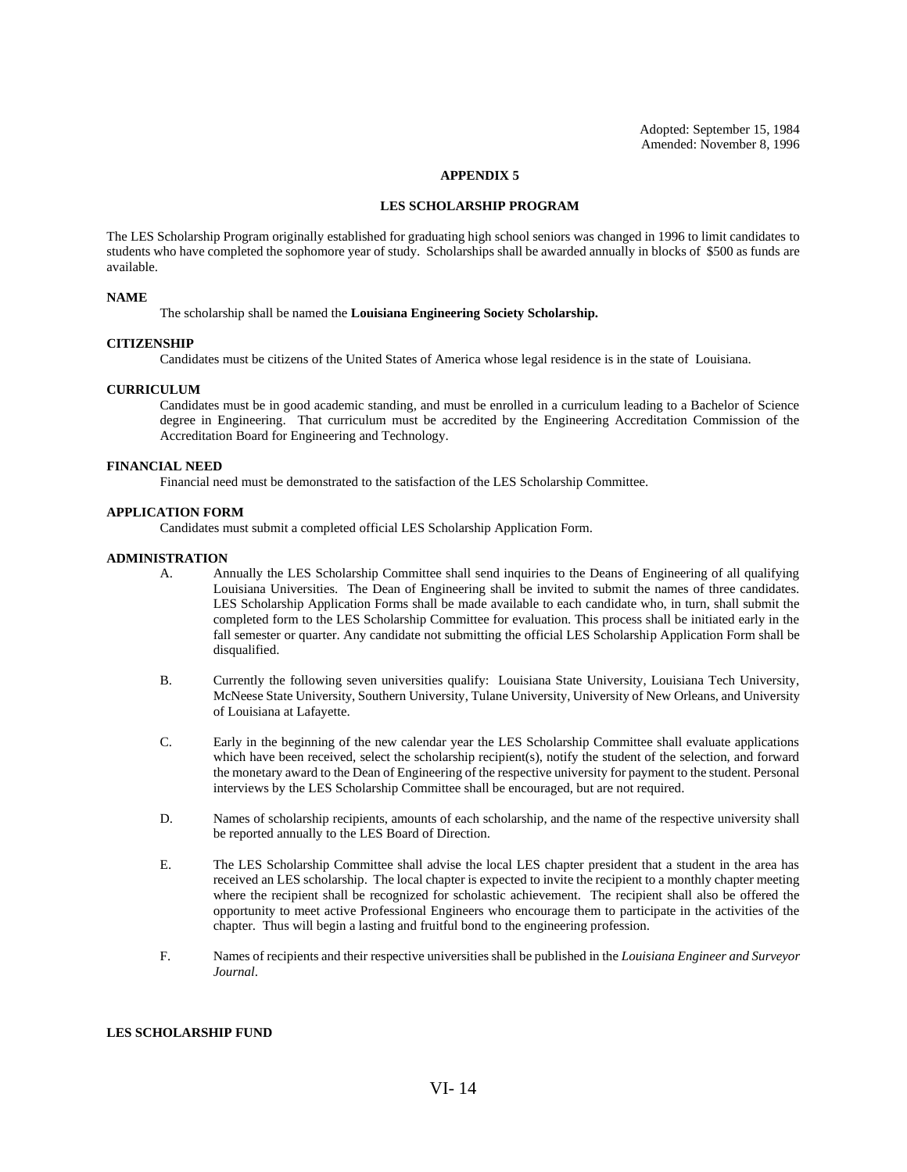#### **LES SCHOLARSHIP PROGRAM**

The LES Scholarship Program originally established for graduating high school seniors was changed in 1996 to limit candidates to students who have completed the sophomore year of study. Scholarships shall be awarded annually in blocks of \$500 as funds are available.

## **NAME**

The scholarship shall be named the **Louisiana Engineering Society Scholarship.**

## **CITIZENSHIP**

Candidates must be citizens of the United States of America whose legal residence is in the state of Louisiana.

## **CURRICULUM**

Candidates must be in good academic standing, and must be enrolled in a curriculum leading to a Bachelor of Science degree in Engineering. That curriculum must be accredited by the Engineering Accreditation Commission of the Accreditation Board for Engineering and Technology.

## **FINANCIAL NEED**

Financial need must be demonstrated to the satisfaction of the LES Scholarship Committee.

## **APPLICATION FORM**

Candidates must submit a completed official LES Scholarship Application Form.

## **ADMINISTRATION**

- A. Annually the LES Scholarship Committee shall send inquiries to the Deans of Engineering of all qualifying Louisiana Universities. The Dean of Engineering shall be invited to submit the names of three candidates. LES Scholarship Application Forms shall be made available to each candidate who, in turn, shall submit the completed form to the LES Scholarship Committee for evaluation. This process shall be initiated early in the fall semester or quarter. Any candidate not submitting the official LES Scholarship Application Form shall be disqualified.
- B. Currently the following seven universities qualify: Louisiana State University, Louisiana Tech University, McNeese State University, Southern University, Tulane University, University of New Orleans, and University of Louisiana at Lafayette.
- C. Early in the beginning of the new calendar year the LES Scholarship Committee shall evaluate applications which have been received, select the scholarship recipient(s), notify the student of the selection, and forward the monetary award to the Dean of Engineering of the respective university for payment to the student. Personal interviews by the LES Scholarship Committee shall be encouraged, but are not required.
- D. Names of scholarship recipients, amounts of each scholarship, and the name of the respective university shall be reported annually to the LES Board of Direction.
- E. The LES Scholarship Committee shall advise the local LES chapter president that a student in the area has received an LES scholarship. The local chapter is expected to invite the recipient to a monthly chapter meeting where the recipient shall be recognized for scholastic achievement. The recipient shall also be offered the opportunity to meet active Professional Engineers who encourage them to participate in the activities of the chapter. Thus will begin a lasting and fruitful bond to the engineering profession.
- F. Names of recipients and their respective universities shall be published in the *Louisiana Engineer and Surveyor Journal*.

# **LES SCHOLARSHIP FUND**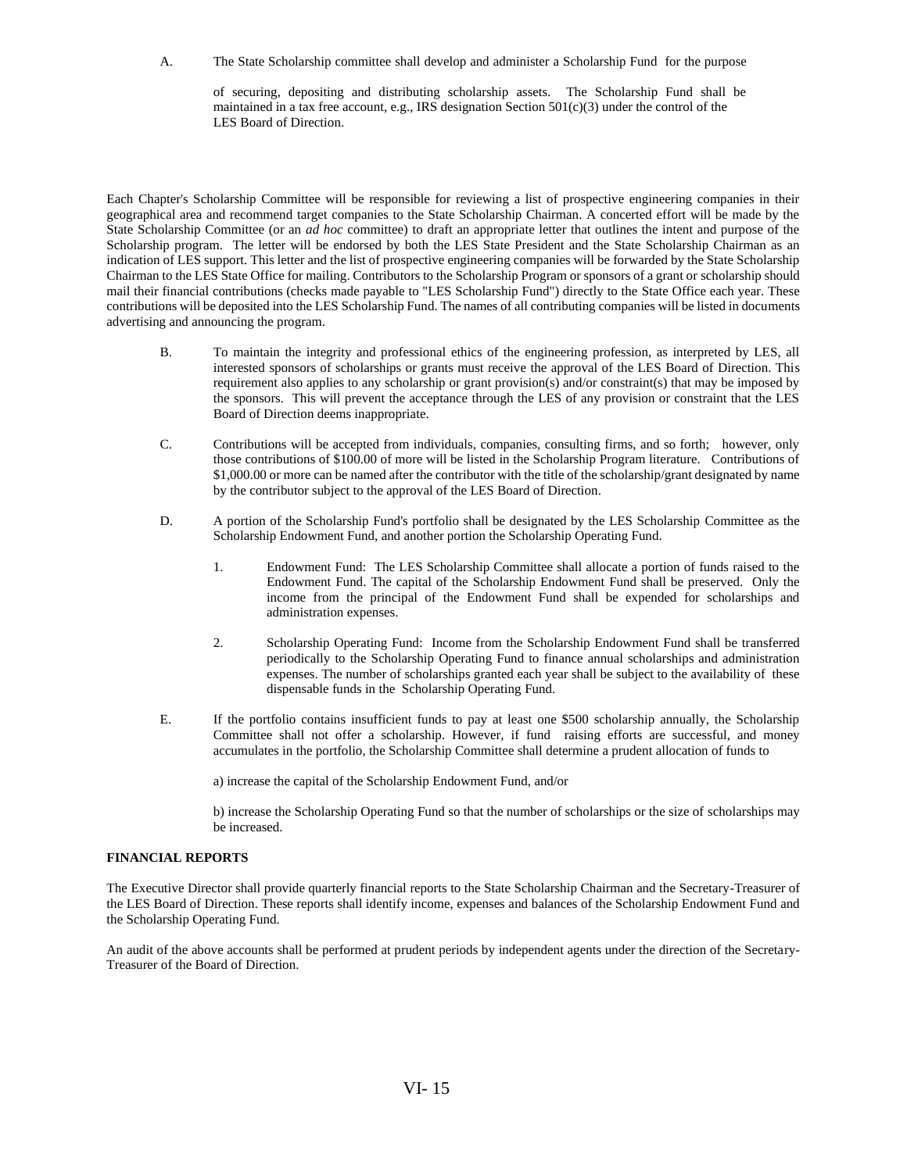A. The State Scholarship committee shall develop and administer a Scholarship Fund for the purpose

of securing, depositing and distributing scholarship assets. The Scholarship Fund shall be maintained in a tax free account, e.g., IRS designation Section 501(c)(3) under the control of the LES Board of Direction.

Each Chapter's Scholarship Committee will be responsible for reviewing a list of prospective engineering companies in their geographical area and recommend target companies to the State Scholarship Chairman. A concerted effort will be made by the State Scholarship Committee (or an *ad hoc* committee) to draft an appropriate letter that outlines the intent and purpose of the Scholarship program. The letter will be endorsed by both the LES State President and the State Scholarship Chairman as an indication of LES support. This letter and the list of prospective engineering companies will be forwarded by the State Scholarship Chairman to the LES State Office for mailing. Contributors to the Scholarship Program or sponsors of a grant or scholarship should mail their financial contributions (checks made payable to "LES Scholarship Fund") directly to the State Office each year. These contributions will be deposited into the LES Scholarship Fund. The names of all contributing companies will be listed in documents advertising and announcing the program.

- B. To maintain the integrity and professional ethics of the engineering profession, as interpreted by LES, all interested sponsors of scholarships or grants must receive the approval of the LES Board of Direction. This requirement also applies to any scholarship or grant provision(s) and/or constraint(s) that may be imposed by the sponsors. This will prevent the acceptance through the LES of any provision or constraint that the LES Board of Direction deems inappropriate.
- C. Contributions will be accepted from individuals, companies, consulting firms, and so forth; however, only those contributions of \$100.00 of more will be listed in the Scholarship Program literature. Contributions of \$1,000.00 or more can be named after the contributor with the title of the scholarship/grant designated by name by the contributor subject to the approval of the LES Board of Direction.
- D. A portion of the Scholarship Fund's portfolio shall be designated by the LES Scholarship Committee as the Scholarship Endowment Fund, and another portion the Scholarship Operating Fund.
	- 1. Endowment Fund: The LES Scholarship Committee shall allocate a portion of funds raised to the Endowment Fund. The capital of the Scholarship Endowment Fund shall be preserved. Only the income from the principal of the Endowment Fund shall be expended for scholarships and administration expenses.
	- 2. Scholarship Operating Fund: Income from the Scholarship Endowment Fund shall be transferred periodically to the Scholarship Operating Fund to finance annual scholarships and administration expenses. The number of scholarships granted each year shall be subject to the availability of these dispensable funds in the Scholarship Operating Fund.
- E. If the portfolio contains insufficient funds to pay at least one \$500 scholarship annually, the Scholarship Committee shall not offer a scholarship. However, if fund raising efforts are successful, and money accumulates in the portfolio, the Scholarship Committee shall determine a prudent allocation of funds to

a) increase the capital of the Scholarship Endowment Fund, and/or

b) increase the Scholarship Operating Fund so that the number of scholarships or the size of scholarships may be increased.

# **FINANCIAL REPORTS**

The Executive Director shall provide quarterly financial reports to the State Scholarship Chairman and the Secretary-Treasurer of the LES Board of Direction. These reports shall identify income, expenses and balances of the Scholarship Endowment Fund and the Scholarship Operating Fund.

An audit of the above accounts shall be performed at prudent periods by independent agents under the direction of the Secretary-Treasurer of the Board of Direction.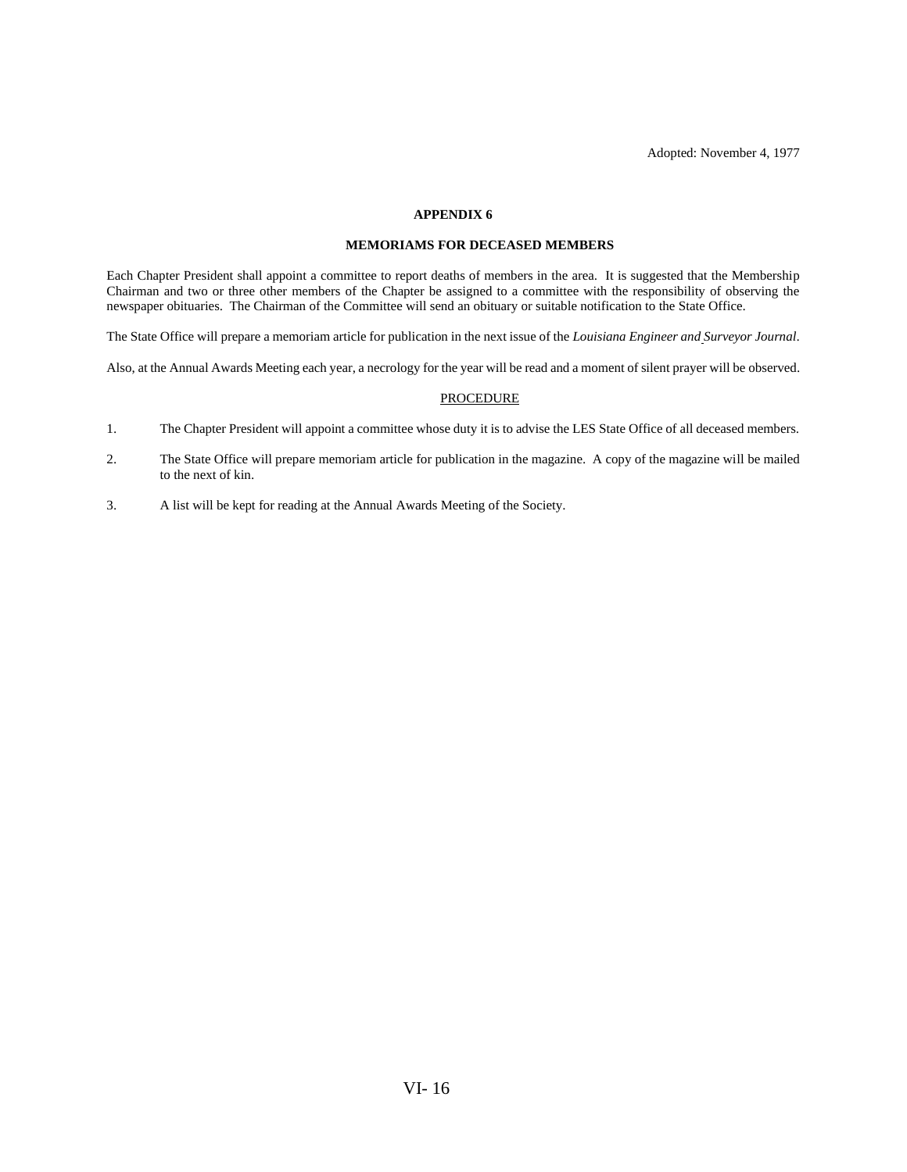# **MEMORIAMS FOR DECEASED MEMBERS**

Each Chapter President shall appoint a committee to report deaths of members in the area. It is suggested that the Membership Chairman and two or three other members of the Chapter be assigned to a committee with the responsibility of observing the newspaper obituaries. The Chairman of the Committee will send an obituary or suitable notification to the State Office.

The State Office will prepare a memoriam article for publication in the next issue of the *Louisiana Engineer and Surveyor Journal*.

Also, at the Annual Awards Meeting each year, a necrology for the year will be read and a moment of silent prayer will be observed.

## PROCEDURE

- 1. The Chapter President will appoint a committee whose duty it is to advise the LES State Office of all deceased members.
- 2. The State Office will prepare memoriam article for publication in the magazine. A copy of the magazine will be mailed to the next of kin.
- 3. A list will be kept for reading at the Annual Awards Meeting of the Society.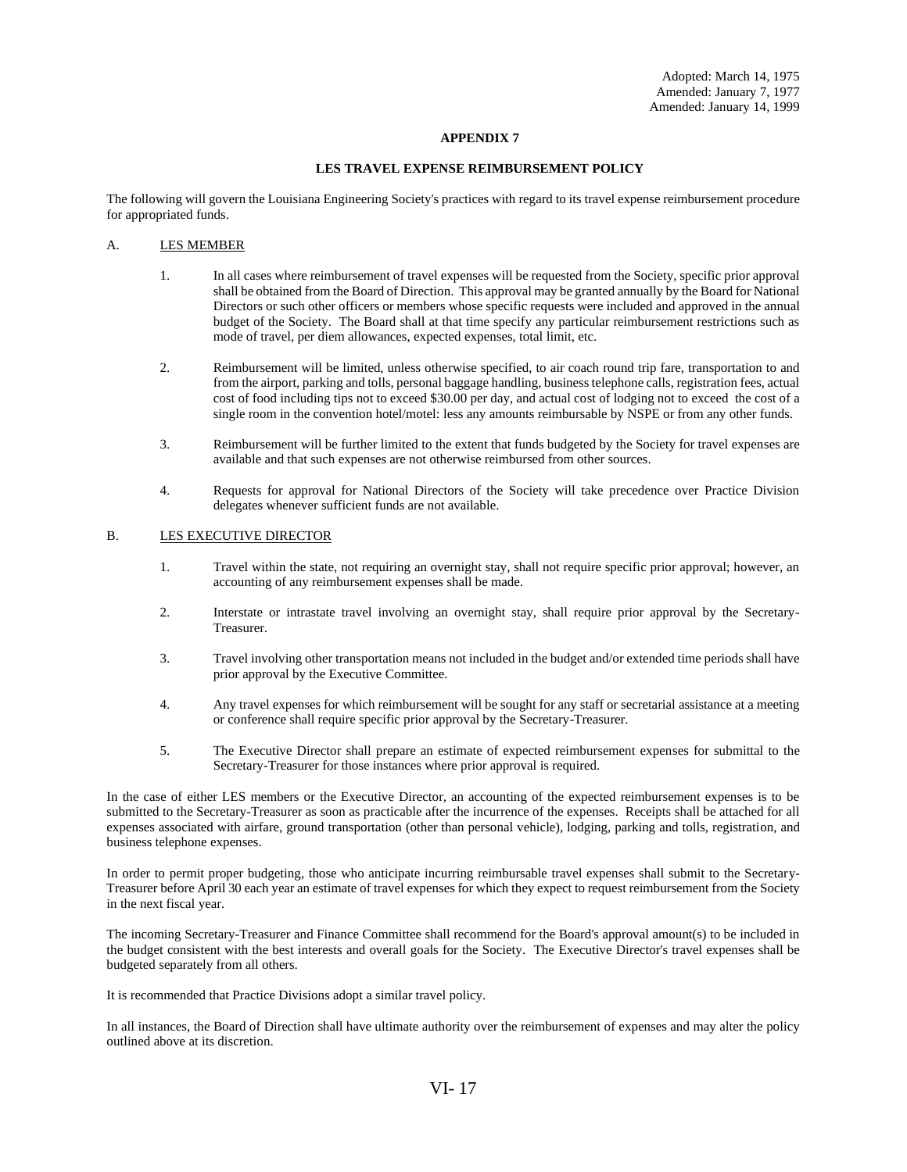Adopted: March 14, 1975 Amended: January 7, 1977 Amended: January 14, 1999

## **APPENDIX 7**

## **LES TRAVEL EXPENSE REIMBURSEMENT POLICY**

The following will govern the Louisiana Engineering Society's practices with regard to its travel expense reimbursement procedure for appropriated funds.

## A. LES MEMBER

- 1. In all cases where reimbursement of travel expenses will be requested from the Society, specific prior approval shall be obtained from the Board of Direction. This approval may be granted annually by the Board for National Directors or such other officers or members whose specific requests were included and approved in the annual budget of the Society. The Board shall at that time specify any particular reimbursement restrictions such as mode of travel, per diem allowances, expected expenses, total limit, etc.
- 2. Reimbursement will be limited, unless otherwise specified, to air coach round trip fare, transportation to and from the airport, parking and tolls, personal baggage handling, business telephone calls, registration fees, actual cost of food including tips not to exceed \$30.00 per day, and actual cost of lodging not to exceed the cost of a single room in the convention hotel/motel: less any amounts reimbursable by NSPE or from any other funds.
- 3. Reimbursement will be further limited to the extent that funds budgeted by the Society for travel expenses are available and that such expenses are not otherwise reimbursed from other sources.
- 4. Requests for approval for National Directors of the Society will take precedence over Practice Division delegates whenever sufficient funds are not available.

## B. LES EXECUTIVE DIRECTOR

- 1. Travel within the state, not requiring an overnight stay, shall not require specific prior approval; however, an accounting of any reimbursement expenses shall be made.
- 2. Interstate or intrastate travel involving an overnight stay, shall require prior approval by the Secretary-Treasurer.
- 3. Travel involving other transportation means not included in the budget and/or extended time periods shall have prior approval by the Executive Committee.
- 4. Any travel expenses for which reimbursement will be sought for any staff or secretarial assistance at a meeting or conference shall require specific prior approval by the Secretary-Treasurer.
- 5. The Executive Director shall prepare an estimate of expected reimbursement expenses for submittal to the Secretary-Treasurer for those instances where prior approval is required.

In the case of either LES members or the Executive Director, an accounting of the expected reimbursement expenses is to be submitted to the Secretary-Treasurer as soon as practicable after the incurrence of the expenses. Receipts shall be attached for all expenses associated with airfare, ground transportation (other than personal vehicle), lodging, parking and tolls, registration, and business telephone expenses.

In order to permit proper budgeting, those who anticipate incurring reimbursable travel expenses shall submit to the Secretary-Treasurer before April 30 each year an estimate of travel expenses for which they expect to request reimbursement from the Society in the next fiscal year.

The incoming Secretary-Treasurer and Finance Committee shall recommend for the Board's approval amount(s) to be included in the budget consistent with the best interests and overall goals for the Society. The Executive Director's travel expenses shall be budgeted separately from all others.

It is recommended that Practice Divisions adopt a similar travel policy.

In all instances, the Board of Direction shall have ultimate authority over the reimbursement of expenses and may alter the policy outlined above at its discretion.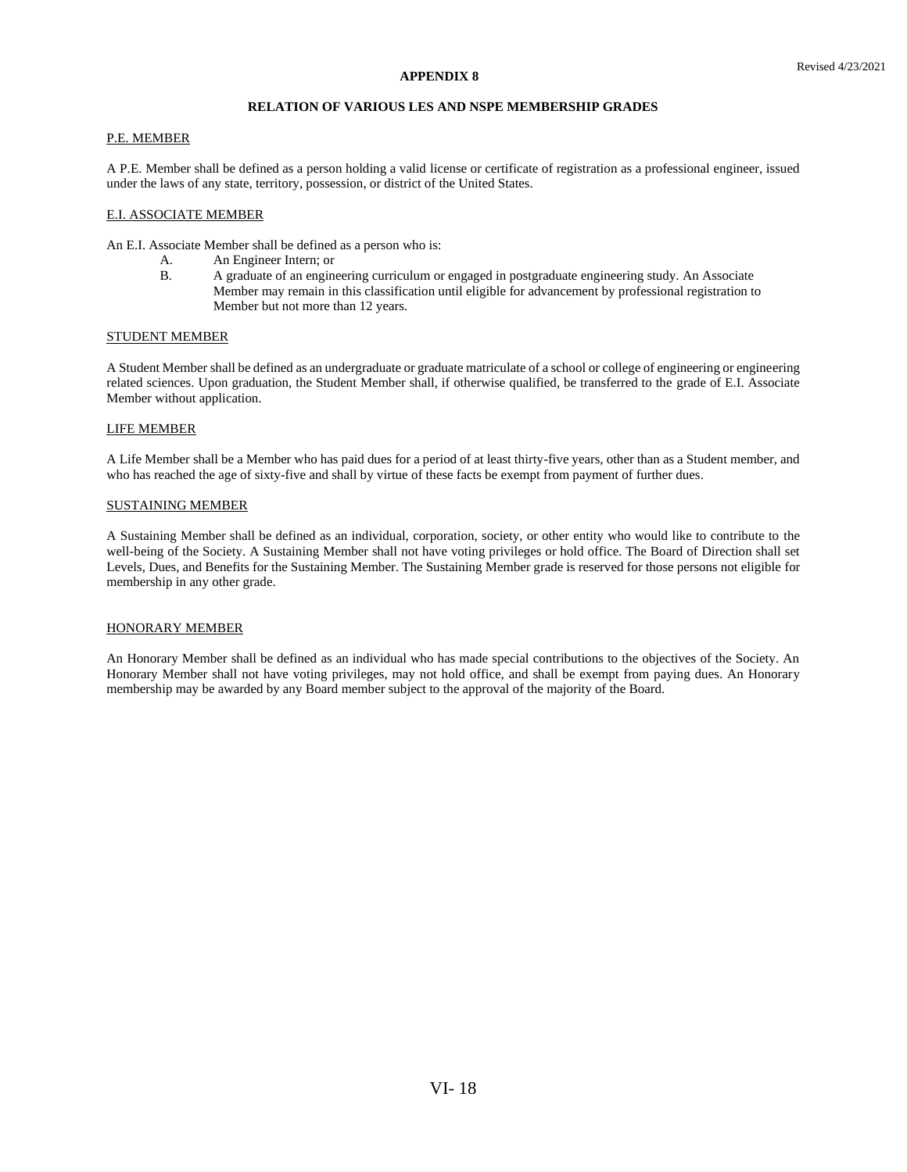# **RELATION OF VARIOUS LES AND NSPE MEMBERSHIP GRADES**

## P.E. MEMBER

A P.E. Member shall be defined as a person holding a valid license or certificate of registration as a professional engineer, issued under the laws of any state, territory, possession, or district of the United States.

#### E.I. ASSOCIATE MEMBER

An E.I. Associate Member shall be defined as a person who is:

- A. An Engineer Intern; or
- B. A graduate of an engineering curriculum or engaged in postgraduate engineering study. An Associate Member may remain in this classification until eligible for advancement by professional registration to Member but not more than 12 years.

#### STUDENT MEMBER

A Student Member shall be defined as an undergraduate or graduate matriculate of a school or college of engineering or engineering related sciences. Upon graduation, the Student Member shall, if otherwise qualified, be transferred to the grade of E.I. Associate Member without application.

## LIFE MEMBER

A Life Member shall be a Member who has paid dues for a period of at least thirty-five years, other than as a Student member, and who has reached the age of sixty-five and shall by virtue of these facts be exempt from payment of further dues.

#### SUSTAINING MEMBER

A Sustaining Member shall be defined as an individual, corporation, society, or other entity who would like to contribute to the well-being of the Society. A Sustaining Member shall not have voting privileges or hold office. The Board of Direction shall set Levels, Dues, and Benefits for the Sustaining Member. The Sustaining Member grade is reserved for those persons not eligible for membership in any other grade.

## HONORARY MEMBER

An Honorary Member shall be defined as an individual who has made special contributions to the objectives of the Society. An Honorary Member shall not have voting privileges, may not hold office, and shall be exempt from paying dues. An Honorary membership may be awarded by any Board member subject to the approval of the majority of the Board.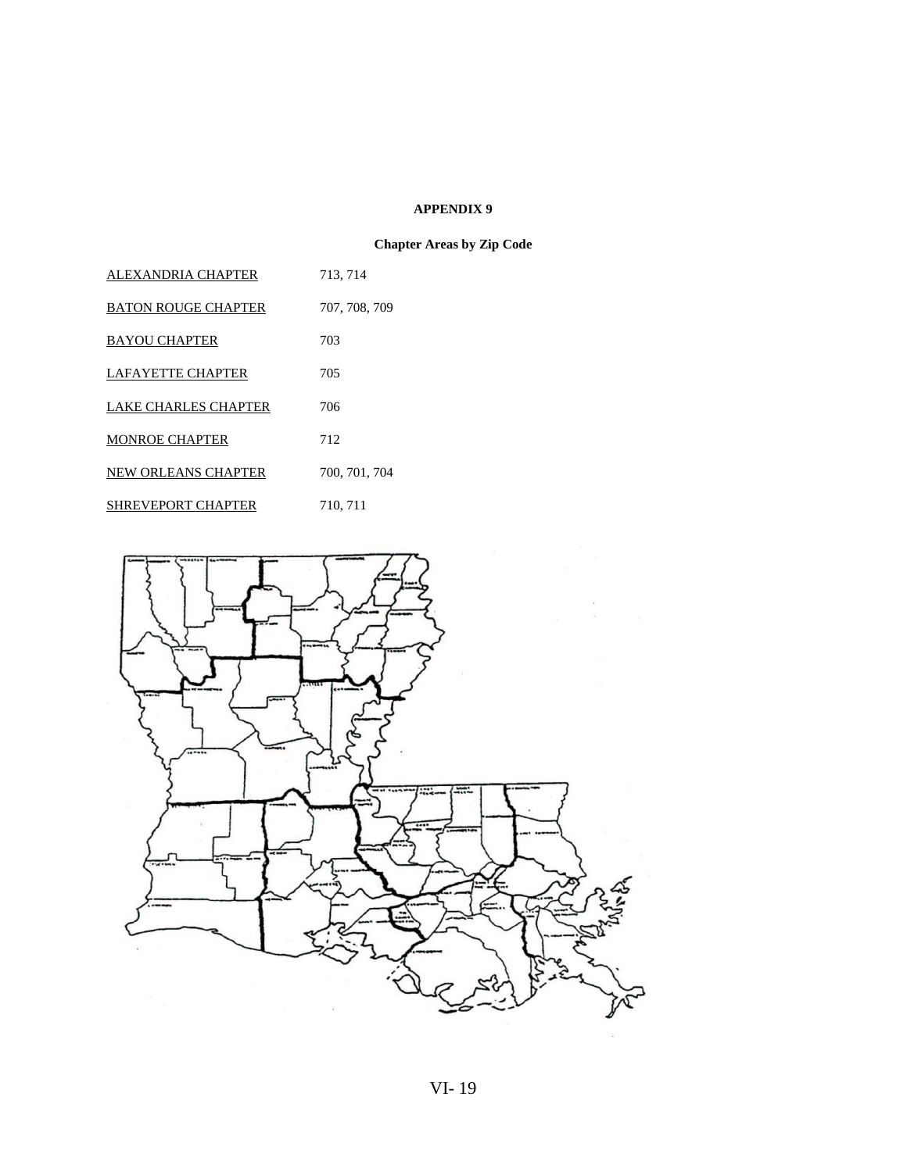# **Chapter Areas by Zip Code**

| ALEXANDRIA CHAPTER         | 713, 714      |
|----------------------------|---------------|
| <b>BATON ROUGE CHAPTER</b> | 707, 708, 709 |
| <b>BAYOU CHAPTER</b>       | 703           |
| <b>LAFAYETTE CHAPTER</b>   | 705           |
| LAKE CHARLES CHAPTER       | 706           |
| <b>MONROE CHAPTER</b>      | 712           |
| NEW ORLEANS CHAPTER        | 700, 701, 704 |
| SHREVEPORT CHAPTER         | 710, 711      |

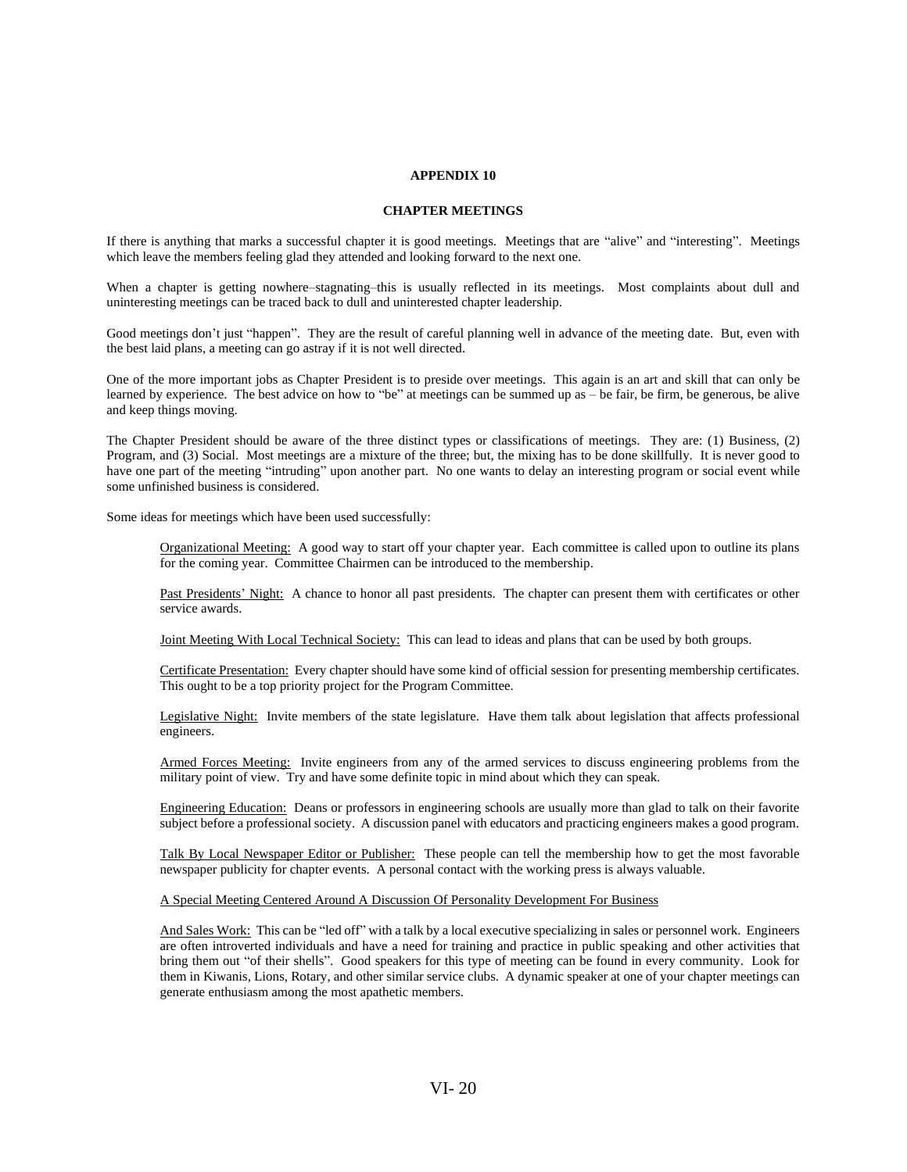#### **CHAPTER MEETINGS**

If there is anything that marks a successful chapter it is good meetings. Meetings that are "alive" and "interesting". Meetings which leave the members feeling glad they attended and looking forward to the next one.

When a chapter is getting nowhere–stagnating–this is usually reflected in its meetings. Most complaints about dull and uninteresting meetings can be traced back to dull and uninterested chapter leadership.

Good meetings don't just "happen". They are the result of careful planning well in advance of the meeting date. But, even with the best laid plans, a meeting can go astray if it is not well directed.

One of the more important jobs as Chapter President is to preside over meetings. This again is an art and skill that can only be learned by experience. The best advice on how to "be" at meetings can be summed up as – be fair, be firm, be generous, be alive and keep things moving.

The Chapter President should be aware of the three distinct types or classifications of meetings. They are: (1) Business, (2) Program, and (3) Social. Most meetings are a mixture of the three; but, the mixing has to be done skillfully. It is never good to have one part of the meeting "intruding" upon another part. No one wants to delay an interesting program or social event while some unfinished business is considered.

Some ideas for meetings which have been used successfully:

Organizational Meeting: A good way to start off your chapter year. Each committee is called upon to outline its plans for the coming year. Committee Chairmen can be introduced to the membership.

Past Presidents' Night: A chance to honor all past presidents. The chapter can present them with certificates or other service awards.

Joint Meeting With Local Technical Society: This can lead to ideas and plans that can be used by both groups.

Certificate Presentation: Every chapter should have some kind of official session for presenting membership certificates. This ought to be a top priority project for the Program Committee.

Legislative Night: Invite members of the state legislature. Have them talk about legislation that affects professional engineers.

Armed Forces Meeting: Invite engineers from any of the armed services to discuss engineering problems from the military point of view. Try and have some definite topic in mind about which they can speak.

Engineering Education: Deans or professors in engineering schools are usually more than glad to talk on their favorite subject before a professional society. A discussion panel with educators and practicing engineers makes a good program.

Talk By Local Newspaper Editor or Publisher: These people can tell the membership how to get the most favorable newspaper publicity for chapter events. A personal contact with the working press is always valuable.

## A Special Meeting Centered Around A Discussion Of Personality Development For Business

And Sales Work: This can be "led off" with a talk by a local executive specializing in sales or personnel work. Engineers are often introverted individuals and have a need for training and practice in public speaking and other activities that bring them out "of their shells". Good speakers for this type of meeting can be found in every community. Look for them in Kiwanis, Lions, Rotary, and other similar service clubs. A dynamic speaker at one of your chapter meetings can generate enthusiasm among the most apathetic members.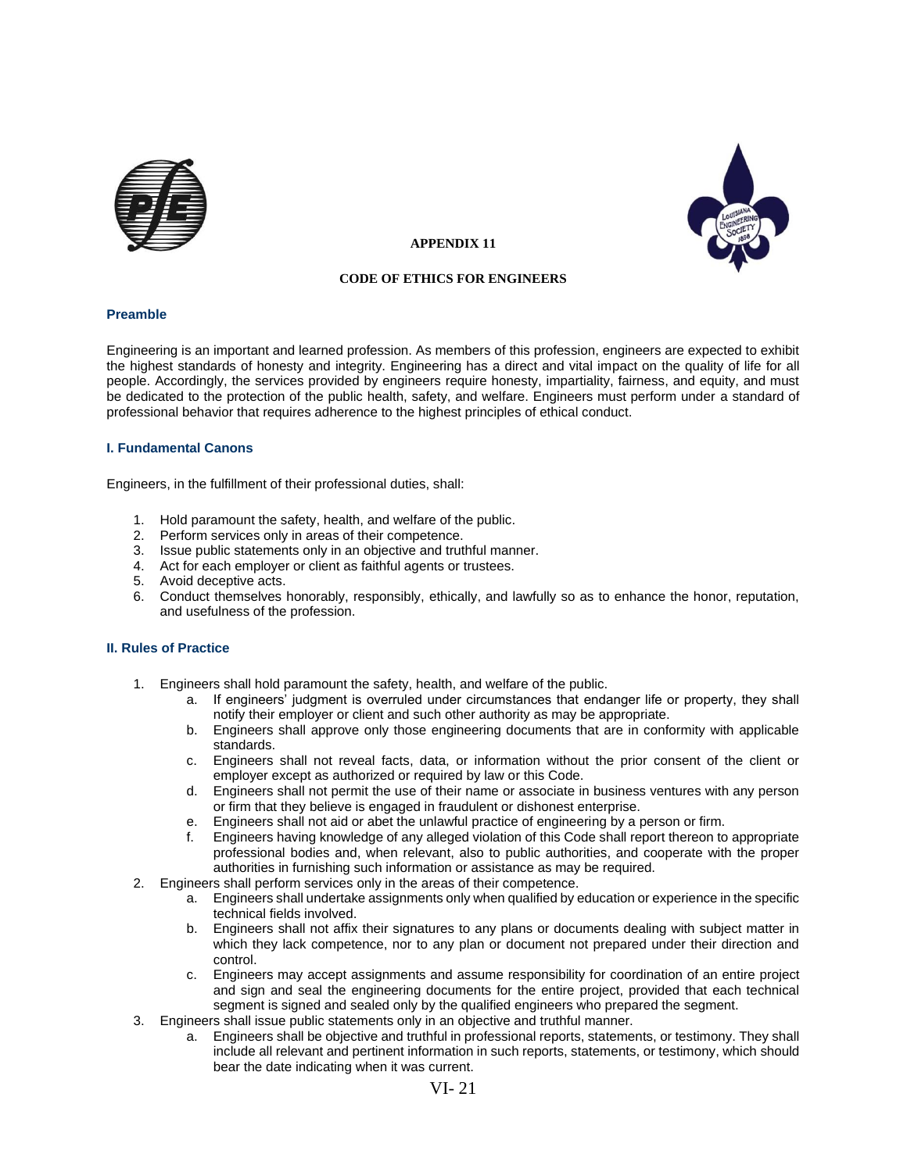



## **CODE OF ETHICS FOR ENGINEERS**

## **Preamble**

Engineering is an important and learned profession. As members of this profession, engineers are expected to exhibit the highest standards of honesty and integrity. Engineering has a direct and vital impact on the quality of life for all people. Accordingly, the services provided by engineers require honesty, impartiality, fairness, and equity, and must be dedicated to the protection of the public health, safety, and welfare. Engineers must perform under a standard of professional behavior that requires adherence to the highest principles of ethical conduct.

## **I. Fundamental Canons**

Engineers, in the fulfillment of their professional duties, shall:

- 1. Hold paramount the safety, health, and welfare of the public.
- 2. Perform services only in areas of their competence.
- 3. Issue public statements only in an objective and truthful manner.
- 4. Act for each employer or client as faithful agents or trustees.
- 5. Avoid deceptive acts.
- 6. Conduct themselves honorably, responsibly, ethically, and lawfully so as to enhance the honor, reputation, and usefulness of the profession.

## **II. Rules of Practice**

- 1. Engineers shall hold paramount the safety, health, and welfare of the public.
	- a. If engineers' judgment is overruled under circumstances that endanger life or property, they shall notify their employer or client and such other authority as may be appropriate.
	- b. Engineers shall approve only those engineering documents that are in conformity with applicable standards.
	- c. Engineers shall not reveal facts, data, or information without the prior consent of the client or employer except as authorized or required by law or this Code.
	- d. Engineers shall not permit the use of their name or associate in business ventures with any person or firm that they believe is engaged in fraudulent or dishonest enterprise.
	- e. Engineers shall not aid or abet the unlawful practice of engineering by a person or firm.
	- f. Engineers having knowledge of any alleged violation of this Code shall report thereon to appropriate professional bodies and, when relevant, also to public authorities, and cooperate with the proper authorities in furnishing such information or assistance as may be required.
- 2. Engineers shall perform services only in the areas of their competence.
	- a. Engineers shall undertake assignments only when qualified by education or experience in the specific technical fields involved.
	- b. Engineers shall not affix their signatures to any plans or documents dealing with subject matter in which they lack competence, nor to any plan or document not prepared under their direction and control.
	- c. Engineers may accept assignments and assume responsibility for coordination of an entire project and sign and seal the engineering documents for the entire project, provided that each technical segment is signed and sealed only by the qualified engineers who prepared the segment.
- 3. Engineers shall issue public statements only in an objective and truthful manner.
	- a. Engineers shall be objective and truthful in professional reports, statements, or testimony. They shall include all relevant and pertinent information in such reports, statements, or testimony, which should bear the date indicating when it was current.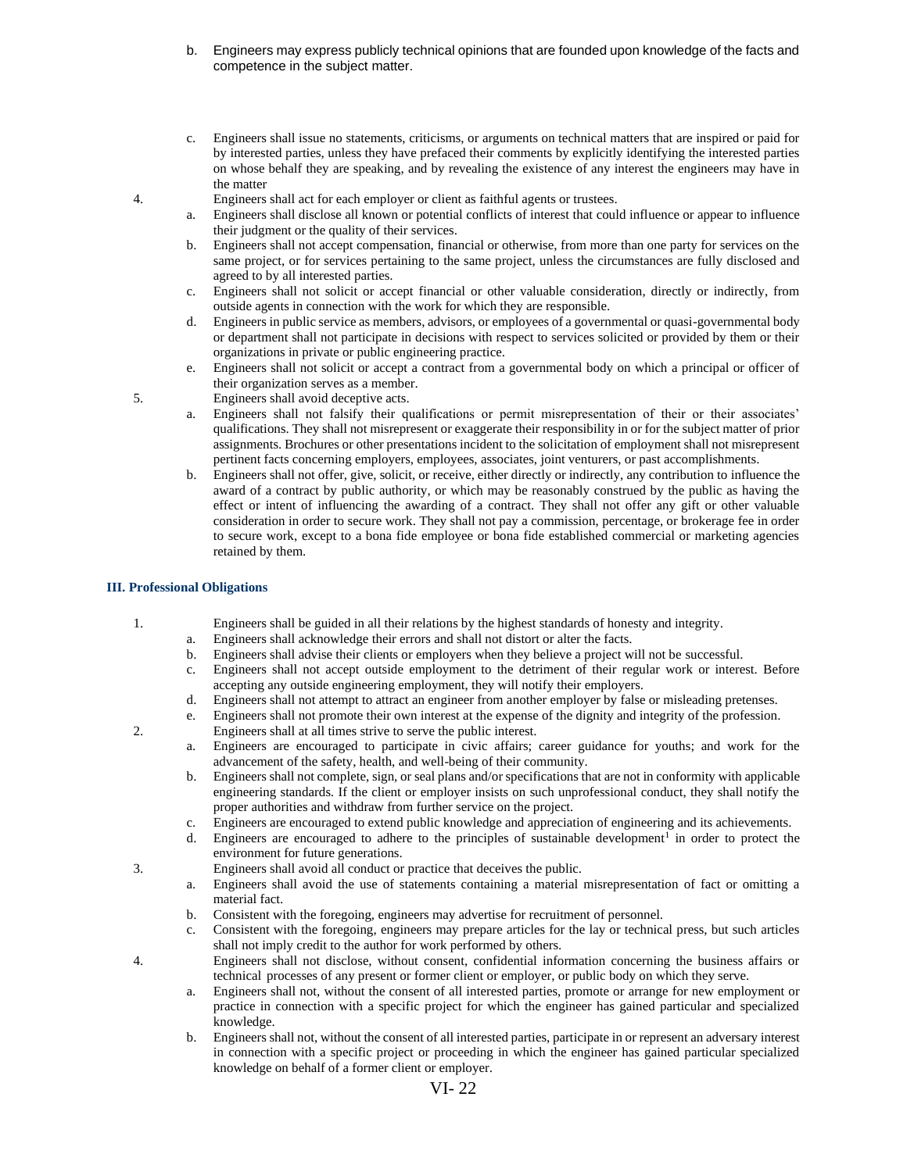- b. Engineers may express publicly technical opinions that are founded upon knowledge of the facts and competence in the subject matter.
- c. Engineers shall issue no statements, criticisms, or arguments on technical matters that are inspired or paid for by interested parties, unless they have prefaced their comments by explicitly identifying the interested parties on whose behalf they are speaking, and by revealing the existence of any interest the engineers may have in the matter
- 4. Engineers shall act for each employer or client as faithful agents or trustees.
	- a. Engineers shall disclose all known or potential conflicts of interest that could influence or appear to influence their judgment or the quality of their services.
	- b. Engineers shall not accept compensation, financial or otherwise, from more than one party for services on the same project, or for services pertaining to the same project, unless the circumstances are fully disclosed and agreed to by all interested parties.
	- c. Engineers shall not solicit or accept financial or other valuable consideration, directly or indirectly, from outside agents in connection with the work for which they are responsible.
	- d. Engineers in public service as members, advisors, or employees of a governmental or quasi-governmental body or department shall not participate in decisions with respect to services solicited or provided by them or their organizations in private or public engineering practice.
	- e. Engineers shall not solicit or accept a contract from a governmental body on which a principal or officer of their organization serves as a member.
- 5. Engineers shall avoid deceptive acts.
	- a. Engineers shall not falsify their qualifications or permit misrepresentation of their or their associates' qualifications. They shall not misrepresent or exaggerate their responsibility in or for the subject matter of prior assignments. Brochures or other presentations incident to the solicitation of employment shall not misrepresent pertinent facts concerning employers, employees, associates, joint venturers, or past accomplishments.
	- b. Engineers shall not offer, give, solicit, or receive, either directly or indirectly, any contribution to influence the award of a contract by public authority, or which may be reasonably construed by the public as having the effect or intent of influencing the awarding of a contract. They shall not offer any gift or other valuable consideration in order to secure work. They shall not pay a commission, percentage, or brokerage fee in order to secure work, except to a bona fide employee or bona fide established commercial or marketing agencies retained by them.

## **III. Professional Obligations**

- 1. Engineers shall be guided in all their relations by the highest standards of honesty and integrity.
	- a. Engineers shall acknowledge their errors and shall not distort or alter the facts.
	-
	- b. Engineers shall advise their clients or employers when they believe a project will not be successful.<br>c. Engineers shall not accept outside employment to the detriment of their regular work or intere-Engineers shall not accept outside employment to the detriment of their regular work or interest. Before accepting any outside engineering employment, they will notify their employers.
	- d. Engineers shall not attempt to attract an engineer from another employer by false or misleading pretenses.
- e. Engineers shall not promote their own interest at the expense of the dignity and integrity of the profession. 2. Engineers shall at all times strive to serve the public interest.
	- a. Engineers are encouraged to participate in civic affairs; career guidance for youths; and work for the advancement of the safety, health, and well-being of their community.
		- b. Engineers shall not complete, sign, or seal plans and/or specifications that are not in conformity with applicable engineering standards. If the client or employer insists on such unprofessional conduct, they shall notify the proper authorities and withdraw from further service on the project.
		- c. Engineers are encouraged to extend public knowledge and appreciation of engineering and its achievements.
		- d. Engineers are encouraged to adhere to the principles of sustainable development<sup>1</sup> in order to protect the environment for future generations.
- 3. Engineers shall avoid all conduct or practice that deceives the public.
	- a. Engineers shall avoid the use of statements containing a material misrepresentation of fact or omitting a material fact.
	- b. Consistent with the foregoing, engineers may advertise for recruitment of personnel.
	- c. Consistent with the foregoing, engineers may prepare articles for the lay or technical press, but such articles shall not imply credit to the author for work performed by others.
- 4. Engineers shall not disclose, without consent, confidential information concerning the business affairs or technical processes of any present or former client or employer, or public body on which they serve.
	- a. Engineers shall not, without the consent of all interested parties, promote or arrange for new employment or practice in connection with a specific project for which the engineer has gained particular and specialized knowledge.
	- b. Engineers shall not, without the consent of all interested parties, participate in or represent an adversary interest in connection with a specific project or proceeding in which the engineer has gained particular specialized knowledge on behalf of a former client or employer.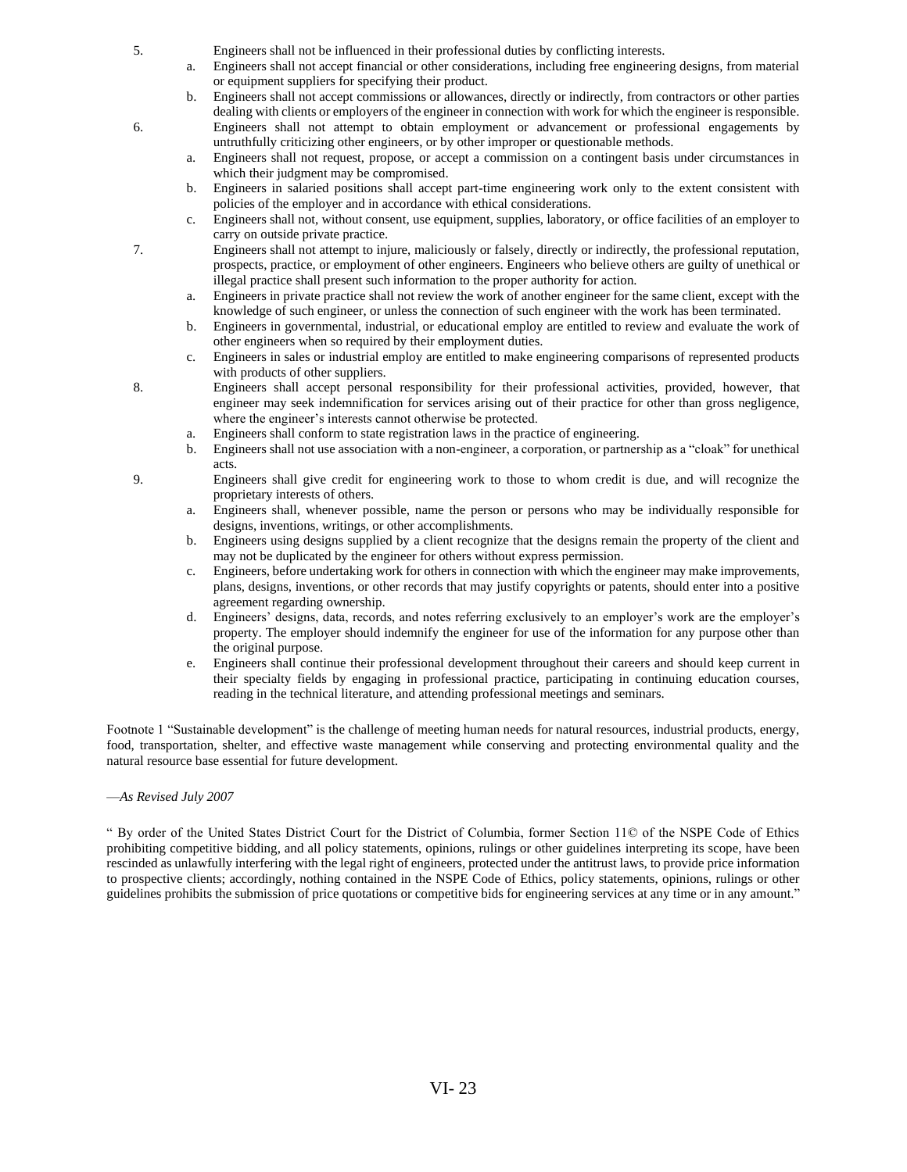5. Engineers shall not be influenced in their professional duties by conflicting interests.

- a. Engineers shall not accept financial or other considerations, including free engineering designs, from material or equipment suppliers for specifying their product.
- b. Engineers shall not accept commissions or allowances, directly or indirectly, from contractors or other parties dealing with clients or employers of the engineer in connection with work for which the engineer is responsible. 6. Engineers shall not attempt to obtain employment or advancement or professional engagements by untruthfully criticizing other engineers, or by other improper or questionable methods.
	- a. Engineers shall not request, propose, or accept a commission on a contingent basis under circumstances in which their judgment may be compromised.
	- b. Engineers in salaried positions shall accept part-time engineering work only to the extent consistent with policies of the employer and in accordance with ethical considerations.
	- c. Engineers shall not, without consent, use equipment, supplies, laboratory, or office facilities of an employer to carry on outside private practice.
- 7. Engineers shall not attempt to injure, maliciously or falsely, directly or indirectly, the professional reputation, prospects, practice, or employment of other engineers. Engineers who believe others are guilty of unethical or illegal practice shall present such information to the proper authority for action.
	- a. Engineers in private practice shall not review the work of another engineer for the same client, except with the knowledge of such engineer, or unless the connection of such engineer with the work has been terminated.
	- b. Engineers in governmental, industrial, or educational employ are entitled to review and evaluate the work of other engineers when so required by their employment duties.
	- c. Engineers in sales or industrial employ are entitled to make engineering comparisons of represented products with products of other suppliers.
- 8. Engineers shall accept personal responsibility for their professional activities, provided, however, that engineer may seek indemnification for services arising out of their practice for other than gross negligence, where the engineer's interests cannot otherwise be protected.
	- a. Engineers shall conform to state registration laws in the practice of engineering.
	- b. Engineers shall not use association with a non-engineer, a corporation, or partnership as a "cloak" for unethical acts.
- 9. Engineers shall give credit for engineering work to those to whom credit is due, and will recognize the proprietary interests of others.
	- a. Engineers shall, whenever possible, name the person or persons who may be individually responsible for designs, inventions, writings, or other accomplishments.
	- b. Engineers using designs supplied by a client recognize that the designs remain the property of the client and may not be duplicated by the engineer for others without express permission.
	- c. Engineers, before undertaking work for others in connection with which the engineer may make improvements, plans, designs, inventions, or other records that may justify copyrights or patents, should enter into a positive agreement regarding ownership.
	- d. Engineers' designs, data, records, and notes referring exclusively to an employer's work are the employer's property. The employer should indemnify the engineer for use of the information for any purpose other than the original purpose.
	- e. Engineers shall continue their professional development throughout their careers and should keep current in their specialty fields by engaging in professional practice, participating in continuing education courses, reading in the technical literature, and attending professional meetings and seminars.

Footnote 1 "Sustainable development" is the challenge of meeting human needs for natural resources, industrial products, energy, food, transportation, shelter, and effective waste management while conserving and protecting environmental quality and the natural resource base essential for future development.

# —*As Revised July 2007*

" By order of the United States District Court for the District of Columbia, former Section 11© of the NSPE Code of Ethics prohibiting competitive bidding, and all policy statements, opinions, rulings or other guidelines interpreting its scope, have been rescinded as unlawfully interfering with the legal right of engineers, protected under the antitrust laws, to provide price information to prospective clients; accordingly, nothing contained in the NSPE Code of Ethics, policy statements, opinions, rulings or other guidelines prohibits the submission of price quotations or competitive bids for engineering services at any time or in any amount."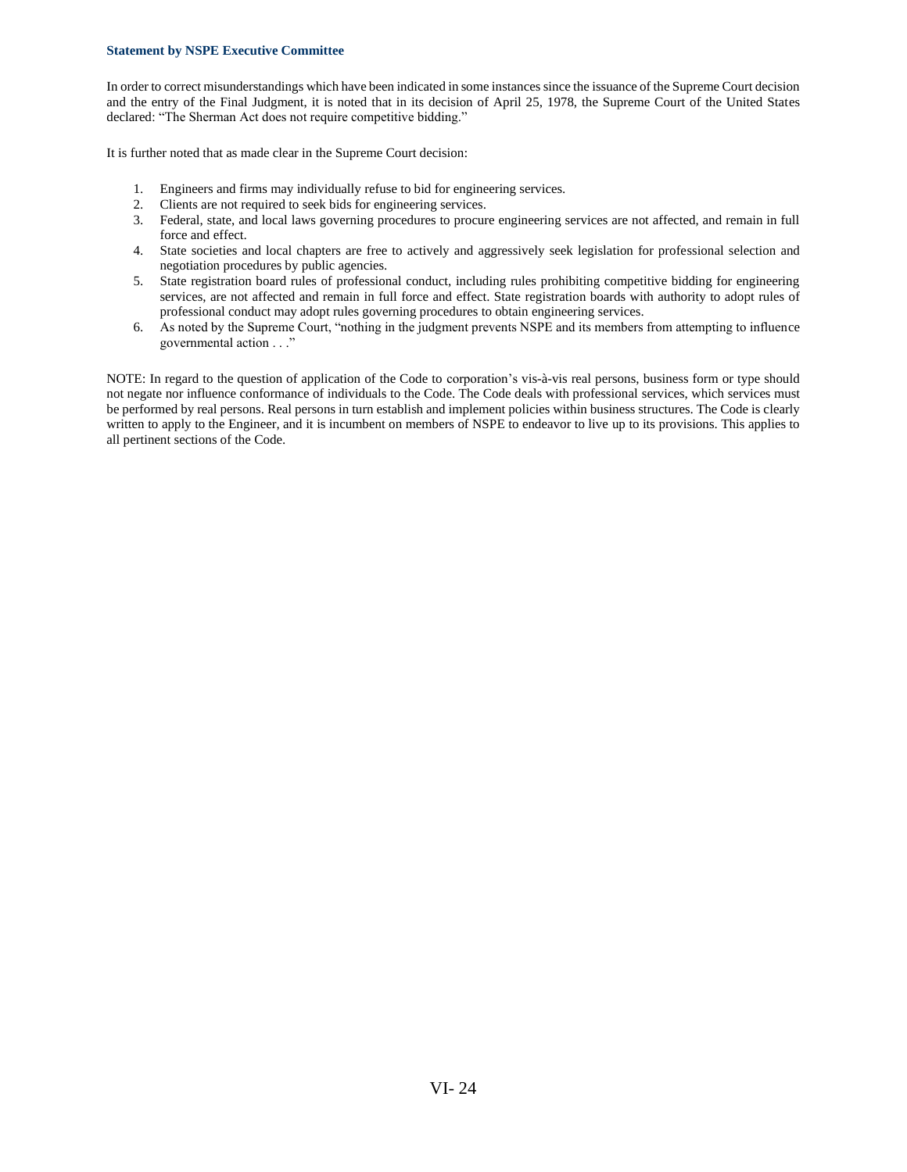## **Statement by NSPE Executive Committee**

In order to correct misunderstandings which have been indicated in some instances since the issuance of the Supreme Court decision and the entry of the Final Judgment, it is noted that in its decision of April 25, 1978, the Supreme Court of the United States declared: "The Sherman Act does not require competitive bidding."

It is further noted that as made clear in the Supreme Court decision:

- 1. Engineers and firms may individually refuse to bid for engineering services.
- 2. Clients are not required to seek bids for engineering services.
- 3. Federal, state, and local laws governing procedures to procure engineering services are not affected, and remain in full force and effect.
- 4. State societies and local chapters are free to actively and aggressively seek legislation for professional selection and negotiation procedures by public agencies.
- 5. State registration board rules of professional conduct, including rules prohibiting competitive bidding for engineering services, are not affected and remain in full force and effect. State registration boards with authority to adopt rules of professional conduct may adopt rules governing procedures to obtain engineering services.
- 6. As noted by the Supreme Court, "nothing in the judgment prevents NSPE and its members from attempting to influence governmental action . . ."

NOTE: In regard to the question of application of the Code to corporation's vis-à-vis real persons, business form or type should not negate nor influence conformance of individuals to the Code. The Code deals with professional services, which services must be performed by real persons. Real persons in turn establish and implement policies within business structures. The Code is clearly written to apply to the Engineer, and it is incumbent on members of NSPE to endeavor to live up to its provisions. This applies to all pertinent sections of the Code.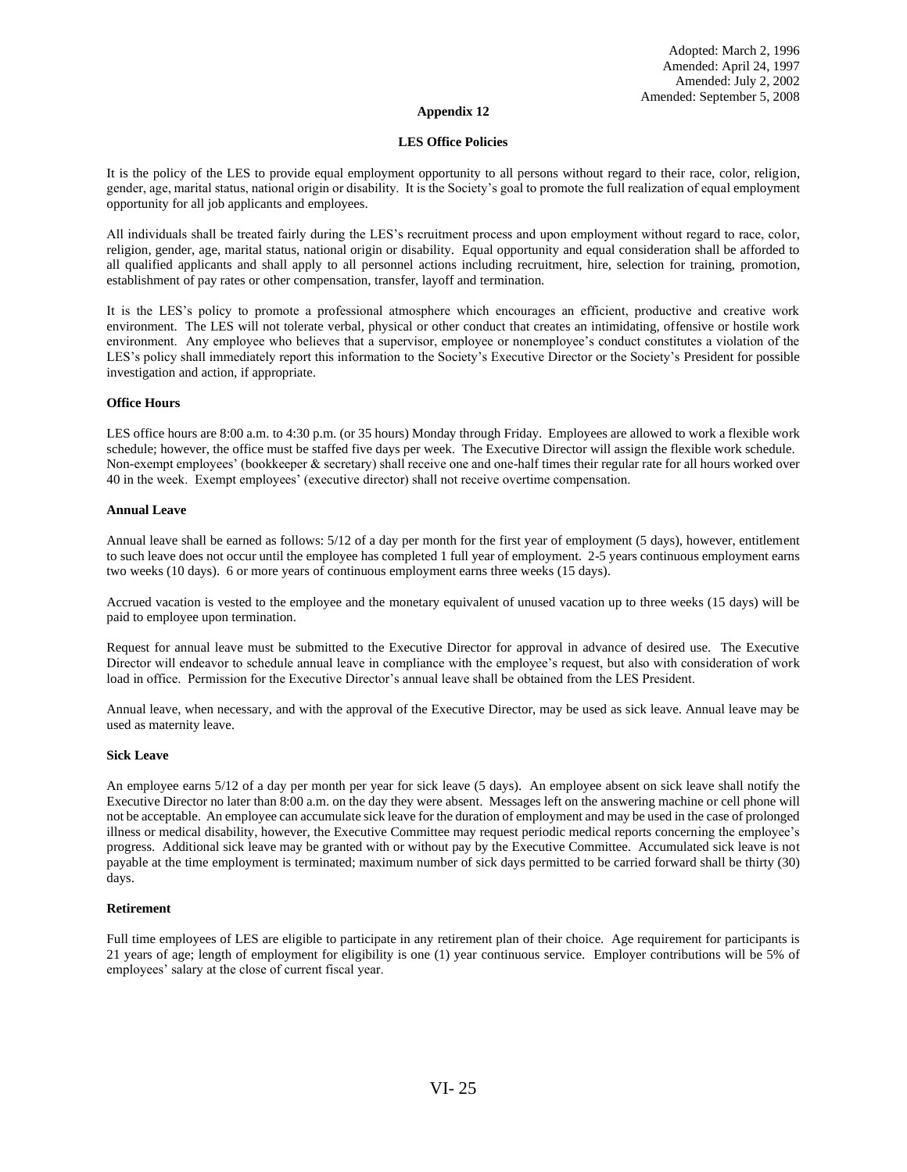## **Appendix 12**

## **LES Office Policies**

It is the policy of the LES to provide equal employment opportunity to all persons without regard to their race, color, religion, gender, age, marital status, national origin or disability. It is the Society's goal to promote the full realization of equal employment opportunity for all job applicants and employees.

All individuals shall be treated fairly during the LES's recruitment process and upon employment without regard to race, color, religion, gender, age, marital status, national origin or disability. Equal opportunity and equal consideration shall be afforded to all qualified applicants and shall apply to all personnel actions including recruitment, hire, selection for training, promotion, establishment of pay rates or other compensation, transfer, layoff and termination.

It is the LES's policy to promote a professional atmosphere which encourages an efficient, productive and creative work environment. The LES will not tolerate verbal, physical or other conduct that creates an intimidating, offensive or hostile work environment. Any employee who believes that a supervisor, employee or nonemployee's conduct constitutes a violation of the LES's policy shall immediately report this information to the Society's Executive Director or the Society's President for possible investigation and action, if appropriate.

## **Office Hours**

LES office hours are 8:00 a.m. to 4:30 p.m. (or 35 hours) Monday through Friday. Employees are allowed to work a flexible work schedule; however, the office must be staffed five days per week. The Executive Director will assign the flexible work schedule. Non-exempt employees' (bookkeeper & secretary) shall receive one and one-half times their regular rate for all hours worked over 40 in the week. Exempt employees' (executive director) shall not receive overtime compensation.

## **Annual Leave**

Annual leave shall be earned as follows: 5/12 of a day per month for the first year of employment (5 days), however, entitlement to such leave does not occur until the employee has completed 1 full year of employment. 2-5 years continuous employment earns two weeks (10 days). 6 or more years of continuous employment earns three weeks (15 days).

Accrued vacation is vested to the employee and the monetary equivalent of unused vacation up to three weeks (15 days) will be paid to employee upon termination.

Request for annual leave must be submitted to the Executive Director for approval in advance of desired use. The Executive Director will endeavor to schedule annual leave in compliance with the employee's request, but also with consideration of work load in office. Permission for the Executive Director's annual leave shall be obtained from the LES President.

Annual leave, when necessary, and with the approval of the Executive Director, may be used as sick leave. Annual leave may be used as maternity leave.

# **Sick Leave**

An employee earns 5/12 of a day per month per year for sick leave (5 days). An employee absent on sick leave shall notify the Executive Director no later than 8:00 a.m. on the day they were absent. Messages left on the answering machine or cell phone will not be acceptable. An employee can accumulate sick leave for the duration of employment and may be used in the case of prolonged illness or medical disability, however, the Executive Committee may request periodic medical reports concerning the employee's progress. Additional sick leave may be granted with or without pay by the Executive Committee. Accumulated sick leave is not payable at the time employment is terminated; maximum number of sick days permitted to be carried forward shall be thirty (30) days.

# **Retirement**

Full time employees of LES are eligible to participate in any retirement plan of their choice. Age requirement for participants is 21 years of age; length of employment for eligibility is one (1) year continuous service. Employer contributions will be 5% of employees' salary at the close of current fiscal year.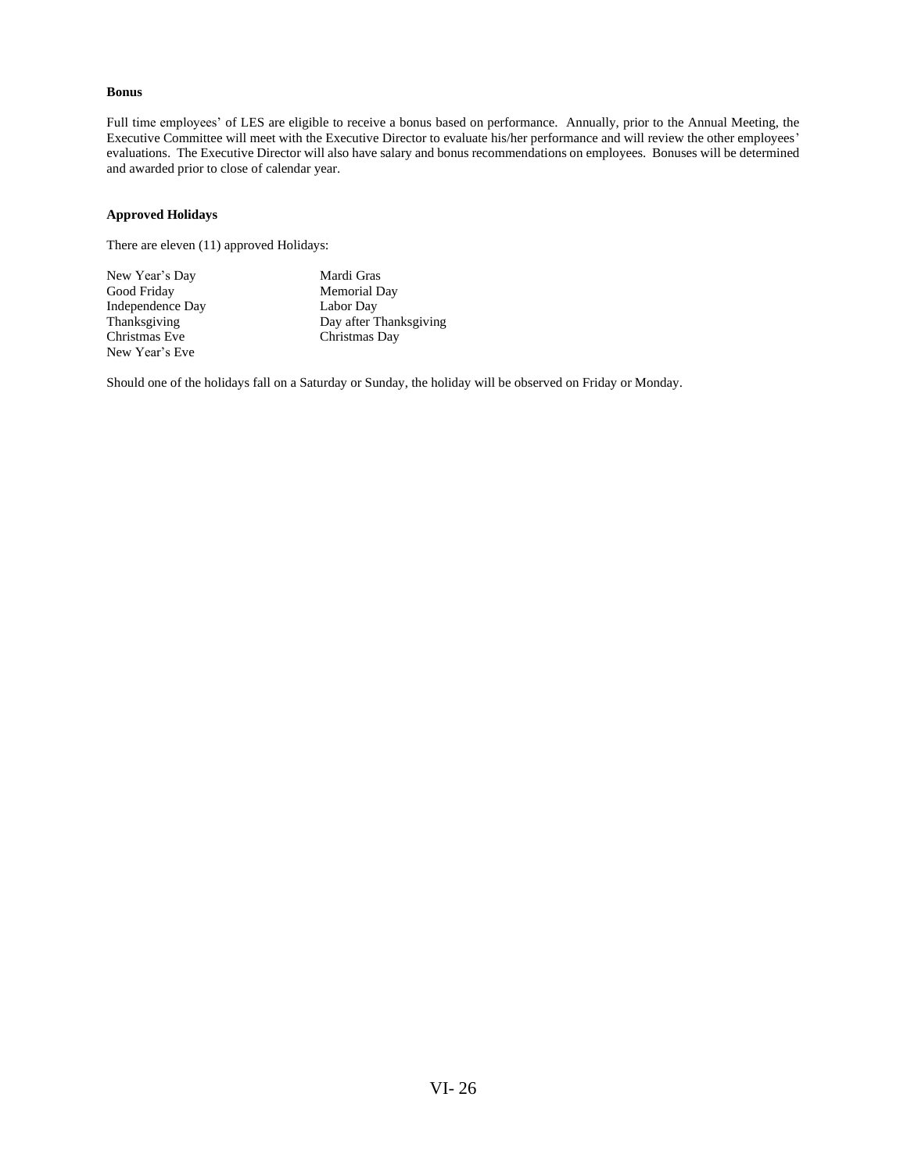## **Bonus**

Full time employees' of LES are eligible to receive a bonus based on performance. Annually, prior to the Annual Meeting, the Executive Committee will meet with the Executive Director to evaluate his/her performance and will review the other employees' evaluations. The Executive Director will also have salary and bonus recommendations on employees. Bonuses will be determined and awarded prior to close of calendar year.

#### **Approved Holidays**

There are eleven (11) approved Holidays:

- New Year's Day Mardi Gras Good Friday Memorial Day Independence Day Labor Day New Year's Eve
- Thanksgiving Day after Thanksgiving<br>Christmas Eve Christmas Day Christmas Day

Should one of the holidays fall on a Saturday or Sunday, the holiday will be observed on Friday or Monday.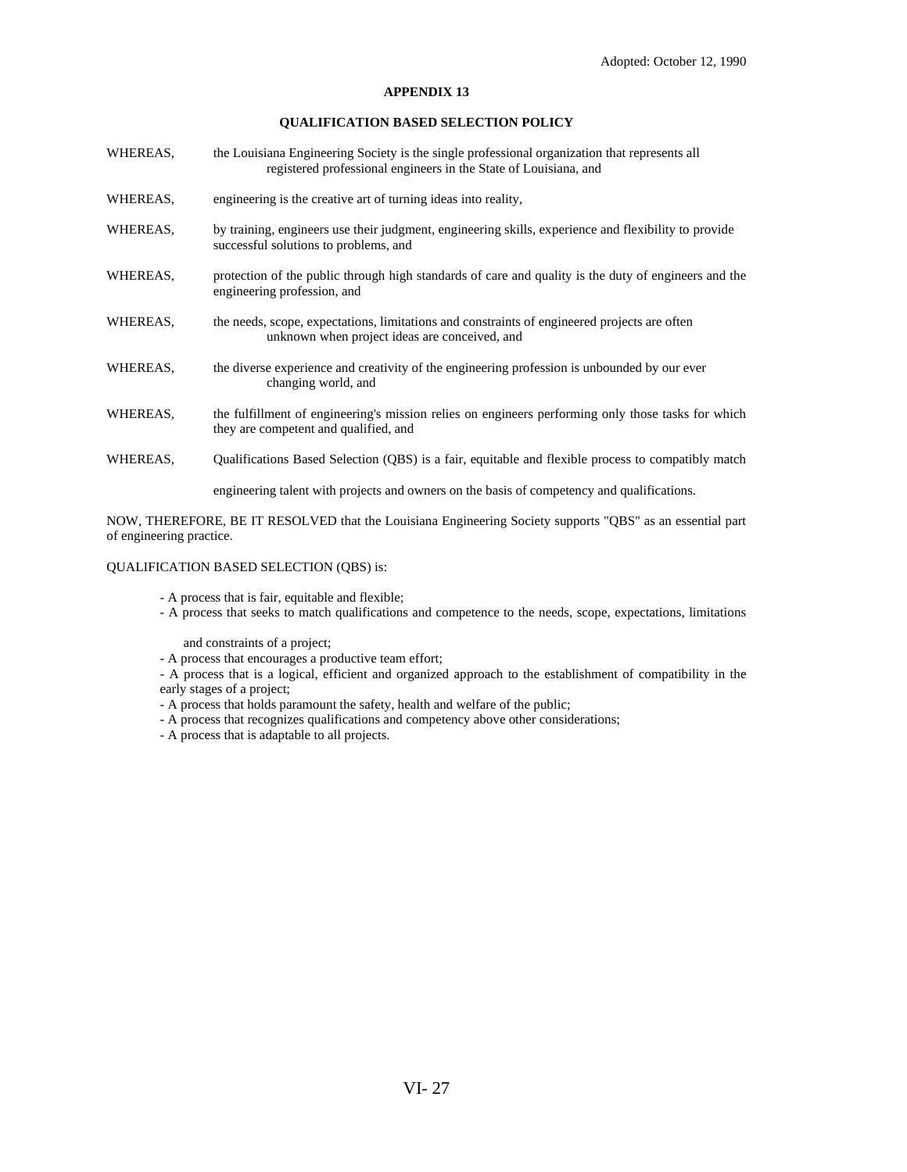# **QUALIFICATION BASED SELECTION POLICY**

- WHEREAS, the Louisiana Engineering Society is the single professional organization that represents all registered professional engineers in the State of Louisiana, and
- WHEREAS, engineering is the creative art of turning ideas into reality,
- WHEREAS, by training, engineers use their judgment, engineering skills, experience and flexibility to provide successful solutions to problems, and
- WHEREAS, protection of the public through high standards of care and quality is the duty of engineers and the engineering profession, and
- WHEREAS, the needs, scope, expectations, limitations and constraints of engineered projects are often unknown when project ideas are conceived, and
- WHEREAS, the diverse experience and creativity of the engineering profession is unbounded by our ever changing world, and
- WHEREAS, the fulfillment of engineering's mission relies on engineers performing only those tasks for which they are competent and qualified, and
- WHEREAS, Qualifications Based Selection (QBS) is a fair, equitable and flexible process to compatibly match

engineering talent with projects and owners on the basis of competency and qualifications.

NOW, THEREFORE, BE IT RESOLVED that the Louisiana Engineering Society supports "QBS" as an essential part of engineering practice.

## QUALIFICATION BASED SELECTION (QBS) is:

- A process that is fair, equitable and flexible;
- A process that seeks to match qualifications and competence to the needs, scope, expectations, limitations

and constraints of a project;

- A process that encourages a productive team effort;

- A process that is a logical, efficient and organized approach to the establishment of compatibility in the early stages of a project;

- A process that holds paramount the safety, health and welfare of the public;
- A process that recognizes qualifications and competency above other considerations;
- A process that is adaptable to all projects.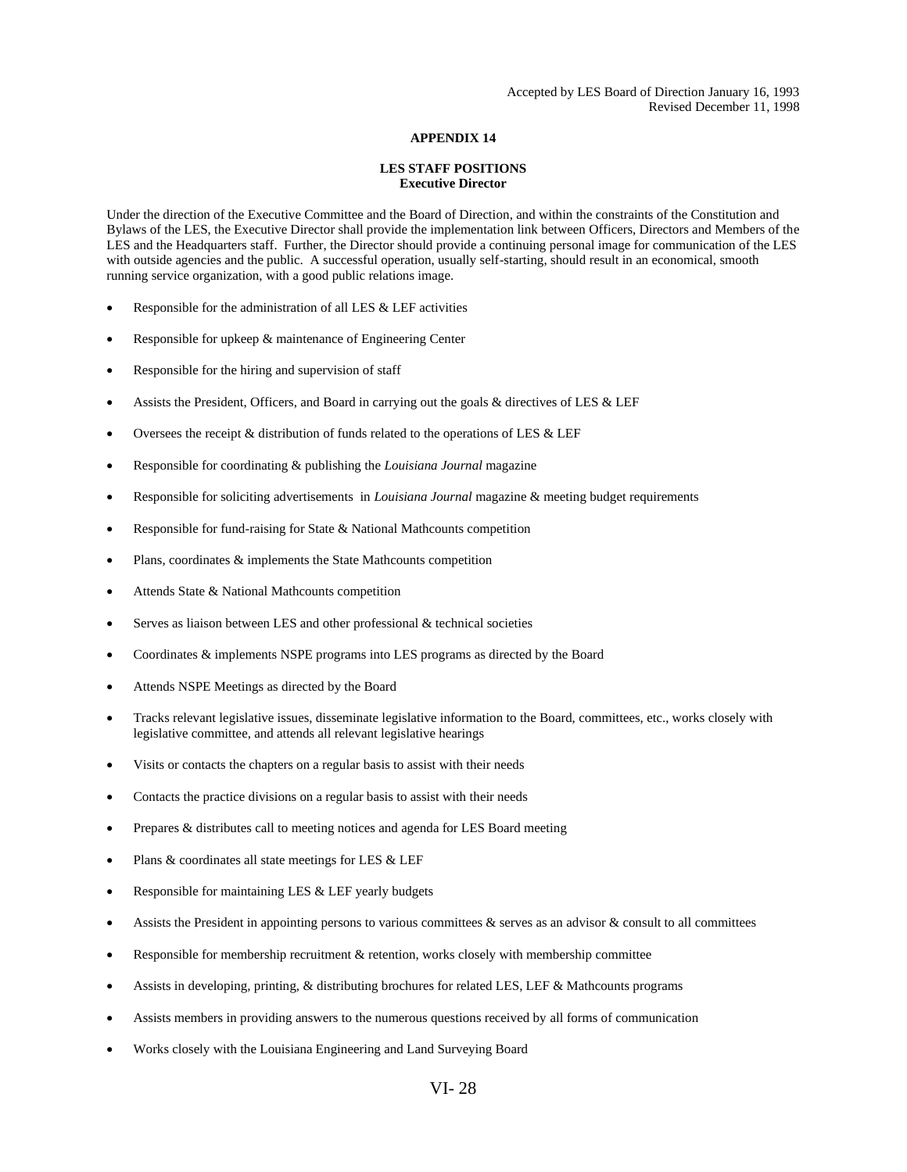## **LES STAFF POSITIONS Executive Director**

Under the direction of the Executive Committee and the Board of Direction, and within the constraints of the Constitution and Bylaws of the LES, the Executive Director shall provide the implementation link between Officers, Directors and Members of the LES and the Headquarters staff. Further, the Director should provide a continuing personal image for communication of the LES with outside agencies and the public. A successful operation, usually self-starting, should result in an economical, smooth running service organization, with a good public relations image.

- Responsible for the administration of all LES & LEF activities
- Responsible for upkeep & maintenance of Engineering Center
- Responsible for the hiring and supervision of staff
- Assists the President, Officers, and Board in carrying out the goals  $\&$  directives of LES  $\&$  LEF
- Oversees the receipt & distribution of funds related to the operations of LES & LEF
- Responsible for coordinating & publishing the *Louisiana Journal* magazine
- Responsible for soliciting advertisements in *Louisiana Journal* magazine & meeting budget requirements
- Responsible for fund-raising for State  $&$  National Mathcounts competition
- Plans, coordinates & implements the State Mathcounts competition
- Attends State & National Mathcounts competition
- Serves as liaison between LES and other professional & technical societies
- Coordinates & implements NSPE programs into LES programs as directed by the Board
- Attends NSPE Meetings as directed by the Board
- Tracks relevant legislative issues, disseminate legislative information to the Board, committees, etc., works closely with legislative committee, and attends all relevant legislative hearings
- Visits or contacts the chapters on a regular basis to assist with their needs
- Contacts the practice divisions on a regular basis to assist with their needs
- Prepares & distributes call to meeting notices and agenda for LES Board meeting
- Plans  $&$  coordinates all state meetings for LES  $&$  LEF
- Responsible for maintaining LES & LEF yearly budgets
- Assists the President in appointing persons to various committees  $\&$  serves as an advisor  $\&$  consult to all committees
- Responsible for membership recruitment  $&$  retention, works closely with membership committee
- Assists in developing, printing, & distributing brochures for related LES, LEF & Mathcounts programs
- Assists members in providing answers to the numerous questions received by all forms of communication
- Works closely with the Louisiana Engineering and Land Surveying Board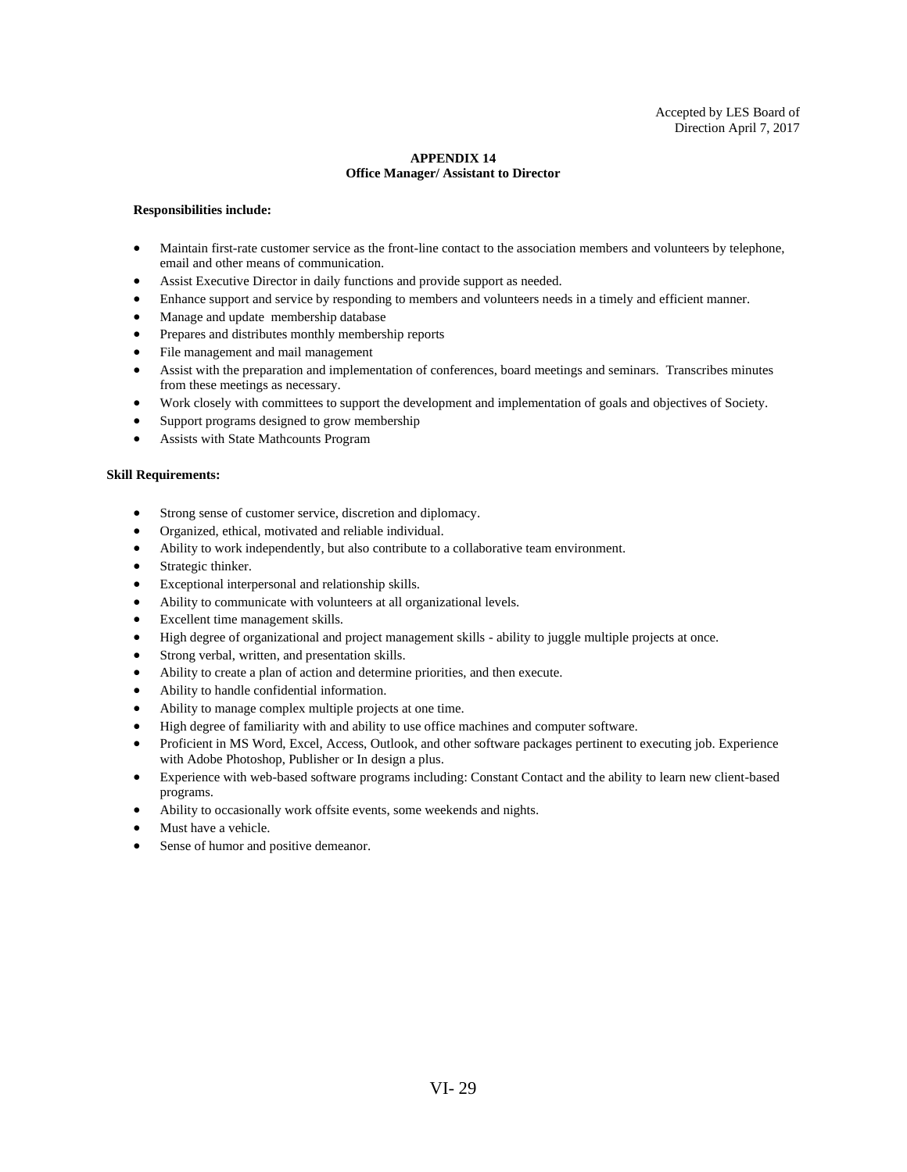## **APPENDIX 14 Office Manager/ Assistant to Director**

## **Responsibilities include:**

- Maintain first-rate customer service as the front-line contact to the association members and volunteers by telephone, email and other means of communication.
- Assist Executive Director in daily functions and provide support as needed.
- Enhance support and service by responding to members and volunteers needs in a timely and efficient manner.
- Manage and update membership database
- Prepares and distributes monthly membership reports
- File management and mail management
- Assist with the preparation and implementation of conferences, board meetings and seminars. Transcribes minutes from these meetings as necessary.
- Work closely with committees to support the development and implementation of goals and objectives of Society.
- Support programs designed to grow membership
- Assists with State Mathcounts Program

## **Skill Requirements:**

- Strong sense of customer service, discretion and diplomacy.
- Organized, ethical, motivated and reliable individual.
- Ability to work independently, but also contribute to a collaborative team environment.
- Strategic thinker.
- Exceptional interpersonal and relationship skills.
- Ability to communicate with volunteers at all organizational levels.
- Excellent time management skills.
- High degree of organizational and project management skills ability to juggle multiple projects at once.
- Strong verbal, written, and presentation skills.
- Ability to create a plan of action and determine priorities, and then execute.
- Ability to handle confidential information.
- Ability to manage complex multiple projects at one time.
- High degree of familiarity with and ability to use office machines and computer software.
- Proficient in MS Word, Excel, Access, Outlook, and other software packages pertinent to executing job. Experience with Adobe Photoshop, Publisher or In design a plus.
- Experience with web-based software programs including: Constant Contact and the ability to learn new client-based programs.
- Ability to occasionally work offsite events, some weekends and nights.
- Must have a vehicle.
- Sense of humor and positive demeanor.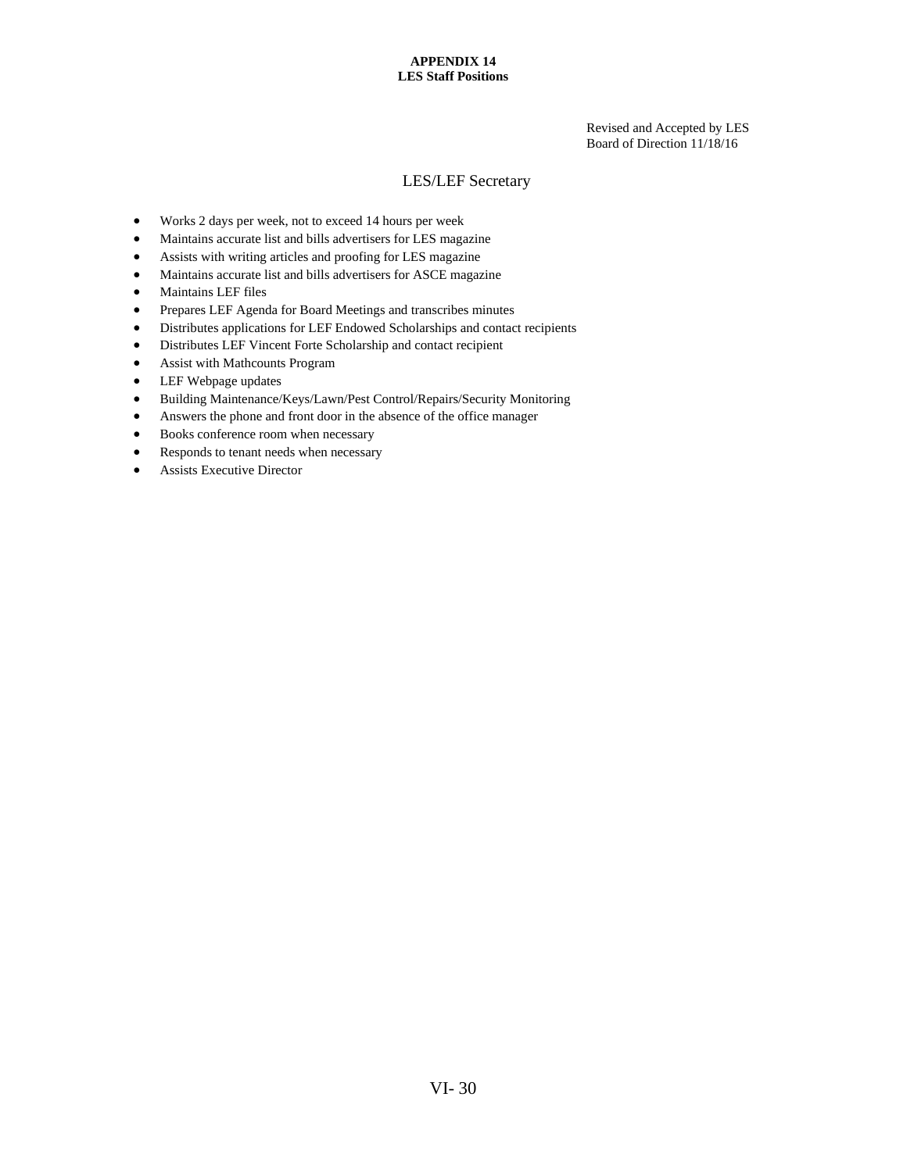Revised and Accepted by LES Board of Direction 11/18/16

# LES/LEF Secretary

- Works 2 days per week, not to exceed 14 hours per week
- Maintains accurate list and bills advertisers for LES magazine
- Assists with writing articles and proofing for LES magazine
- Maintains accurate list and bills advertisers for ASCE magazine
- Maintains LEF files
- Prepares LEF Agenda for Board Meetings and transcribes minutes
- Distributes applications for LEF Endowed Scholarships and contact recipients
- Distributes LEF Vincent Forte Scholarship and contact recipient
- Assist with Mathcounts Program
- LEF Webpage updates
- Building Maintenance/Keys/Lawn/Pest Control/Repairs/Security Monitoring
- Answers the phone and front door in the absence of the office manager
- Books conference room when necessary
- Responds to tenant needs when necessary
- Assists Executive Director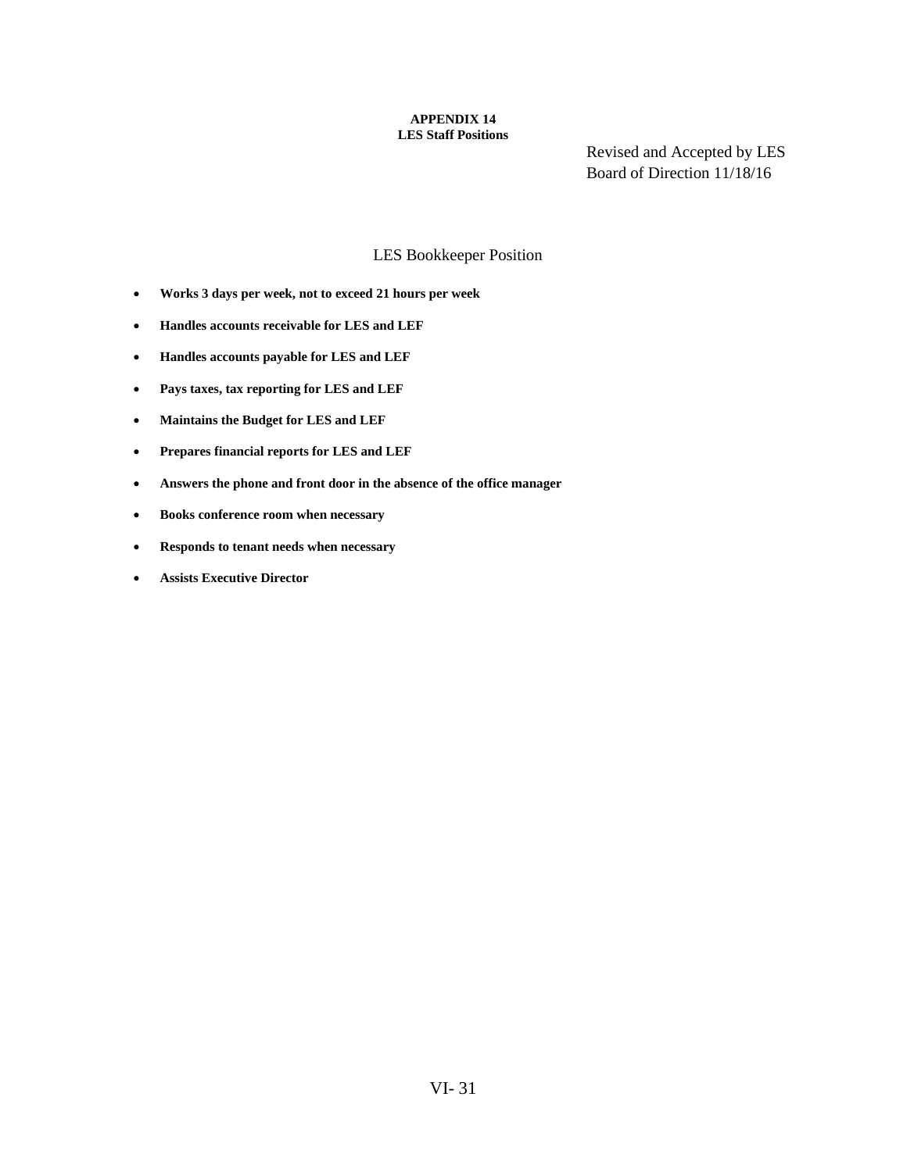## **APPENDIX 14 LES Staff Positions**

Revised and Accepted by LES Board of Direction 11/18/16

LES Bookkeeper Position

- **Works 3 days per week, not to exceed 21 hours per week**
- **Handles accounts receivable for LES and LEF**
- **Handles accounts payable for LES and LEF**
- **Pays taxes, tax reporting for LES and LEF**
- **Maintains the Budget for LES and LEF**
- **Prepares financial reports for LES and LEF**
- **Answers the phone and front door in the absence of the office manager**
- **Books conference room when necessary**
- **Responds to tenant needs when necessary**
- **Assists Executive Director**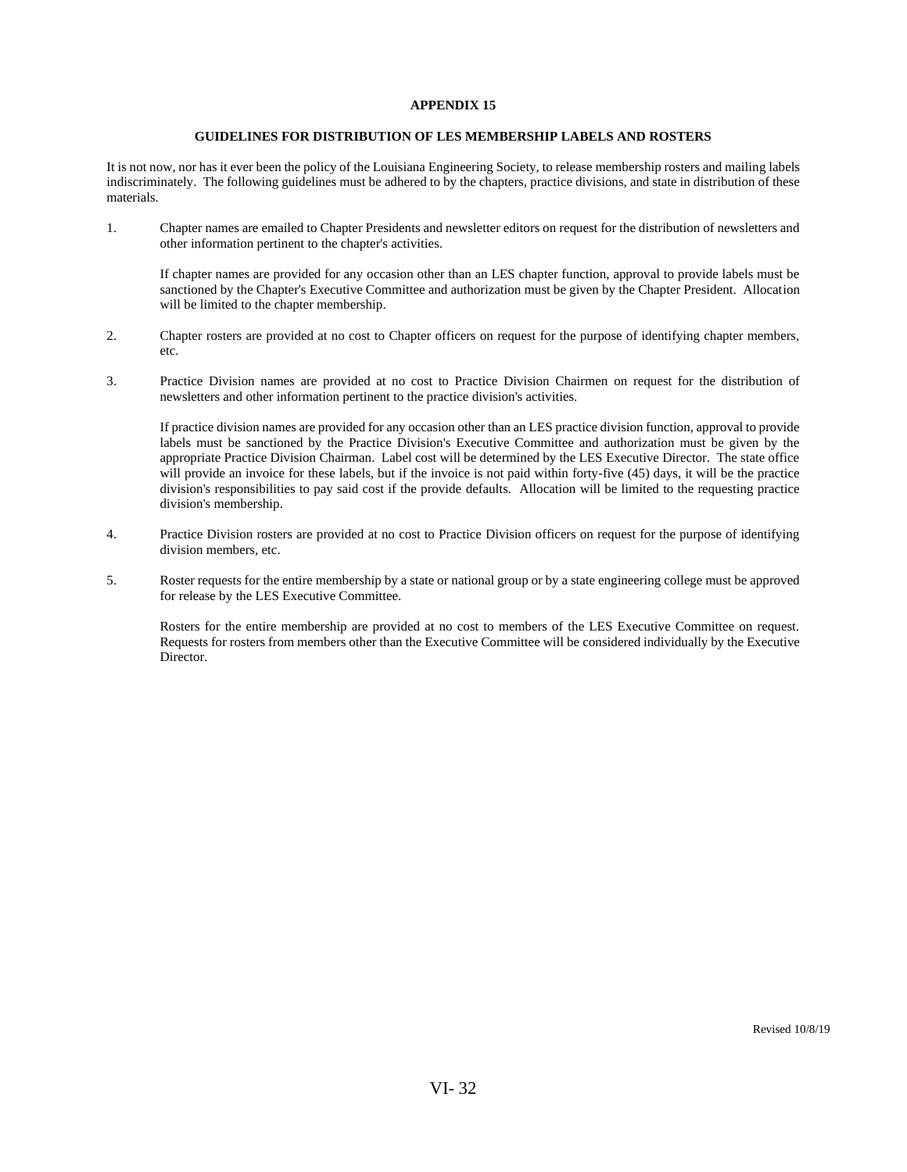## **GUIDELINES FOR DISTRIBUTION OF LES MEMBERSHIP LABELS AND ROSTERS**

It is not now, nor has it ever been the policy of the Louisiana Engineering Society, to release membership rosters and mailing labels indiscriminately. The following guidelines must be adhered to by the chapters, practice divisions, and state in distribution of these materials.

1. Chapter names are emailed to Chapter Presidents and newsletter editors on request for the distribution of newsletters and other information pertinent to the chapter's activities.

If chapter names are provided for any occasion other than an LES chapter function, approval to provide labels must be sanctioned by the Chapter's Executive Committee and authorization must be given by the Chapter President. Allocation will be limited to the chapter membership.

- 2. Chapter rosters are provided at no cost to Chapter officers on request for the purpose of identifying chapter members, etc.
- 3. Practice Division names are provided at no cost to Practice Division Chairmen on request for the distribution of newsletters and other information pertinent to the practice division's activities.

If practice division names are provided for any occasion other than an LES practice division function, approval to provide labels must be sanctioned by the Practice Division's Executive Committee and authorization must be given by the appropriate Practice Division Chairman. Label cost will be determined by the LES Executive Director. The state office will provide an invoice for these labels, but if the invoice is not paid within forty-five (45) days, it will be the practice division's responsibilities to pay said cost if the provide defaults. Allocation will be limited to the requesting practice division's membership.

- 4. Practice Division rosters are provided at no cost to Practice Division officers on request for the purpose of identifying division members, etc.
- 5. Roster requests for the entire membership by a state or national group or by a state engineering college must be approved for release by the LES Executive Committee.

Rosters for the entire membership are provided at no cost to members of the LES Executive Committee on request. Requests for rosters from members other than the Executive Committee will be considered individually by the Executive Director.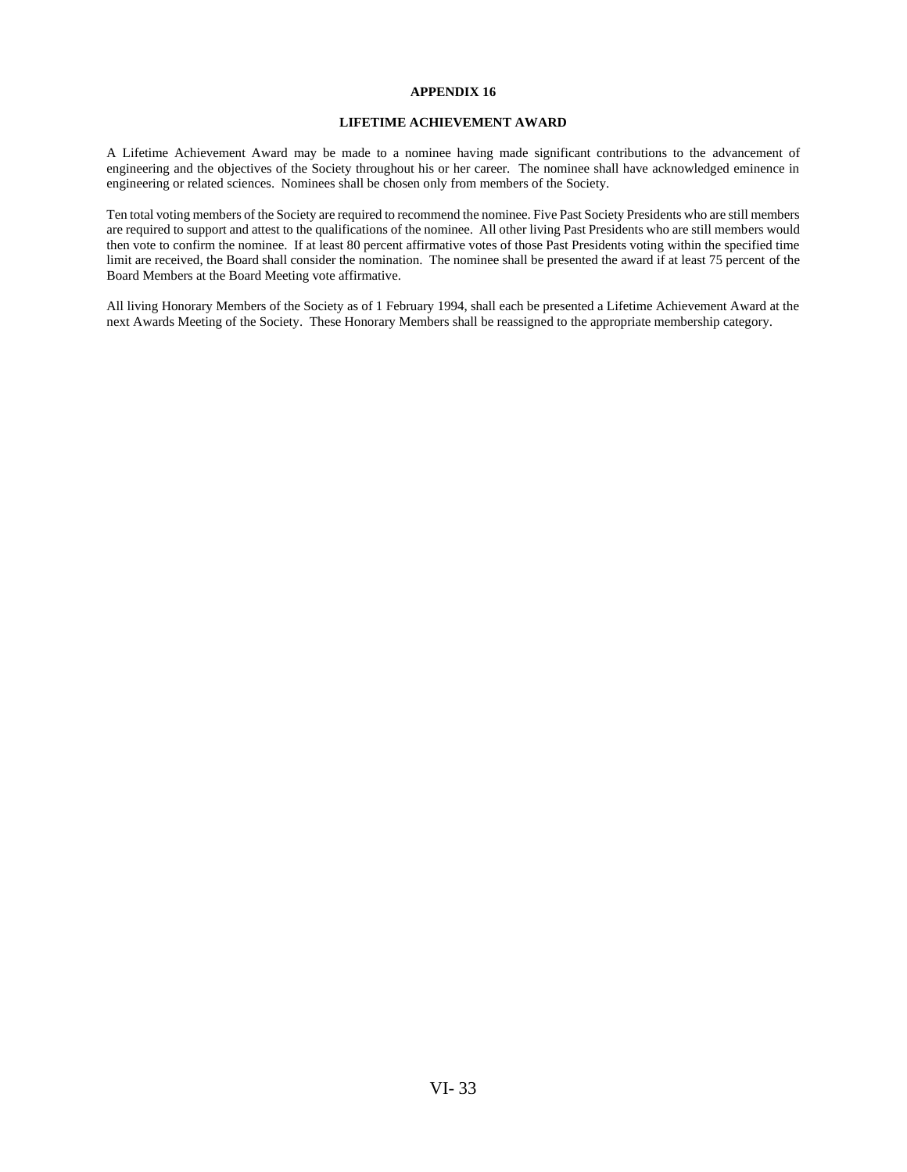# **LIFETIME ACHIEVEMENT AWARD**

A Lifetime Achievement Award may be made to a nominee having made significant contributions to the advancement of engineering and the objectives of the Society throughout his or her career. The nominee shall have acknowledged eminence in engineering or related sciences. Nominees shall be chosen only from members of the Society.

Ten total voting members of the Society are required to recommend the nominee. Five Past Society Presidents who are still members are required to support and attest to the qualifications of the nominee. All other living Past Presidents who are still members would then vote to confirm the nominee. If at least 80 percent affirmative votes of those Past Presidents voting within the specified time limit are received, the Board shall consider the nomination. The nominee shall be presented the award if at least 75 percent of the Board Members at the Board Meeting vote affirmative.

All living Honorary Members of the Society as of 1 February 1994, shall each be presented a Lifetime Achievement Award at the next Awards Meeting of the Society. These Honorary Members shall be reassigned to the appropriate membership category.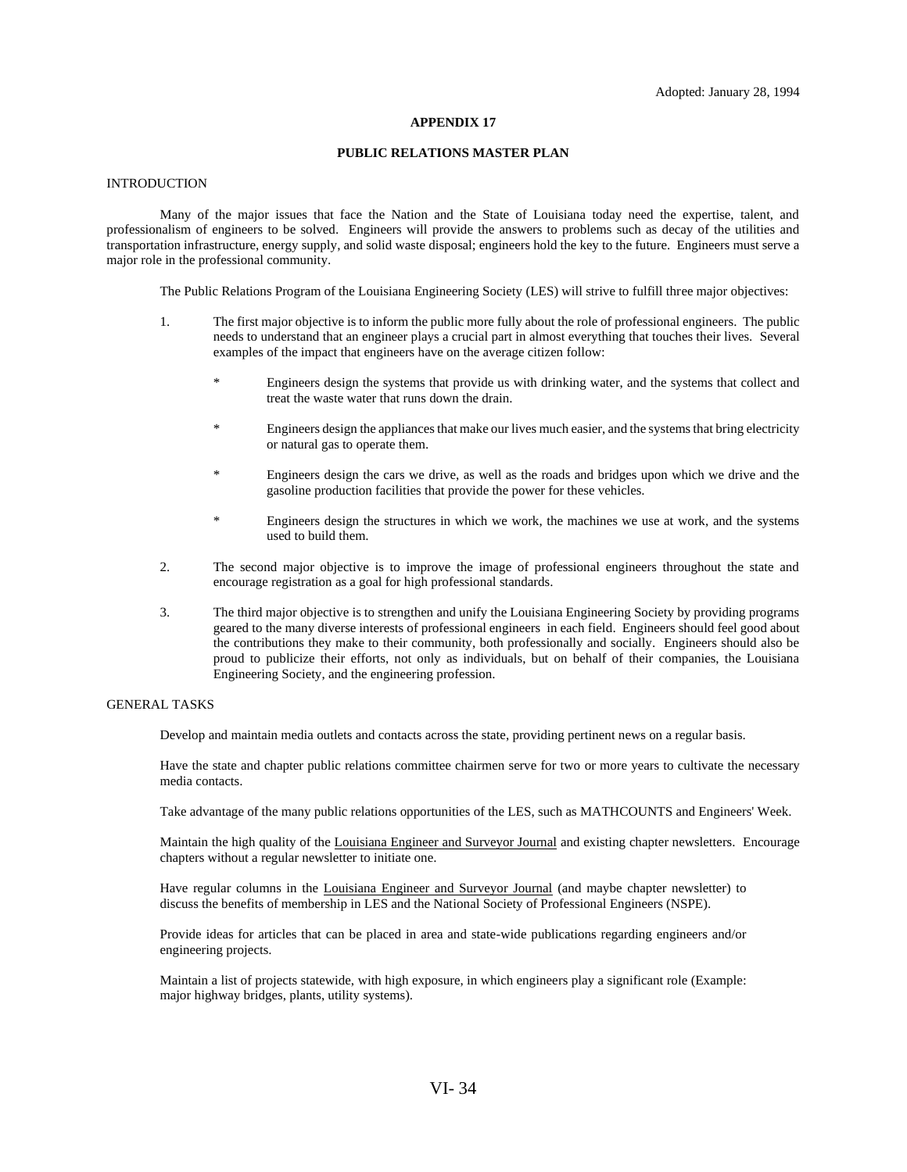#### **PUBLIC RELATIONS MASTER PLAN**

## INTRODUCTION

Many of the major issues that face the Nation and the State of Louisiana today need the expertise, talent, and professionalism of engineers to be solved. Engineers will provide the answers to problems such as decay of the utilities and transportation infrastructure, energy supply, and solid waste disposal; engineers hold the key to the future. Engineers must serve a major role in the professional community.

The Public Relations Program of the Louisiana Engineering Society (LES) will strive to fulfill three major objectives:

- 1. The first major objective is to inform the public more fully about the role of professional engineers. The public needs to understand that an engineer plays a crucial part in almost everything that touches their lives. Several examples of the impact that engineers have on the average citizen follow:
	- \* Engineers design the systems that provide us with drinking water, and the systems that collect and treat the waste water that runs down the drain.
	- \* Engineers design the appliances that make our lives much easier, and the systems that bring electricity or natural gas to operate them.
	- \* Engineers design the cars we drive, as well as the roads and bridges upon which we drive and the gasoline production facilities that provide the power for these vehicles.
	- \* Engineers design the structures in which we work, the machines we use at work, and the systems used to build them.
- 2. The second major objective is to improve the image of professional engineers throughout the state and encourage registration as a goal for high professional standards.
- 3. The third major objective is to strengthen and unify the Louisiana Engineering Society by providing programs geared to the many diverse interests of professional engineers in each field. Engineers should feel good about the contributions they make to their community, both professionally and socially. Engineers should also be proud to publicize their efforts, not only as individuals, but on behalf of their companies, the Louisiana Engineering Society, and the engineering profession.

## GENERAL TASKS

Develop and maintain media outlets and contacts across the state, providing pertinent news on a regular basis.

Have the state and chapter public relations committee chairmen serve for two or more years to cultivate the necessary media contacts.

Take advantage of the many public relations opportunities of the LES, such as MATHCOUNTS and Engineers' Week.

Maintain the high quality of the Louisiana Engineer and Surveyor Journal and existing chapter newsletters. Encourage chapters without a regular newsletter to initiate one.

Have regular columns in the Louisiana Engineer and Surveyor Journal (and maybe chapter newsletter) to discuss the benefits of membership in LES and the National Society of Professional Engineers (NSPE).

Provide ideas for articles that can be placed in area and state-wide publications regarding engineers and/or engineering projects.

Maintain a list of projects statewide, with high exposure, in which engineers play a significant role (Example: major highway bridges, plants, utility systems).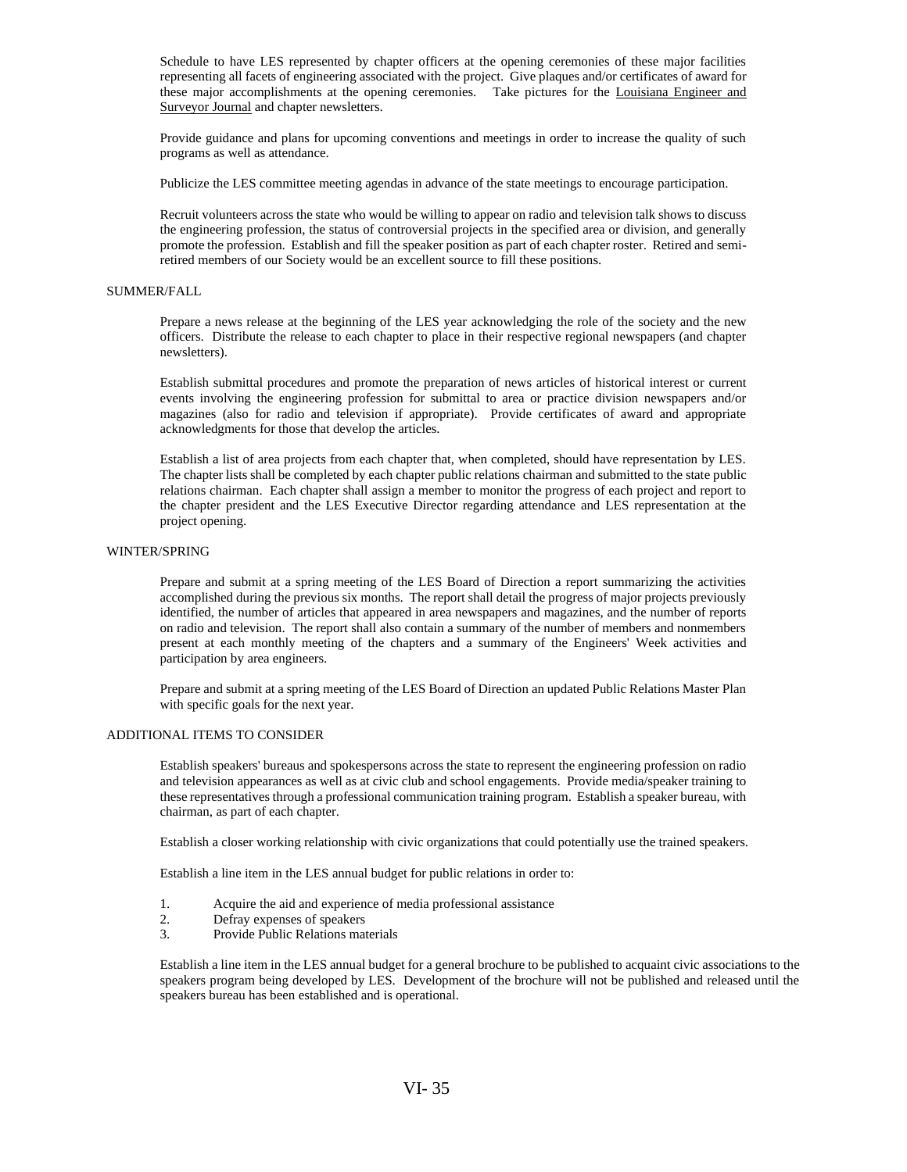Schedule to have LES represented by chapter officers at the opening ceremonies of these major facilities representing all facets of engineering associated with the project. Give plaques and/or certificates of award for these major accomplishments at the opening ceremonies. Take pictures for the Louisiana Engineer and Surveyor Journal and chapter newsletters.

Provide guidance and plans for upcoming conventions and meetings in order to increase the quality of such programs as well as attendance.

Publicize the LES committee meeting agendas in advance of the state meetings to encourage participation.

Recruit volunteers across the state who would be willing to appear on radio and television talk shows to discuss the engineering profession, the status of controversial projects in the specified area or division, and generally promote the profession. Establish and fill the speaker position as part of each chapter roster. Retired and semiretired members of our Society would be an excellent source to fill these positions.

## SUMMER/FALL

Prepare a news release at the beginning of the LES year acknowledging the role of the society and the new officers. Distribute the release to each chapter to place in their respective regional newspapers (and chapter newsletters).

Establish submittal procedures and promote the preparation of news articles of historical interest or current events involving the engineering profession for submittal to area or practice division newspapers and/or magazines (also for radio and television if appropriate). Provide certificates of award and appropriate acknowledgments for those that develop the articles.

Establish a list of area projects from each chapter that, when completed, should have representation by LES. The chapter lists shall be completed by each chapter public relations chairman and submitted to the state public relations chairman. Each chapter shall assign a member to monitor the progress of each project and report to the chapter president and the LES Executive Director regarding attendance and LES representation at the project opening.

#### WINTER/SPRING

Prepare and submit at a spring meeting of the LES Board of Direction a report summarizing the activities accomplished during the previous six months. The report shall detail the progress of major projects previously identified, the number of articles that appeared in area newspapers and magazines, and the number of reports on radio and television. The report shall also contain a summary of the number of members and nonmembers present at each monthly meeting of the chapters and a summary of the Engineers' Week activities and participation by area engineers.

Prepare and submit at a spring meeting of the LES Board of Direction an updated Public Relations Master Plan with specific goals for the next year.

#### ADDITIONAL ITEMS TO CONSIDER

Establish speakers' bureaus and spokespersons across the state to represent the engineering profession on radio and television appearances as well as at civic club and school engagements. Provide media/speaker training to these representatives through a professional communication training program. Establish a speaker bureau, with chairman, as part of each chapter.

Establish a closer working relationship with civic organizations that could potentially use the trained speakers.

Establish a line item in the LES annual budget for public relations in order to:

- 1. Acquire the aid and experience of media professional assistance
- 2. Defray expenses of speakers
- 3. Provide Public Relations materials

Establish a line item in the LES annual budget for a general brochure to be published to acquaint civic associations to the speakers program being developed by LES. Development of the brochure will not be published and released until the speakers bureau has been established and is operational.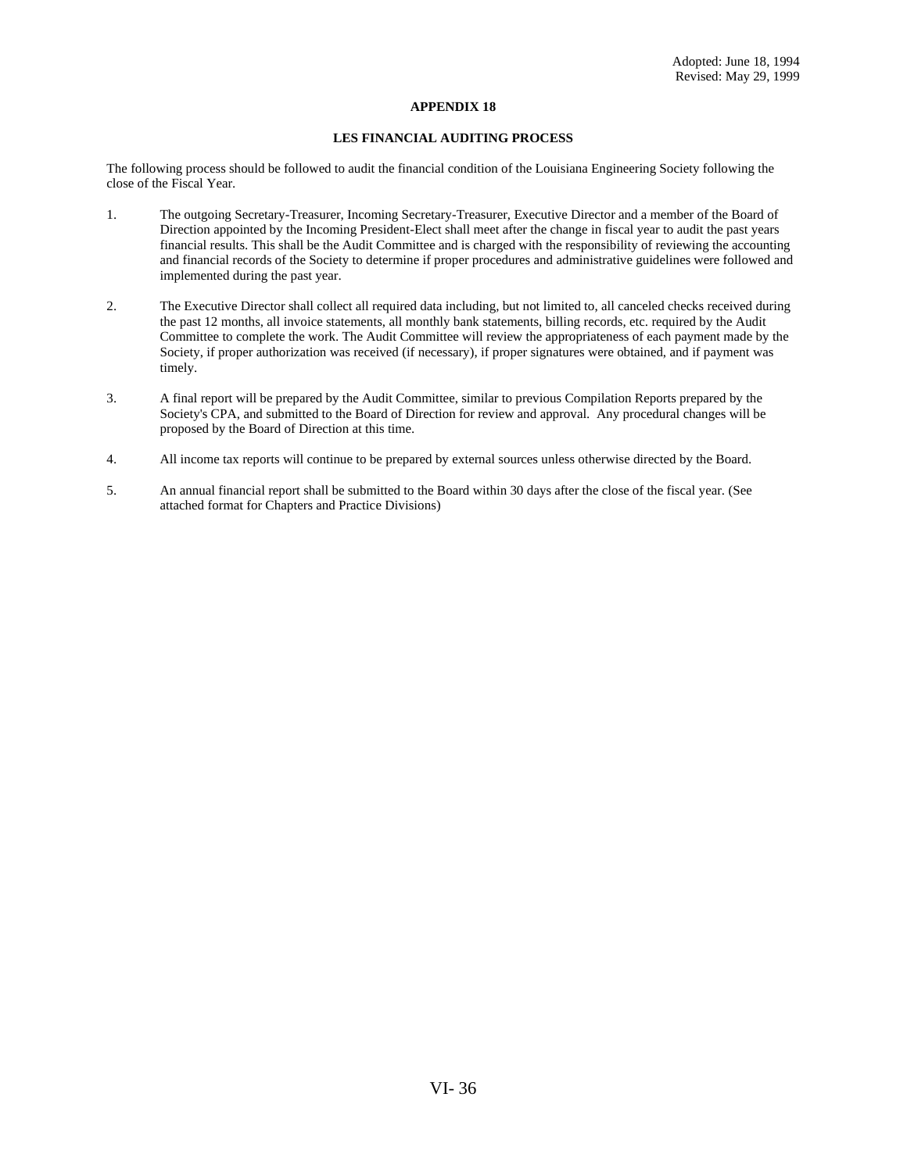## **LES FINANCIAL AUDITING PROCESS**

The following process should be followed to audit the financial condition of the Louisiana Engineering Society following the close of the Fiscal Year.

- 1. The outgoing Secretary-Treasurer, Incoming Secretary-Treasurer, Executive Director and a member of the Board of Direction appointed by the Incoming President-Elect shall meet after the change in fiscal year to audit the past years financial results. This shall be the Audit Committee and is charged with the responsibility of reviewing the accounting and financial records of the Society to determine if proper procedures and administrative guidelines were followed and implemented during the past year.
- 2. The Executive Director shall collect all required data including, but not limited to, all canceled checks received during the past 12 months, all invoice statements, all monthly bank statements, billing records, etc. required by the Audit Committee to complete the work. The Audit Committee will review the appropriateness of each payment made by the Society, if proper authorization was received (if necessary), if proper signatures were obtained, and if payment was timely.
- 3. A final report will be prepared by the Audit Committee, similar to previous Compilation Reports prepared by the Society's CPA, and submitted to the Board of Direction for review and approval. Any procedural changes will be proposed by the Board of Direction at this time.
- 4. All income tax reports will continue to be prepared by external sources unless otherwise directed by the Board.
- 5. An annual financial report shall be submitted to the Board within 30 days after the close of the fiscal year. (See attached format for Chapters and Practice Divisions)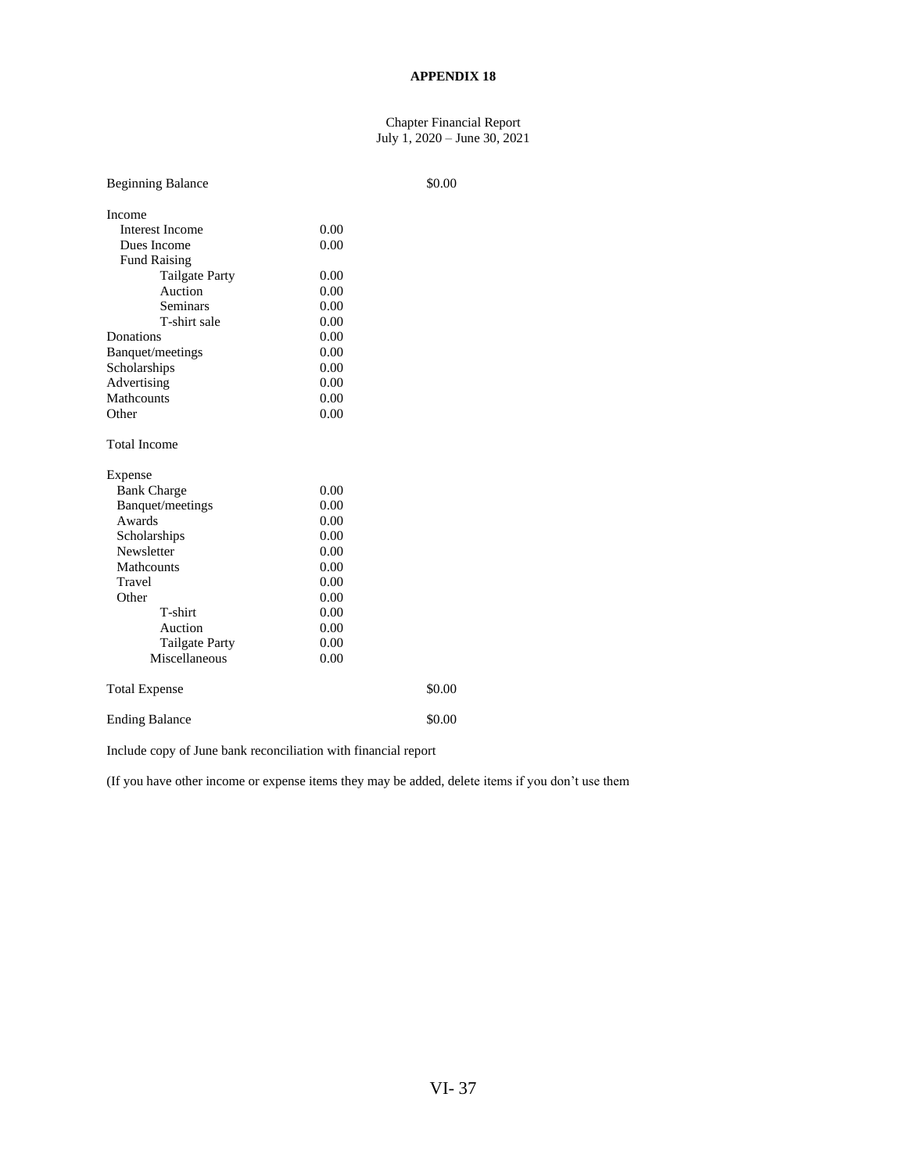# Chapter Financial Report July 1, 2020 – June 30, 2021

| <b>Beginning Balance</b> |      |        |  |
|--------------------------|------|--------|--|
| Income                   |      |        |  |
| <b>Interest Income</b>   | 0.00 |        |  |
| Dues Income              | 0.00 |        |  |
| <b>Fund Raising</b>      |      |        |  |
| <b>Tailgate Party</b>    | 0.00 |        |  |
| Auction                  | 0.00 |        |  |
| Seminars                 | 0.00 |        |  |
| T-shirt sale             | 0.00 |        |  |
| Donations                | 0.00 |        |  |
| Banquet/meetings         | 0.00 |        |  |
| Scholarships             | 0.00 |        |  |
| Advertising              | 0.00 |        |  |
| Mathcounts               | 0.00 |        |  |
| Other                    | 0.00 |        |  |
| <b>Total Income</b>      |      |        |  |
| Expense                  |      |        |  |
| <b>Bank Charge</b>       | 0.00 |        |  |
| Banquet/meetings         | 0.00 |        |  |
| Awards                   | 0.00 |        |  |
| Scholarships             | 0.00 |        |  |
| Newsletter               | 0.00 |        |  |
| Mathcounts               | 0.00 |        |  |
| Travel                   | 0.00 |        |  |
| Other                    | 0.00 |        |  |
| T-shirt                  | 0.00 |        |  |
| Auction                  | 0.00 |        |  |
| <b>Tailgate Party</b>    | 0.00 |        |  |
| Miscellaneous            | 0.00 |        |  |
| <b>Total Expense</b>     |      | \$0.00 |  |
| <b>Ending Balance</b>    |      | \$0.00 |  |

Include copy of June bank reconciliation with financial report

(If you have other income or expense items they may be added, delete items if you don't use them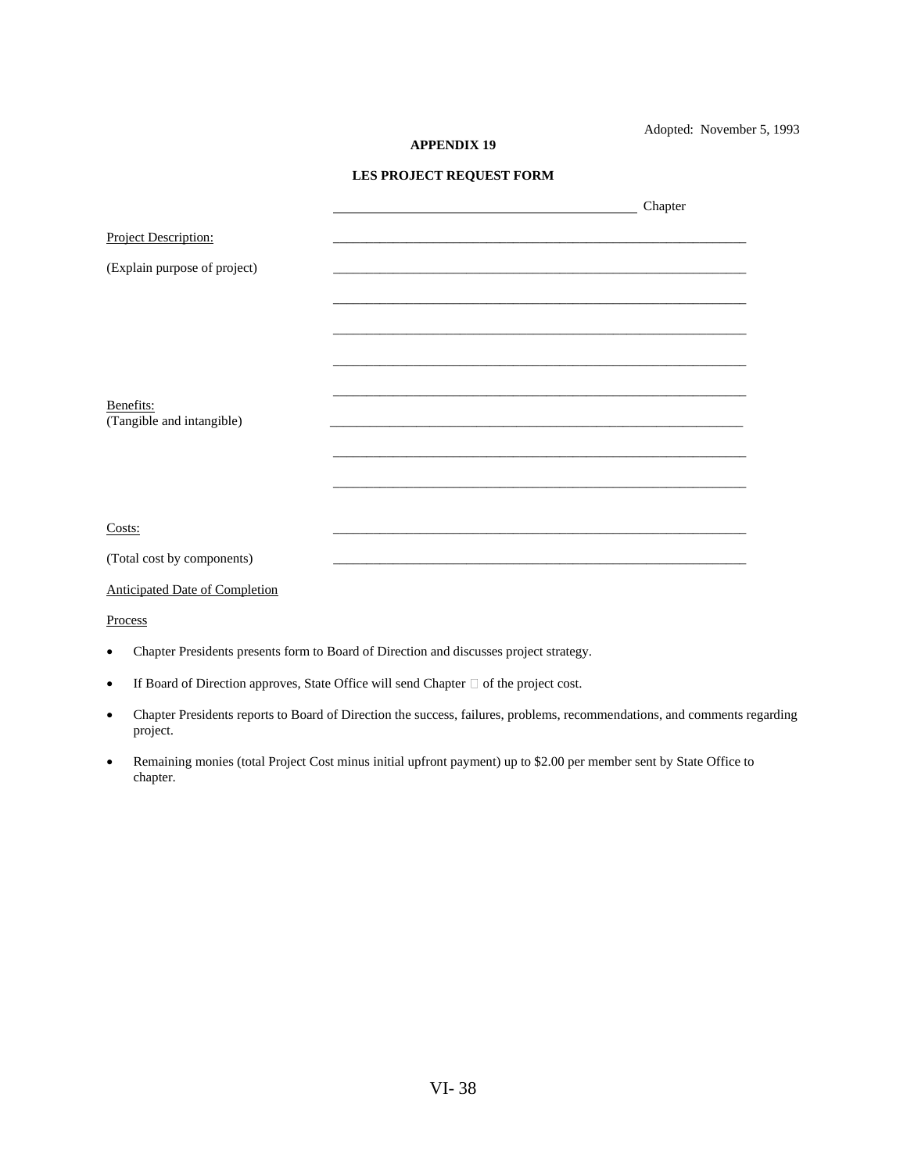Adopted: November 5, 1993

## **APPENDIX 19**

# **LES PROJECT REQUEST FORM**

|                                        | Chapter |
|----------------------------------------|---------|
| Project Description:                   |         |
| (Explain purpose of project)           |         |
|                                        |         |
|                                        |         |
|                                        |         |
|                                        |         |
| Benefits:<br>(Tangible and intangible) |         |
|                                        |         |
|                                        |         |
|                                        |         |
| Costs:                                 |         |
| (Total cost by components)             |         |
| <b>Anticipated Date of Completion</b>  |         |
| Process                                |         |

- Chapter Presidents presents form to Board of Direction and discusses project strategy.
- If Board of Direction approves, State Office will send Chapter  $\Box$  of the project cost.
- Chapter Presidents reports to Board of Direction the success, failures, problems, recommendations, and comments regarding project.
- Remaining monies (total Project Cost minus initial upfront payment) up to \$2.00 per member sent by State Office to chapter.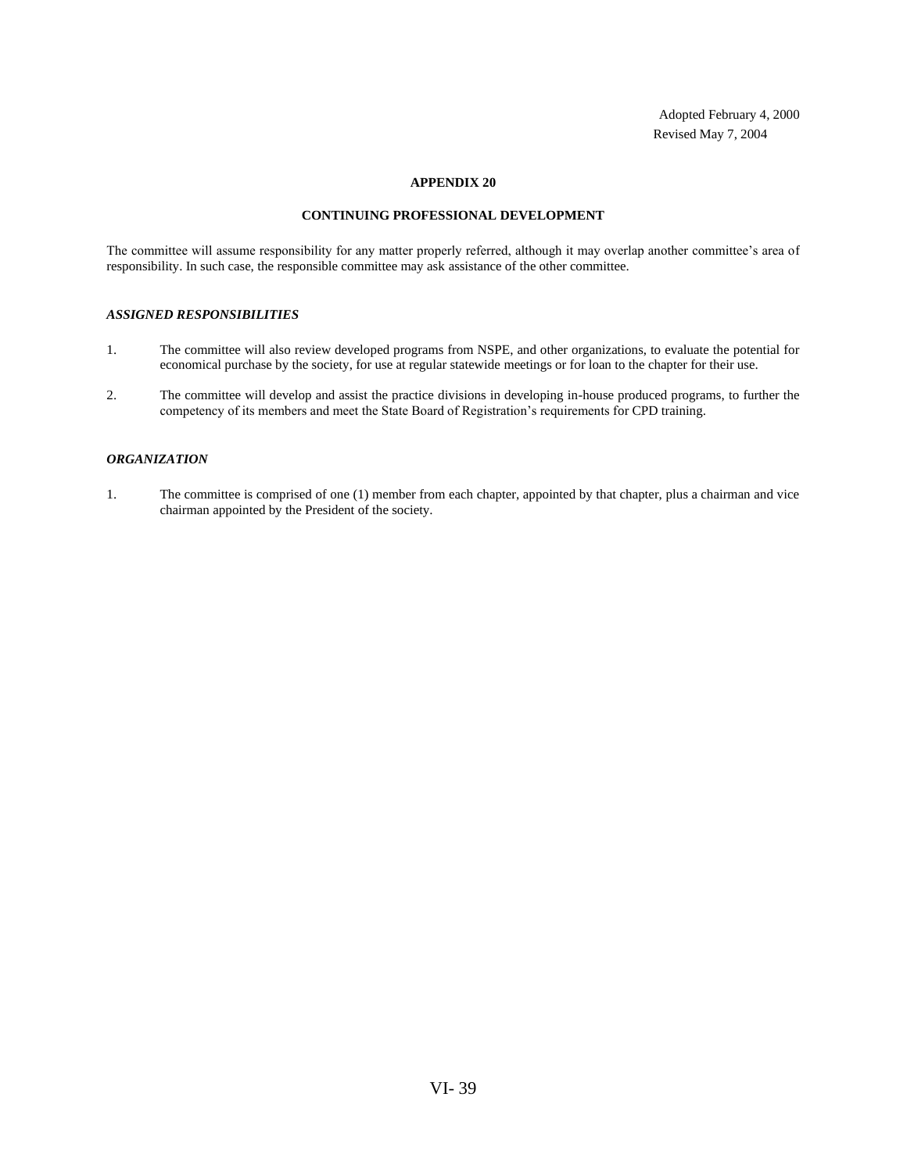Adopted February 4, 2000 Revised May 7, 2004

## **APPENDIX 20**

## **CONTINUING PROFESSIONAL DEVELOPMENT**

The committee will assume responsibility for any matter properly referred, although it may overlap another committee's area of responsibility. In such case, the responsible committee may ask assistance of the other committee.

## *ASSIGNED RESPONSIBILITIES*

- 1. The committee will also review developed programs from NSPE, and other organizations, to evaluate the potential for economical purchase by the society, for use at regular statewide meetings or for loan to the chapter for their use.
- 2. The committee will develop and assist the practice divisions in developing in-house produced programs, to further the competency of its members and meet the State Board of Registration's requirements for CPD training.

## *ORGANIZATION*

1. The committee is comprised of one (1) member from each chapter, appointed by that chapter, plus a chairman and vice chairman appointed by the President of the society.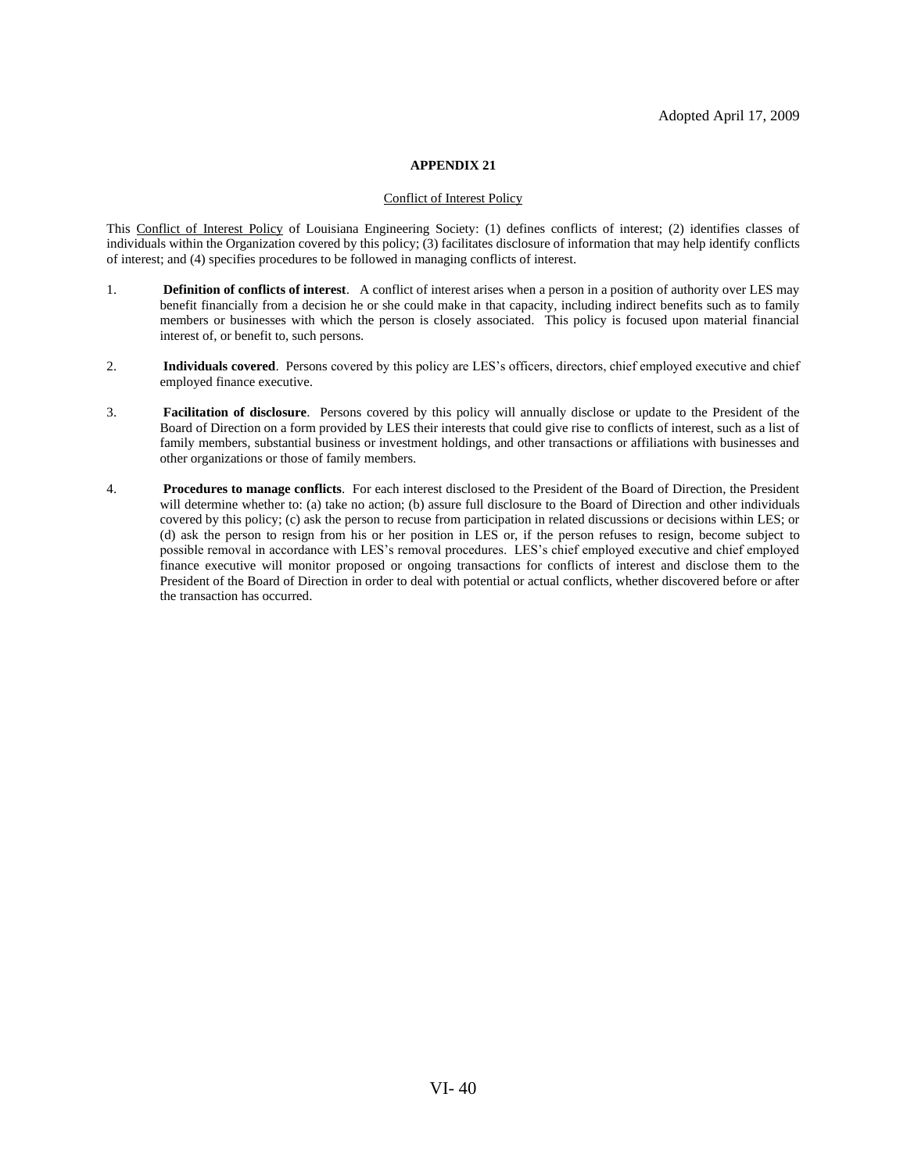## Conflict of Interest Policy

This Conflict of Interest Policy of Louisiana Engineering Society: (1) defines conflicts of interest; (2) identifies classes of individuals within the Organization covered by this policy; (3) facilitates disclosure of information that may help identify conflicts of interest; and (4) specifies procedures to be followed in managing conflicts of interest.

- 1. **Definition of conflicts of interest**. A conflict of interest arises when a person in a position of authority over LES may benefit financially from a decision he or she could make in that capacity, including indirect benefits such as to family members or businesses with which the person is closely associated. This policy is focused upon material financial interest of, or benefit to, such persons.
- 2. **Individuals covered**. Persons covered by this policy are LES's officers, directors, chief employed executive and chief employed finance executive.
- 3. **Facilitation of disclosure**. Persons covered by this policy will annually disclose or update to the President of the Board of Direction on a form provided by LES their interests that could give rise to conflicts of interest, such as a list of family members, substantial business or investment holdings, and other transactions or affiliations with businesses and other organizations or those of family members.
- 4. **Procedures to manage conflicts**. For each interest disclosed to the President of the Board of Direction, the President will determine whether to: (a) take no action; (b) assure full disclosure to the Board of Direction and other individuals covered by this policy; (c) ask the person to recuse from participation in related discussions or decisions within LES; or (d) ask the person to resign from his or her position in LES or, if the person refuses to resign, become subject to possible removal in accordance with LES's removal procedures. LES's chief employed executive and chief employed finance executive will monitor proposed or ongoing transactions for conflicts of interest and disclose them to the President of the Board of Direction in order to deal with potential or actual conflicts, whether discovered before or after the transaction has occurred.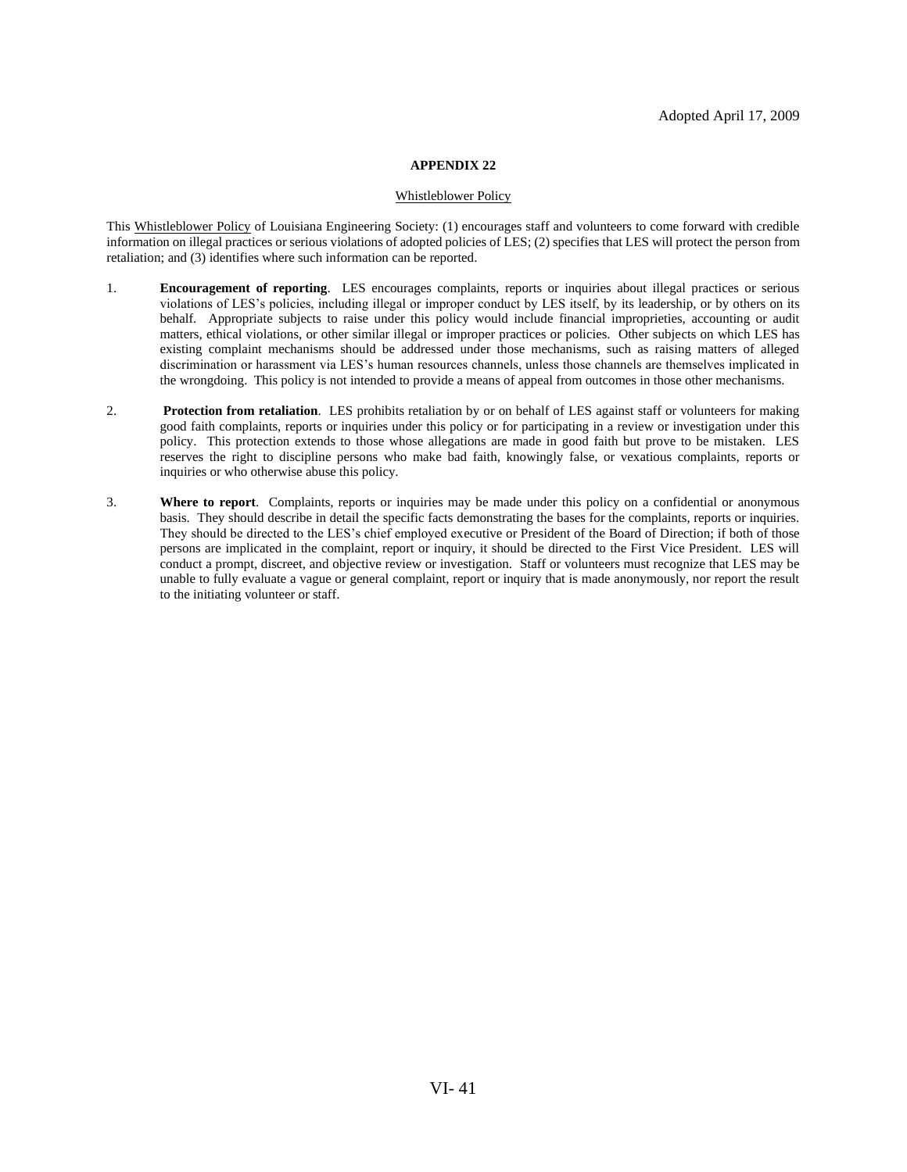## Whistleblower Policy

This Whistleblower Policy of Louisiana Engineering Society: (1) encourages staff and volunteers to come forward with credible information on illegal practices or serious violations of adopted policies of LES; (2) specifies that LES will protect the person from retaliation; and (3) identifies where such information can be reported.

- 1. **Encouragement of reporting**. LES encourages complaints, reports or inquiries about illegal practices or serious violations of LES's policies, including illegal or improper conduct by LES itself, by its leadership, or by others on its behalf. Appropriate subjects to raise under this policy would include financial improprieties, accounting or audit matters, ethical violations, or other similar illegal or improper practices or policies. Other subjects on which LES has existing complaint mechanisms should be addressed under those mechanisms, such as raising matters of alleged discrimination or harassment via LES's human resources channels, unless those channels are themselves implicated in the wrongdoing. This policy is not intended to provide a means of appeal from outcomes in those other mechanisms.
- 2. **Protection from retaliation**. LES prohibits retaliation by or on behalf of LES against staff or volunteers for making good faith complaints, reports or inquiries under this policy or for participating in a review or investigation under this policy. This protection extends to those whose allegations are made in good faith but prove to be mistaken. LES reserves the right to discipline persons who make bad faith, knowingly false, or vexatious complaints, reports or inquiries or who otherwise abuse this policy.
- 3. **Where to report**. Complaints, reports or inquiries may be made under this policy on a confidential or anonymous basis. They should describe in detail the specific facts demonstrating the bases for the complaints, reports or inquiries. They should be directed to the LES's chief employed executive or President of the Board of Direction; if both of those persons are implicated in the complaint, report or inquiry, it should be directed to the First Vice President. LES will conduct a prompt, discreet, and objective review or investigation. Staff or volunteers must recognize that LES may be unable to fully evaluate a vague or general complaint, report or inquiry that is made anonymously, nor report the result to the initiating volunteer or staff.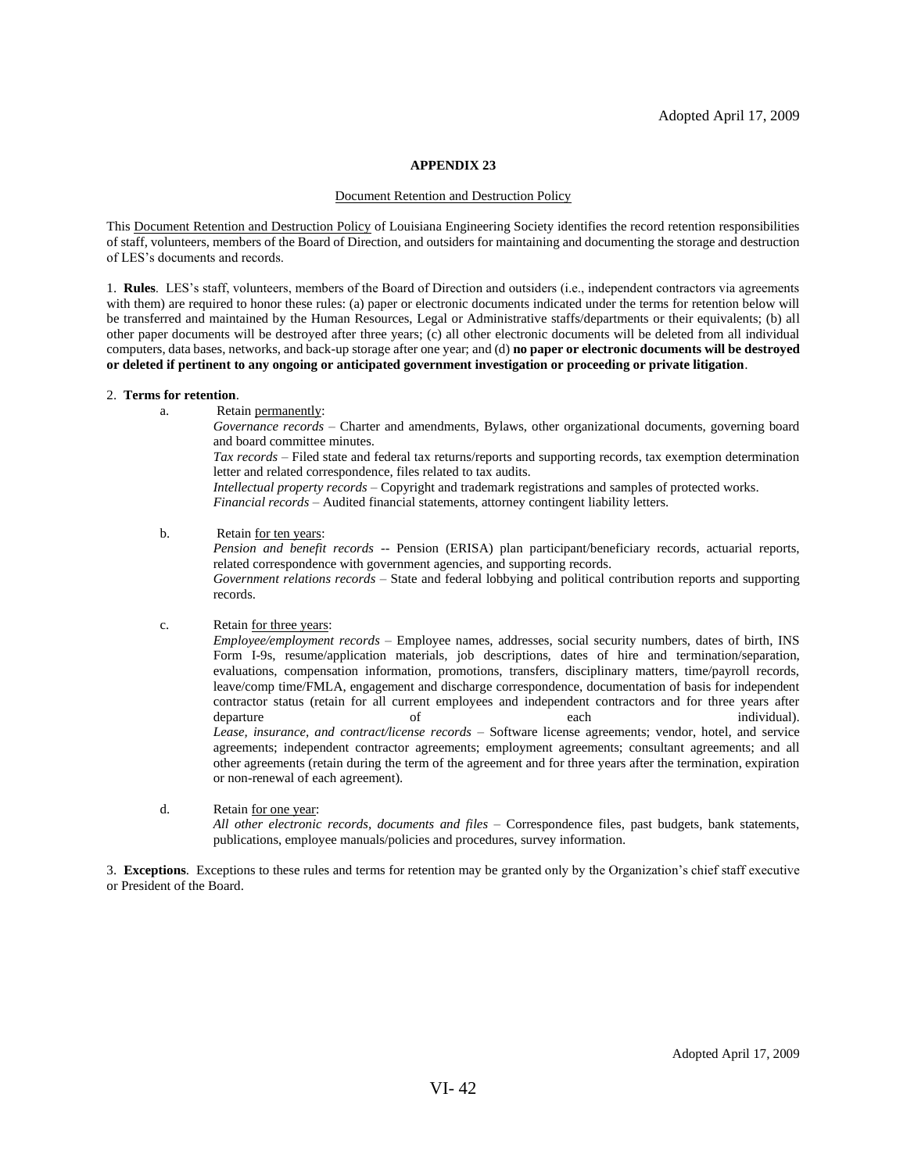## Document Retention and Destruction Policy

This Document Retention and Destruction Policy of Louisiana Engineering Society identifies the record retention responsibilities of staff, volunteers, members of the Board of Direction, and outsiders for maintaining and documenting the storage and destruction of LES's documents and records.

1. **Rules**. LES's staff, volunteers, members of the Board of Direction and outsiders (i.e., independent contractors via agreements with them) are required to honor these rules: (a) paper or electronic documents indicated under the terms for retention below will be transferred and maintained by the Human Resources, Legal or Administrative staffs/departments or their equivalents; (b) all other paper documents will be destroyed after three years; (c) all other electronic documents will be deleted from all individual computers, data bases, networks, and back-up storage after one year; and (d) **no paper or electronic documents will be destroyed or deleted if pertinent to any ongoing or anticipated government investigation or proceeding or private litigation**.

## 2. **Terms for retention**.

- a. Retain permanently: *Governance records* – Charter and amendments, Bylaws, other organizational documents, governing board and board committee minutes. *Tax records* – Filed state and federal tax returns/reports and supporting records, tax exemption determination letter and related correspondence, files related to tax audits. *Intellectual property records* – Copyright and trademark registrations and samples of protected works. *Financial records* – Audited financial statements, attorney contingent liability letters.
- b. Retain <u>for ten years</u>:

*Pension and benefit records* -- Pension (ERISA) plan participant/beneficiary records, actuarial reports, related correspondence with government agencies, and supporting records.

*Government relations records* – State and federal lobbying and political contribution reports and supporting records.

c. Retain for three years:

*Employee/employment records* – Employee names, addresses, social security numbers, dates of birth, INS Form I-9s, resume/application materials, job descriptions, dates of hire and termination/separation, evaluations, compensation information, promotions, transfers, disciplinary matters, time/payroll records, leave/comp time/FMLA, engagement and discharge correspondence, documentation of basis for independent contractor status (retain for all current employees and independent contractors and for three years after departure of of each individual). *Lease, insurance, and contract/license records* – Software license agreements; vendor, hotel, and service agreements; independent contractor agreements; employment agreements; consultant agreements; and all other agreements (retain during the term of the agreement and for three years after the termination, expiration or non-renewal of each agreement).

d. Retain for one year: *All other electronic records, documents and files* – Correspondence files, past budgets, bank statements, publications, employee manuals/policies and procedures, survey information.

3. **Exceptions**. Exceptions to these rules and terms for retention may be granted only by the Organization's chief staff executive or President of the Board.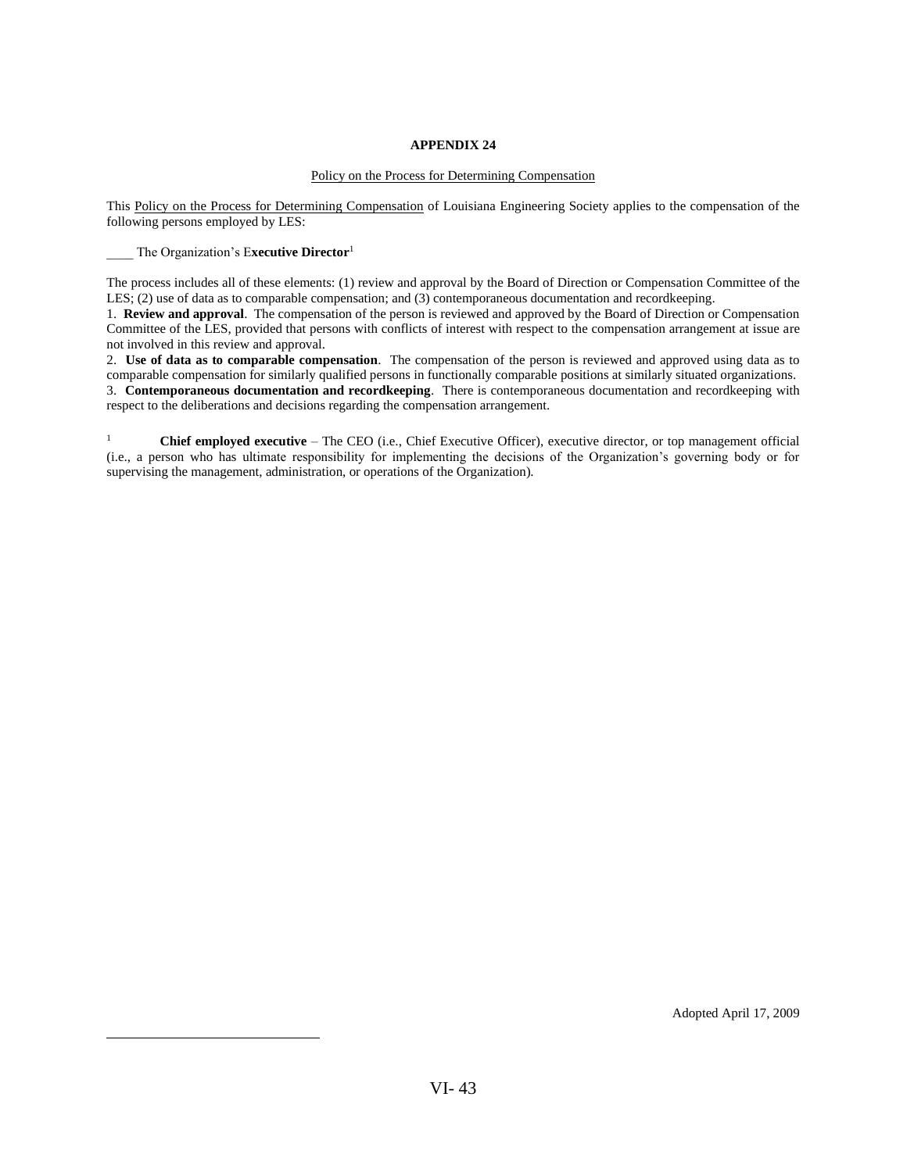## Policy on the Process for Determining Compensation

This Policy on the Process for Determining Compensation of Louisiana Engineering Society applies to the compensation of the following persons employed by LES:

# \_\_\_\_ The Organization's E**xecutive Director**<sup>1</sup>

The process includes all of these elements: (1) review and approval by the Board of Direction or Compensation Committee of the LES; (2) use of data as to comparable compensation; and (3) contemporaneous documentation and recordkeeping.

1. **Review and approval**. The compensation of the person is reviewed and approved by the Board of Direction or Compensation Committee of the LES, provided that persons with conflicts of interest with respect to the compensation arrangement at issue are not involved in this review and approval.

2. **Use of data as to comparable compensation**. The compensation of the person is reviewed and approved using data as to comparable compensation for similarly qualified persons in functionally comparable positions at similarly situated organizations. 3. **Contemporaneous documentation and recordkeeping**. There is contemporaneous documentation and recordkeeping with respect to the deliberations and decisions regarding the compensation arrangement.

<sup>1</sup> **Chief employed executive** – The CEO (i.e., Chief Executive Officer), executive director, or top management official (i.e., a person who has ultimate responsibility for implementing the decisions of the Organization's governing body or for supervising the management, administration, or operations of the Organization).

Adopted April 17, 2009